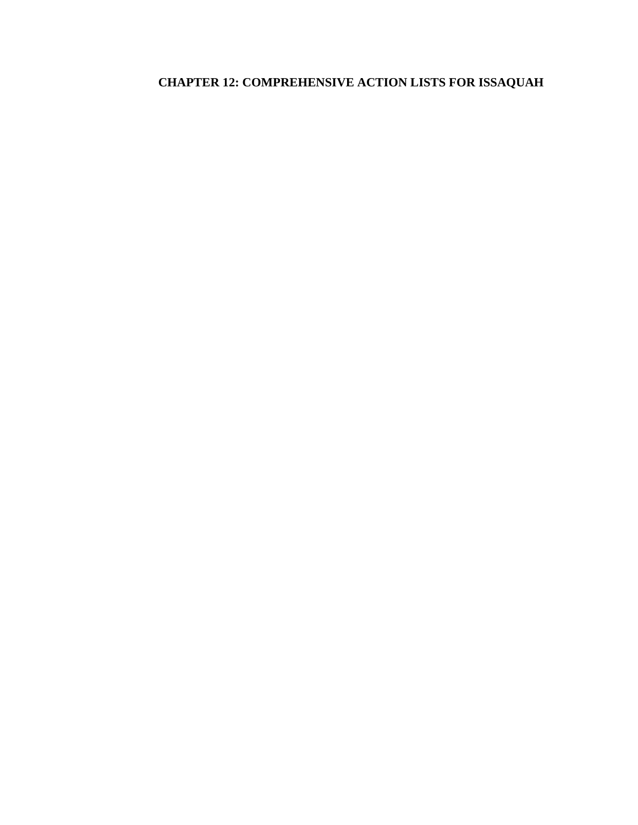## **CHAPTER 12: COMPREHENSIVE ACTION LISTS FOR ISSAQUAH**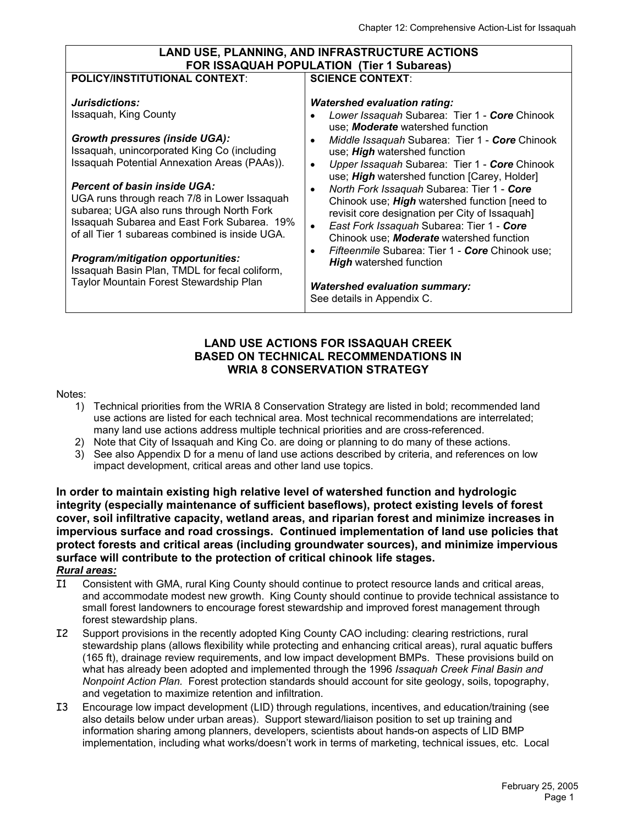| <b>LAND USE, PLANNING, AND INFRASTRUCTURE ACTIONS</b><br><b>FOR ISSAQUAH POPULATION (Tier 1 Subareas)</b>                                                                                                                                                                                                                                                                                                                                                                                                                                             |                                                                                                                                                                                                                                                                                                                                                                                                                                                                                                                                                                                                                                                                                                                                                         |  |  |  |  |  |
|-------------------------------------------------------------------------------------------------------------------------------------------------------------------------------------------------------------------------------------------------------------------------------------------------------------------------------------------------------------------------------------------------------------------------------------------------------------------------------------------------------------------------------------------------------|---------------------------------------------------------------------------------------------------------------------------------------------------------------------------------------------------------------------------------------------------------------------------------------------------------------------------------------------------------------------------------------------------------------------------------------------------------------------------------------------------------------------------------------------------------------------------------------------------------------------------------------------------------------------------------------------------------------------------------------------------------|--|--|--|--|--|
| <b>POLICY/INSTITUTIONAL CONTEXT:</b>                                                                                                                                                                                                                                                                                                                                                                                                                                                                                                                  | <b>SCIENCE CONTEXT:</b>                                                                                                                                                                                                                                                                                                                                                                                                                                                                                                                                                                                                                                                                                                                                 |  |  |  |  |  |
| Jurisdictions:<br>Issaquah, King County<br><b>Growth pressures (inside UGA):</b><br>Issaquah, unincorporated King Co (including<br>Issaquah Potential Annexation Areas (PAAs)).<br><b>Percent of basin inside UGA:</b><br>UGA runs through reach 7/8 in Lower Issaquah<br>subarea; UGA also runs through North Fork<br>Issaquah Subarea and East Fork Subarea. 19%<br>of all Tier 1 subareas combined is inside UGA.<br>Program/mitigation opportunities:<br>Issaquah Basin Plan, TMDL for fecal coliform,<br>Taylor Mountain Forest Stewardship Plan | <b>Watershed evaluation rating:</b><br>Lower Issaquah Subarea: Tier 1 - Core Chinook<br>use; Moderate watershed function<br>Middle Issaquah Subarea: Tier 1 - Core Chinook<br>use; High watershed function<br>Upper Issaquah Subarea: Tier 1 - Core Chinook<br>$\bullet$<br>use; High watershed function [Carey, Holder]<br>North Fork Issaquah Subarea: Tier 1 - Core<br>$\bullet$<br>Chinook use; High watershed function [need to<br>revisit core designation per City of Issaquah]<br>East Fork Issaquah Subarea: Tier 1 - Core<br>$\bullet$<br>Chinook use; Moderate watershed function<br>Fifteenmile Subarea: Tier 1 - Core Chinook use;<br><b>High</b> watershed function<br><b>Watershed evaluation summary:</b><br>See details in Appendix C. |  |  |  |  |  |

### **LAND USE ACTIONS FOR ISSAQUAH CREEK BASED ON TECHNICAL RECOMMENDATIONS IN WRIA 8 CONSERVATION STRATEGY**

#### Notes:

- 1) Technical priorities from the WRIA 8 Conservation Strategy are listed in bold; recommended land use actions are listed for each technical area. Most technical recommendations are interrelated; many land use actions address multiple technical priorities and are cross-referenced.
- 2) Note that City of Issaquah and King Co. are doing or planning to do many of these actions.
- 3) See also Appendix D for a menu of land use actions described by criteria, and references on low impact development, critical areas and other land use topics.

**In order to maintain existing high relative level of watershed function and hydrologic integrity (especially maintenance of sufficient baseflows), protect existing levels of forest cover, soil infiltrative capacity, wetland areas, and riparian forest and minimize increases in impervious surface and road crossings. Continued implementation of land use policies that protect forests and critical areas (including groundwater sources), and minimize impervious surface will contribute to the protection of critical chinook life stages.**  *Rural areas:*

- I1 Consistent with GMA, rural King County should continue to protect resource lands and critical areas, and accommodate modest new growth. King County should continue to provide technical assistance to small forest landowners to encourage forest stewardship and improved forest management through forest stewardship plans.
- I2 Support provisions in the recently adopted King County CAO including: clearing restrictions, rural stewardship plans (allows flexibility while protecting and enhancing critical areas), rural aquatic buffers (165 ft), drainage review requirements, and low impact development BMPs. These provisions build on what has already been adopted and implemented through the 1996 *Issaquah Creek Final Basin and Nonpoint Action Plan.* Forest protection standards should account for site geology, soils, topography, and vegetation to maximize retention and infiltration.
- I3 Encourage low impact development (LID) through regulations, incentives, and education/training (see also details below under urban areas). Support steward/liaison position to set up training and information sharing among planners, developers, scientists about hands-on aspects of LID BMP implementation, including what works/doesn't work in terms of marketing, technical issues, etc. Local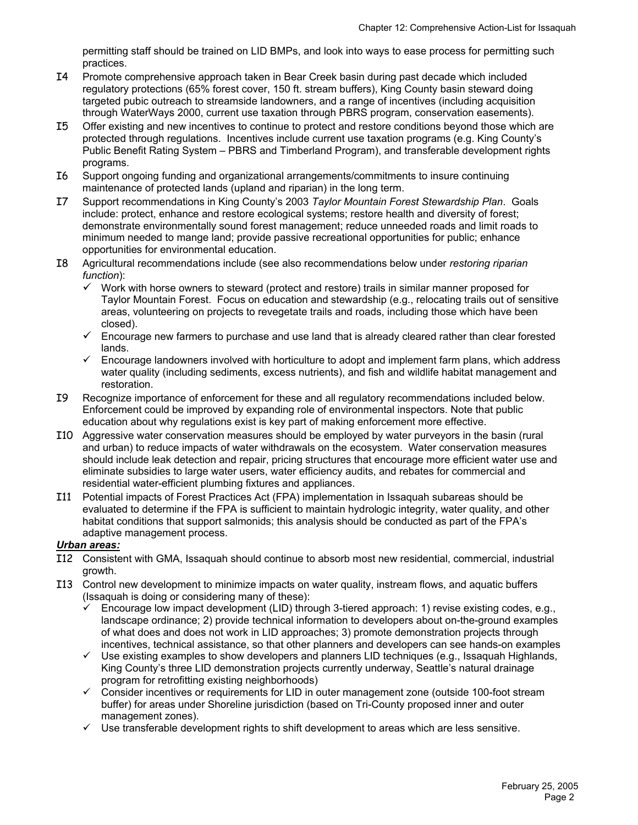permitting staff should be trained on LID BMPs, and look into ways to ease process for permitting such practices.

- I4 Promote comprehensive approach taken in Bear Creek basin during past decade which included regulatory protections (65% forest cover, 150 ft. stream buffers), King County basin steward doing targeted pubic outreach to streamside landowners, and a range of incentives (including acquisition through WaterWays 2000, current use taxation through PBRS program, conservation easements).
- I5 Offer existing and new incentives to continue to protect and restore conditions beyond those which are protected through regulations. Incentives include current use taxation programs (e.g. King County's Public Benefit Rating System – PBRS and Timberland Program), and transferable development rights programs.
- I6 Support ongoing funding and organizational arrangements/commitments to insure continuing maintenance of protected lands (upland and riparian) in the long term.
- I7 Support recommendations in King County's 2003 *Taylor Mountain Forest Stewardship Plan*. Goals include: protect, enhance and restore ecological systems; restore health and diversity of forest; demonstrate environmentally sound forest management; reduce unneeded roads and limit roads to minimum needed to mange land; provide passive recreational opportunities for public; enhance opportunities for environmental education.
- I8 Agricultural recommendations include (see also recommendations below under *restoring riparian function*):
	- $\checkmark$  Work with horse owners to steward (protect and restore) trails in similar manner proposed for Taylor Mountain Forest. Focus on education and stewardship (e.g., relocating trails out of sensitive areas, volunteering on projects to revegetate trails and roads, including those which have been closed).
	- $\checkmark$  Encourage new farmers to purchase and use land that is already cleared rather than clear forested lands.
	- 9 Encourage landowners involved with horticulture to adopt and implement farm plans, which address water quality (including sediments, excess nutrients), and fish and wildlife habitat management and restoration.
- I9 Recognize importance of enforcement for these and all regulatory recommendations included below. Enforcement could be improved by expanding role of environmental inspectors. Note that public education about why regulations exist is key part of making enforcement more effective.
- I10 Aggressive water conservation measures should be employed by water purveyors in the basin (rural and urban) to reduce impacts of water withdrawals on the ecosystem. Water conservation measures should include leak detection and repair, pricing structures that encourage more efficient water use and eliminate subsidies to large water users, water efficiency audits, and rebates for commercial and residential water-efficient plumbing fixtures and appliances.
- I11 Potential impacts of Forest Practices Act (FPA) implementation in Issaquah subareas should be evaluated to determine if the FPA is sufficient to maintain hydrologic integrity, water quality, and other habitat conditions that support salmonids; this analysis should be conducted as part of the FPA's adaptive management process.

#### *Urban areas:*

- I12 Consistent with GMA, Issaquah should continue to absorb most new residential, commercial, industrial growth.
- I13 Control new development to minimize impacts on water quality, instream flows, and aquatic buffers (Issaquah is doing or considering many of these):
	- Encourage low impact development (LID) through 3-tiered approach: 1) revise existing codes, e.g., landscape ordinance; 2) provide technical information to developers about on-the-ground examples of what does and does not work in LID approaches; 3) promote demonstration projects through incentives, technical assistance, so that other planners and developers can see hands-on examples
	- $\checkmark$  Use existing examples to show developers and planners LID techniques (e.g., Issaquah Highlands, King County's three LID demonstration projects currently underway, Seattle's natural drainage program for retrofitting existing neighborhoods)
	- 9 Consider incentives or requirements for LID in outer management zone (outside 100-foot stream buffer) for areas under Shoreline jurisdiction (based on Tri-County proposed inner and outer management zones).
	- $\checkmark$  Use transferable development rights to shift development to areas which are less sensitive.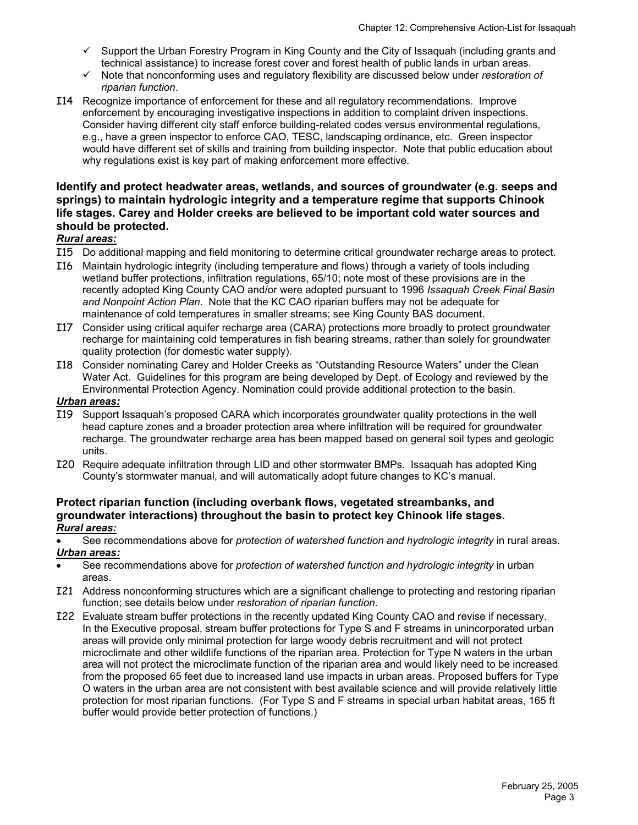- $\checkmark$  Support the Urban Forestry Program in King County and the City of Issaquah (including grants and technical assistance) to increase forest cover and forest health of public lands in urban areas.
- 9 Note that nonconforming uses and regulatory flexibility are discussed below under *restoration of riparian function*.
- I14 Recognize importance of enforcement for these and all regulatory recommendations. Improve enforcement by encouraging investigative inspections in addition to complaint driven inspections. Consider having different city staff enforce building-related codes versus environmental regulations, e.g., have a green inspector to enforce CAO, TESC, landscaping ordinance, etc. Green inspector would have different set of skills and training from building inspector. Note that public education about why regulations exist is key part of making enforcement more effective.

## **Identify and protect headwater areas, wetlands, and sources of groundwater (e.g. seeps and springs) to maintain hydrologic integrity and a temperature regime that supports Chinook life stages. Carey and Holder creeks are believed to be important cold water sources and should be protected.**

## *Rural areas:*

- I15 Do additional mapping and field monitoring to determine critical groundwater recharge areas to protect.
- I16 Maintain hydrologic integrity (including temperature and flows) through a variety of tools including wetland buffer protections, infiltration regulations, 65/10; note most of these provisions are in the recently adopted King County CAO and/or were adopted pursuant to 1996 *Issaquah Creek Final Basin and Nonpoint Action Plan*. Note that the KC CAO riparian buffers may not be adequate for maintenance of cold temperatures in smaller streams; see King County BAS document.
- I17 Consider using critical aquifer recharge area (CARA) protections more broadly to protect groundwater recharge for maintaining cold temperatures in fish bearing streams, rather than solely for groundwater quality protection (for domestic water supply).
- I18 Consider nominating Carey and Holder Creeks as "Outstanding Resource Waters" under the Clean Water Act. Guidelines for this program are being developed by Dept. of Ecology and reviewed by the Environmental Protection Agency. Nomination could provide additional protection to the basin.

#### *Urban areas:*

- I19 Support Issaquah's proposed CARA which incorporates groundwater quality protections in the well head capture zones and a broader protection area where infiltration will be required for groundwater recharge. The groundwater recharge area has been mapped based on general soil types and geologic units.
- I20 Require adequate infiltration through LID and other stormwater BMPs. Issaquah has adopted King County's stormwater manual, and will automatically adopt future changes to KC's manual.

#### **Protect riparian function (including overbank flows, vegetated streambanks, and groundwater interactions) throughout the basin to protect key Chinook life stages.**  *Rural areas:*

- See recommendations above for *protection of watershed function and hydrologic integrity* in rural areas. *Urban areas:*
- See recommendations above for *protection of watershed function and hydrologic integrity* in urban areas.
- I21 Address nonconforming structures which are a significant challenge to protecting and restoring riparian function; see details below under *restoration of riparian function*.
- I22 Evaluate stream buffer protections in the recently updated King County CAO and revise if necessary. In the Executive proposal, stream buffer protections for Type S and F streams in unincorporated urban areas will provide only minimal protection for large woody debris recruitment and will not protect microclimate and other wildlife functions of the riparian area. Protection for Type N waters in the urban area will not protect the microclimate function of the riparian area and would likely need to be increased from the proposed 65 feet due to increased land use impacts in urban areas. Proposed buffers for Type O waters in the urban area are not consistent with best available science and will provide relatively little protection for most riparian functions. (For Type S and F streams in special urban habitat areas, 165 ft buffer would provide better protection of functions.)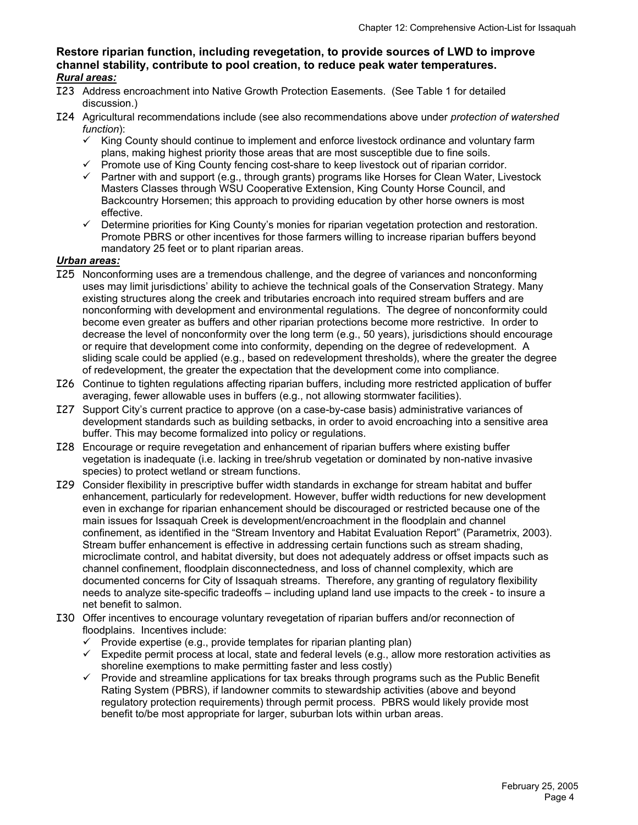#### **Restore riparian function, including revegetation, to provide sources of LWD to improve channel stability, contribute to pool creation, to reduce peak water temperatures.**  *Rural areas:*

- I23 Address encroachment into Native Growth Protection Easements. (See Table 1 for detailed discussion.)
- I24 Agricultural recommendations include (see also recommendations above under *protection of watershed function*):
	- 9 King County should continue to implement and enforce livestock ordinance and voluntary farm plans, making highest priority those areas that are most susceptible due to fine soils.
	- $\checkmark$  Promote use of King County fencing cost-share to keep livestock out of riparian corridor.
	- $\checkmark$  Partner with and support (e.g., through grants) programs like Horses for Clean Water, Livestock Masters Classes through WSU Cooperative Extension, King County Horse Council, and Backcountry Horsemen; this approach to providing education by other horse owners is most effective.
	- $\checkmark$  Determine priorities for King County's monies for riparian vegetation protection and restoration. Promote PBRS or other incentives for those farmers willing to increase riparian buffers beyond mandatory 25 feet or to plant riparian areas.

#### *Urban areas:*

- I25 Nonconforming uses are a tremendous challenge, and the degree of variances and nonconforming uses may limit jurisdictions' ability to achieve the technical goals of the Conservation Strategy. Many existing structures along the creek and tributaries encroach into required stream buffers and are nonconforming with development and environmental regulations. The degree of nonconformity could become even greater as buffers and other riparian protections become more restrictive. In order to decrease the level of nonconformity over the long term (e.g., 50 years), jurisdictions should encourage or require that development come into conformity, depending on the degree of redevelopment. A sliding scale could be applied (e.g., based on redevelopment thresholds), where the greater the degree of redevelopment, the greater the expectation that the development come into compliance.
- I26 Continue to tighten regulations affecting riparian buffers, including more restricted application of buffer averaging, fewer allowable uses in buffers (e.g., not allowing stormwater facilities).
- I27 Support City's current practice to approve (on a case-by-case basis) administrative variances of development standards such as building setbacks, in order to avoid encroaching into a sensitive area buffer. This may become formalized into policy or regulations.
- I28 Encourage or require revegetation and enhancement of riparian buffers where existing buffer vegetation is inadequate (i.e. lacking in tree/shrub vegetation or dominated by non-native invasive species) to protect wetland or stream functions.
- I29 Consider flexibility in prescriptive buffer width standards in exchange for stream habitat and buffer enhancement, particularly for redevelopment. However, buffer width reductions for new development even in exchange for riparian enhancement should be discouraged or restricted because one of the main issues for Issaquah Creek is development/encroachment in the floodplain and channel confinement, as identified in the "Stream Inventory and Habitat Evaluation Report" (Parametrix, 2003). Stream buffer enhancement is effective in addressing certain functions such as stream shading, microclimate control, and habitat diversity, but does not adequately address or offset impacts such as channel confinement, floodplain disconnectedness, and loss of channel complexity*,* which are documented concerns for City of Issaquah streams. Therefore, any granting of regulatory flexibility needs to analyze site-specific tradeoffs – including upland land use impacts to the creek - to insure a net benefit to salmon.
- I30 Offer incentives to encourage voluntary revegetation of riparian buffers and/or reconnection of floodplains. Incentives include:
	- $\checkmark$  Provide expertise (e.g., provide templates for riparian planting plan)
	- $\checkmark$  Expedite permit process at local, state and federal levels (e.g., allow more restoration activities as shoreline exemptions to make permitting faster and less costly)
	- $\checkmark$  Provide and streamline applications for tax breaks through programs such as the Public Benefit Rating System (PBRS), if landowner commits to stewardship activities (above and beyond regulatory protection requirements) through permit process. PBRS would likely provide most benefit to/be most appropriate for larger, suburban lots within urban areas.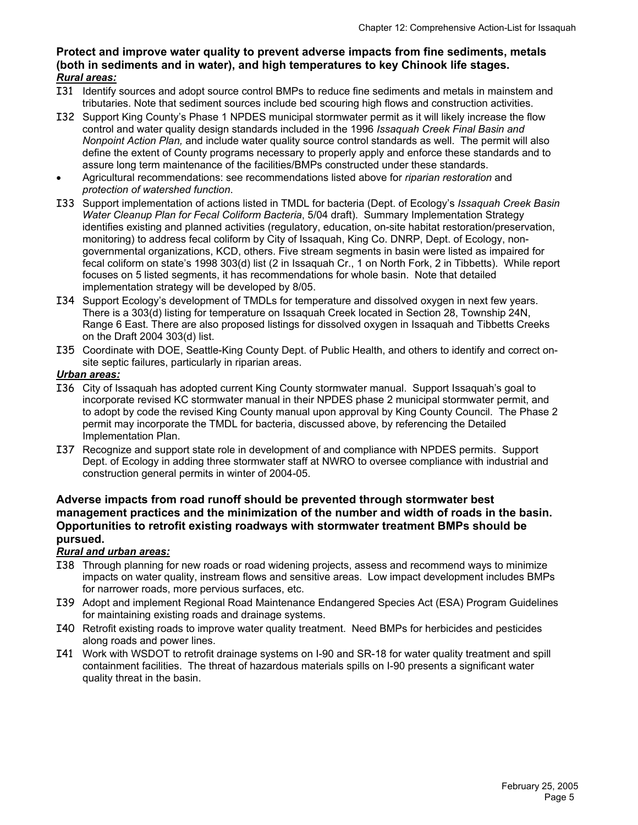#### **Protect and improve water quality to prevent adverse impacts from fine sediments, metals (both in sediments and in water), and high temperatures to key Chinook life stages.**  *Rural areas:*

- I31 Identify sources and adopt source control BMPs to reduce fine sediments and metals in mainstem and tributaries. Note that sediment sources include bed scouring high flows and construction activities.
- I32 Support King County's Phase 1 NPDES municipal stormwater permit as it will likely increase the flow control and water quality design standards included in the 1996 *Issaquah Creek Final Basin and Nonpoint Action Plan,* and include water quality source control standards as well. The permit will also define the extent of County programs necessary to properly apply and enforce these standards and to assure long term maintenance of the facilities/BMPs constructed under these standards.
- Agricultural recommendations: see recommendations listed above for *riparian restoration* and *protection of watershed function*.
- I33 Support implementation of actions listed in TMDL for bacteria (Dept. of Ecology's *Issaquah Creek Basin Water Cleanup Plan for Fecal Coliform Bacteria*, 5/04 draft). Summary Implementation Strategy identifies existing and planned activities (regulatory, education, on-site habitat restoration/preservation, monitoring) to address fecal coliform by City of Issaquah, King Co. DNRP, Dept. of Ecology, nongovernmental organizations, KCD, others. Five stream segments in basin were listed as impaired for fecal coliform on state's 1998 303(d) list (2 in Issaquah Cr., 1 on North Fork, 2 in Tibbetts). While report focuses on 5 listed segments, it has recommendations for whole basin. Note that detailed implementation strategy will be developed by 8/05.
- I34 Support Ecology's development of TMDLs for temperature and dissolved oxygen in next few years. There is a 303(d) listing for temperature on Issaquah Creek located in Section 28, Township 24N, Range 6 East. There are also proposed listings for dissolved oxygen in Issaquah and Tibbetts Creeks on the Draft 2004 303(d) list.
- I35 Coordinate with DOE, Seattle-King County Dept. of Public Health, and others to identify and correct onsite septic failures, particularly in riparian areas.

#### *Urban areas:*

- I36 City of Issaquah has adopted current King County stormwater manual. Support Issaquah's goal to incorporate revised KC stormwater manual in their NPDES phase 2 municipal stormwater permit, and to adopt by code the revised King County manual upon approval by King County Council. The Phase 2 permit may incorporate the TMDL for bacteria, discussed above, by referencing the Detailed Implementation Plan.
- I37 Recognize and support state role in development of and compliance with NPDES permits. Support Dept. of Ecology in adding three stormwater staff at NWRO to oversee compliance with industrial and construction general permits in winter of 2004-05.

## **Adverse impacts from road runoff should be prevented through stormwater best management practices and the minimization of the number and width of roads in the basin. Opportunities to retrofit existing roadways with stormwater treatment BMPs should be pursued.**

## *Rural and urban areas:*

- I38 Through planning for new roads or road widening projects, assess and recommend ways to minimize impacts on water quality, instream flows and sensitive areas. Low impact development includes BMPs for narrower roads, more pervious surfaces, etc.
- I39 Adopt and implement Regional Road Maintenance Endangered Species Act (ESA) Program Guidelines for maintaining existing roads and drainage systems.
- I40 Retrofit existing roads to improve water quality treatment. Need BMPs for herbicides and pesticides along roads and power lines.
- I41 Work with WSDOT to retrofit drainage systems on I-90 and SR-18 for water quality treatment and spill containment facilities. The threat of hazardous materials spills on I-90 presents a significant water quality threat in the basin.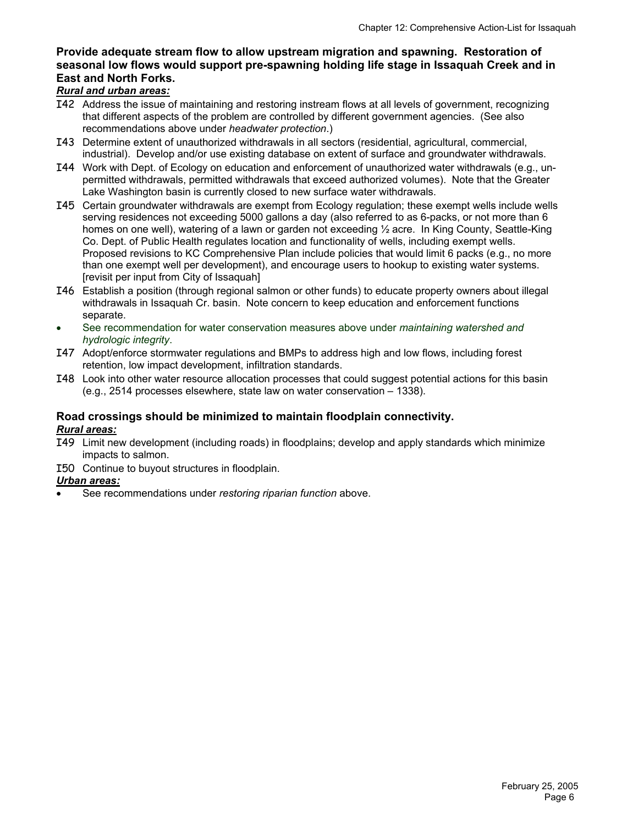## **Provide adequate stream flow to allow upstream migration and spawning. Restoration of seasonal low flows would support pre-spawning holding life stage in Issaquah Creek and in East and North Forks.**

## *Rural and urban areas:*

- I42 Address the issue of maintaining and restoring instream flows at all levels of government, recognizing that different aspects of the problem are controlled by different government agencies. (See also recommendations above under *headwater protection*.)
- I43 Determine extent of unauthorized withdrawals in all sectors (residential, agricultural, commercial, industrial). Develop and/or use existing database on extent of surface and groundwater withdrawals.
- I44 Work with Dept. of Ecology on education and enforcement of unauthorized water withdrawals (e.g., unpermitted withdrawals, permitted withdrawals that exceed authorized volumes). Note that the Greater Lake Washington basin is currently closed to new surface water withdrawals.
- I45 Certain groundwater withdrawals are exempt from Ecology regulation; these exempt wells include wells serving residences not exceeding 5000 gallons a day (also referred to as 6-packs, or not more than 6 homes on one well), watering of a lawn or garden not exceeding 1/2 acre. In King County, Seattle-King Co. Dept. of Public Health regulates location and functionality of wells, including exempt wells. Proposed revisions to KC Comprehensive Plan include policies that would limit 6 packs (e.g., no more than one exempt well per development), and encourage users to hookup to existing water systems. [revisit per input from City of Issaquah]
- I46 Establish a position (through regional salmon or other funds) to educate property owners about illegal withdrawals in Issaquah Cr. basin. Note concern to keep education and enforcement functions separate.
- See recommendation for water conservation measures above under *maintaining watershed and hydrologic integrity*.
- I47 Adopt/enforce stormwater regulations and BMPs to address high and low flows, including forest retention, low impact development, infiltration standards.
- I48 Look into other water resource allocation processes that could suggest potential actions for this basin (e.g., 2514 processes elsewhere, state law on water conservation – 1338).

## **Road crossings should be minimized to maintain floodplain connectivity.**  *Rural areas:*

- I49 Limit new development (including roads) in floodplains; develop and apply standards which minimize impacts to salmon.
- I50 Continue to buyout structures in floodplain.

## *Urban areas:*

• See recommendations under *restoring riparian function* above.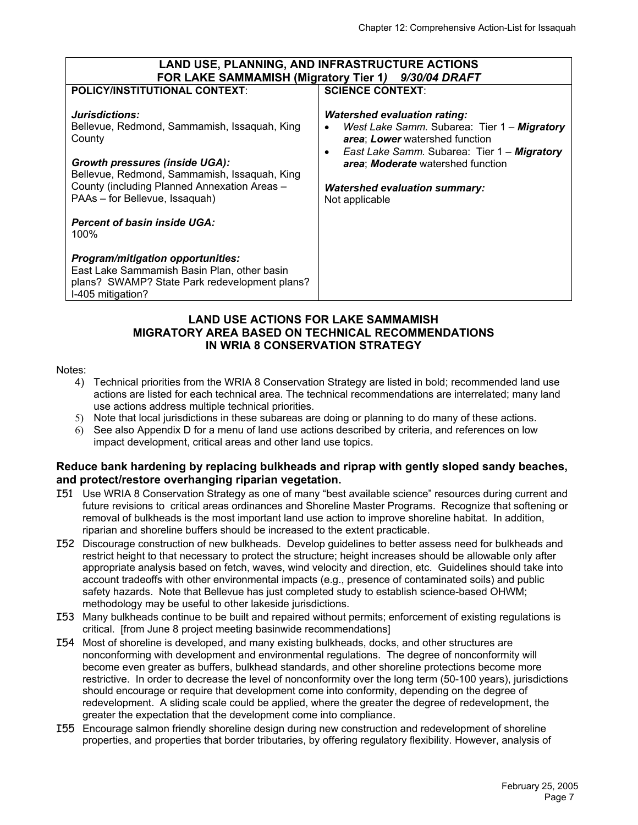|                                                                                                                                                                                                                                              | <b>LAND USE, PLANNING, AND INFRASTRUCTURE ACTIONS</b>                                                                                                                                                                                                                                |  |  |  |  |  |  |  |
|----------------------------------------------------------------------------------------------------------------------------------------------------------------------------------------------------------------------------------------------|--------------------------------------------------------------------------------------------------------------------------------------------------------------------------------------------------------------------------------------------------------------------------------------|--|--|--|--|--|--|--|
|                                                                                                                                                                                                                                              | <b>FOR LAKE SAMMAMISH (Migratory Tier 1)</b><br>9/30/04 DRAFT                                                                                                                                                                                                                        |  |  |  |  |  |  |  |
| <b>POLICY/INSTITUTIONAL CONTEXT:</b>                                                                                                                                                                                                         | <b>SCIENCE CONTEXT:</b>                                                                                                                                                                                                                                                              |  |  |  |  |  |  |  |
| Jurisdictions:<br>Bellevue, Redmond, Sammamish, Issaguah, King<br>County<br>Growth pressures (inside UGA):<br>Bellevue, Redmond, Sammamish, Issaquah, King<br>County (including Planned Annexation Areas -<br>PAAs - for Bellevue, Issaquah) | <b>Watershed evaluation rating:</b><br>West Lake Samm. Subarea: Tier 1 - Migratory<br>٠<br>area; Lower watershed function<br>East Lake Samm. Subarea: Tier 1 - Migratory<br>$\bullet$<br>area; Moderate watershed function<br><b>Watershed evaluation summary:</b><br>Not applicable |  |  |  |  |  |  |  |
| <b>Percent of basin inside UGA:</b><br>100%                                                                                                                                                                                                  |                                                                                                                                                                                                                                                                                      |  |  |  |  |  |  |  |
| <b>Program/mitigation opportunities:</b><br>East Lake Sammamish Basin Plan, other basin<br>plans? SWAMP? State Park redevelopment plans?<br>I-405 mitigation?                                                                                |                                                                                                                                                                                                                                                                                      |  |  |  |  |  |  |  |

## **LAND USE ACTIONS FOR LAKE SAMMAMISH MIGRATORY AREA BASED ON TECHNICAL RECOMMENDATIONS IN WRIA 8 CONSERVATION STRATEGY**

#### Notes:

- 4) Technical priorities from the WRIA 8 Conservation Strategy are listed in bold; recommended land use actions are listed for each technical area. The technical recommendations are interrelated; many land use actions address multiple technical priorities.
- 5) Note that local jurisdictions in these subareas are doing or planning to do many of these actions.
- 6) See also Appendix D for a menu of land use actions described by criteria, and references on low impact development, critical areas and other land use topics.

#### **Reduce bank hardening by replacing bulkheads and riprap with gently sloped sandy beaches, and protect/restore overhanging riparian vegetation.**

- I51 Use WRIA 8 Conservation Strategy as one of many "best available science" resources during current and future revisions to critical areas ordinances and Shoreline Master Programs. Recognize that softening or removal of bulkheads is the most important land use action to improve shoreline habitat. In addition, riparian and shoreline buffers should be increased to the extent practicable.
- I52 Discourage construction of new bulkheads. Develop guidelines to better assess need for bulkheads and restrict height to that necessary to protect the structure; height increases should be allowable only after appropriate analysis based on fetch, waves, wind velocity and direction, etc. Guidelines should take into account tradeoffs with other environmental impacts (e.g., presence of contaminated soils) and public safety hazards. Note that Bellevue has just completed study to establish science-based OHWM; methodology may be useful to other lakeside jurisdictions.
- I53 Many bulkheads continue to be built and repaired without permits; enforcement of existing regulations is critical. [from June 8 project meeting basinwide recommendations]
- I54 Most of shoreline is developed, and many existing bulkheads, docks, and other structures are nonconforming with development and environmental regulations. The degree of nonconformity will become even greater as buffers, bulkhead standards, and other shoreline protections become more restrictive. In order to decrease the level of nonconformity over the long term (50-100 years), jurisdictions should encourage or require that development come into conformity, depending on the degree of redevelopment. A sliding scale could be applied, where the greater the degree of redevelopment, the greater the expectation that the development come into compliance.
- I55 Encourage salmon friendly shoreline design during new construction and redevelopment of shoreline properties, and properties that border tributaries, by offering regulatory flexibility. However, analysis of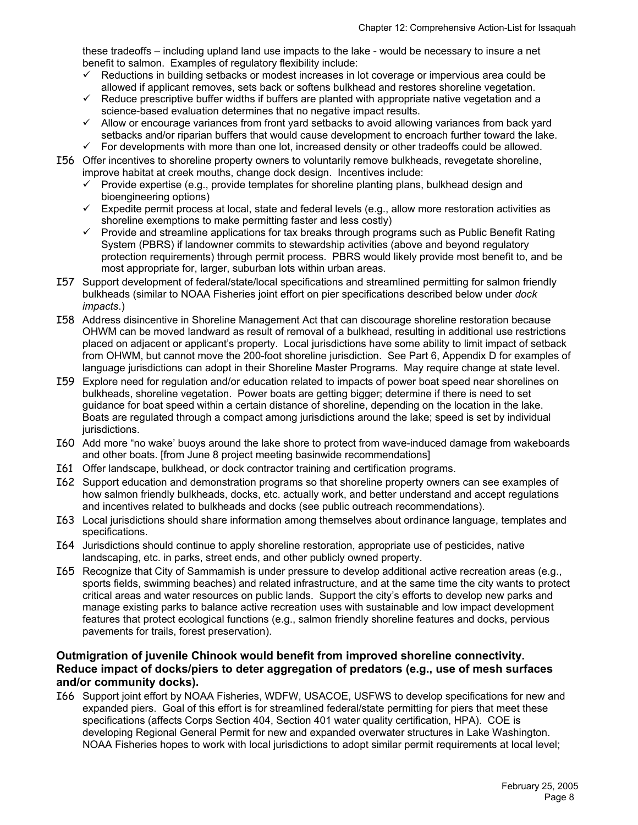these tradeoffs – including upland land use impacts to the lake - would be necessary to insure a net benefit to salmon. Examples of regulatory flexibility include:

- Reductions in building setbacks or modest increases in lot coverage or impervious area could be allowed if applicant removes, sets back or softens bulkhead and restores shoreline vegetation.
- Reduce prescriptive buffer widths if buffers are planted with appropriate native vegetation and a science-based evaluation determines that no negative impact results.
- $\checkmark$  Allow or encourage variances from front yard setbacks to avoid allowing variances from back yard setbacks and/or riparian buffers that would cause development to encroach further toward the lake.
- $\checkmark$  For developments with more than one lot, increased density or other tradeoffs could be allowed.
- I56 Offer incentives to shoreline property owners to voluntarily remove bulkheads, revegetate shoreline, improve habitat at creek mouths, change dock design. Incentives include:
	- 9 Provide expertise (e.g., provide templates for shoreline planting plans, bulkhead design and bioengineering options)
	- $\checkmark$  Expedite permit process at local, state and federal levels (e.g., allow more restoration activities as shoreline exemptions to make permitting faster and less costly)
	- $\checkmark$  Provide and streamline applications for tax breaks through programs such as Public Benefit Rating System (PBRS) if landowner commits to stewardship activities (above and beyond regulatory protection requirements) through permit process. PBRS would likely provide most benefit to, and be most appropriate for, larger, suburban lots within urban areas.
- I57 Support development of federal/state/local specifications and streamlined permitting for salmon friendly bulkheads (similar to NOAA Fisheries joint effort on pier specifications described below under *dock impacts*.)
- I58 Address disincentive in Shoreline Management Act that can discourage shoreline restoration because OHWM can be moved landward as result of removal of a bulkhead, resulting in additional use restrictions placed on adjacent or applicant's property. Local jurisdictions have some ability to limit impact of setback from OHWM, but cannot move the 200-foot shoreline jurisdiction. See Part 6, Appendix D for examples of language jurisdictions can adopt in their Shoreline Master Programs. May require change at state level.
- I59 Explore need for regulation and/or education related to impacts of power boat speed near shorelines on bulkheads, shoreline vegetation. Power boats are getting bigger; determine if there is need to set guidance for boat speed within a certain distance of shoreline, depending on the location in the lake. Boats are regulated through a compact among jurisdictions around the lake; speed is set by individual jurisdictions.
- I60 Add more "no wake' buoys around the lake shore to protect from wave-induced damage from wakeboards and other boats. [from June 8 project meeting basinwide recommendations]
- I61 Offer landscape, bulkhead, or dock contractor training and certification programs.
- I62 Support education and demonstration programs so that shoreline property owners can see examples of how salmon friendly bulkheads, docks, etc. actually work, and better understand and accept regulations and incentives related to bulkheads and docks (see public outreach recommendations).
- I63 Local jurisdictions should share information among themselves about ordinance language, templates and specifications.
- I64 Jurisdictions should continue to apply shoreline restoration, appropriate use of pesticides, native landscaping, etc. in parks, street ends, and other publicly owned property.
- I65 Recognize that City of Sammamish is under pressure to develop additional active recreation areas (e.g., sports fields, swimming beaches) and related infrastructure, and at the same time the city wants to protect critical areas and water resources on public lands. Support the city's efforts to develop new parks and manage existing parks to balance active recreation uses with sustainable and low impact development features that protect ecological functions (e.g., salmon friendly shoreline features and docks, pervious pavements for trails, forest preservation).

## **Outmigration of juvenile Chinook would benefit from improved shoreline connectivity. Reduce impact of docks/piers to deter aggregation of predators (e.g., use of mesh surfaces and/or community docks).**

I66 Support joint effort by NOAA Fisheries, WDFW, USACOE, USFWS to develop specifications for new and expanded piers. Goal of this effort is for streamlined federal/state permitting for piers that meet these specifications (affects Corps Section 404, Section 401 water quality certification, HPA). COE is developing Regional General Permit for new and expanded overwater structures in Lake Washington. NOAA Fisheries hopes to work with local jurisdictions to adopt similar permit requirements at local level;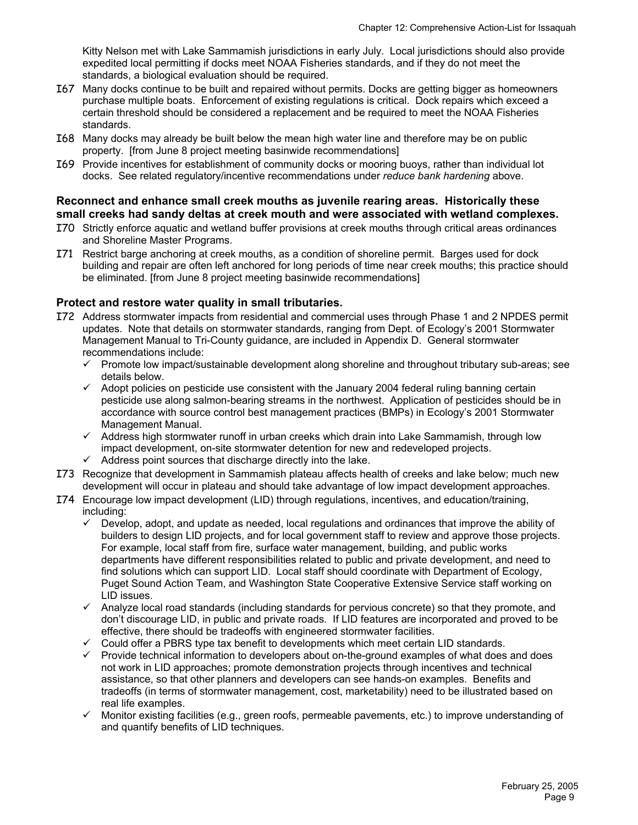Kitty Nelson met with Lake Sammamish jurisdictions in early July. Local jurisdictions should also provide expedited local permitting if docks meet NOAA Fisheries standards, and if they do not meet the standards, a biological evaluation should be required.

- I67 Many docks continue to be built and repaired without permits. Docks are getting bigger as homeowners purchase multiple boats. Enforcement of existing regulations is critical. Dock repairs which exceed a certain threshold should be considered a replacement and be required to meet the NOAA Fisheries standards.
- I68 Many docks may already be built below the mean high water line and therefore may be on public property. [from June 8 project meeting basinwide recommendations]
- I69 Provide incentives for establishment of community docks or mooring buoys, rather than individual lot docks. See related regulatory/incentive recommendations under *reduce bank hardening* above.

## **Reconnect and enhance small creek mouths as juvenile rearing areas. Historically these small creeks had sandy deltas at creek mouth and were associated with wetland complexes.**

- I70 Strictly enforce aquatic and wetland buffer provisions at creek mouths through critical areas ordinances and Shoreline Master Programs.
- I71 Restrict barge anchoring at creek mouths, as a condition of shoreline permit. Barges used for dock building and repair are often left anchored for long periods of time near creek mouths; this practice should be eliminated. [from June 8 project meeting basinwide recommendations]

## **Protect and restore water quality in small tributaries.**

- I72 Address stormwater impacts from residential and commercial uses through Phase 1 and 2 NPDES permit updates. Note that details on stormwater standards, ranging from Dept. of Ecology's 2001 Stormwater Management Manual to Tri-County guidance, are included in Appendix D. General stormwater recommendations include:
	- $\checkmark$  Promote low impact/sustainable development along shoreline and throughout tributary sub-areas; see details below.
	- $\checkmark$  Adopt policies on pesticide use consistent with the January 2004 federal ruling banning certain pesticide use along salmon-bearing streams in the northwest. Application of pesticides should be in accordance with source control best management practices (BMPs) in Ecology's 2001 Stormwater Management Manual.
	- $\checkmark$  Address high stormwater runoff in urban creeks which drain into Lake Sammamish, through low impact development, on-site stormwater detention for new and redeveloped projects.
	- $\checkmark$  Address point sources that discharge directly into the lake.
- I73 Recognize that development in Sammamish plateau affects health of creeks and lake below; much new development will occur in plateau and should take advantage of low impact development approaches.
- I74 Encourage low impact development (LID) through regulations, incentives, and education/training, including:
	- $\checkmark$  Develop, adopt, and update as needed, local regulations and ordinances that improve the ability of builders to design LID projects, and for local government staff to review and approve those projects. For example, local staff from fire, surface water management, building, and public works departments have different responsibilities related to public and private development, and need to find solutions which can support LID. Local staff should coordinate with Department of Ecology, Puget Sound Action Team, and Washington State Cooperative Extensive Service staff working on LID issues.
	- $\checkmark$  Analyze local road standards (including standards for pervious concrete) so that they promote, and don't discourage LID, in public and private roads. If LID features are incorporated and proved to be effective, there should be tradeoffs with engineered stormwater facilities.
	- 9 Could offer a PBRS type tax benefit to developments which meet certain LID standards.
	- $\checkmark$  Provide technical information to developers about on-the-ground examples of what does and does not work in LID approaches; promote demonstration projects through incentives and technical assistance, so that other planners and developers can see hands-on examples. Benefits and tradeoffs (in terms of stormwater management, cost, marketability) need to be illustrated based on real life examples.
	- $\checkmark$  Monitor existing facilities (e.g., green roofs, permeable pavements, etc.) to improve understanding of and quantify benefits of LID techniques.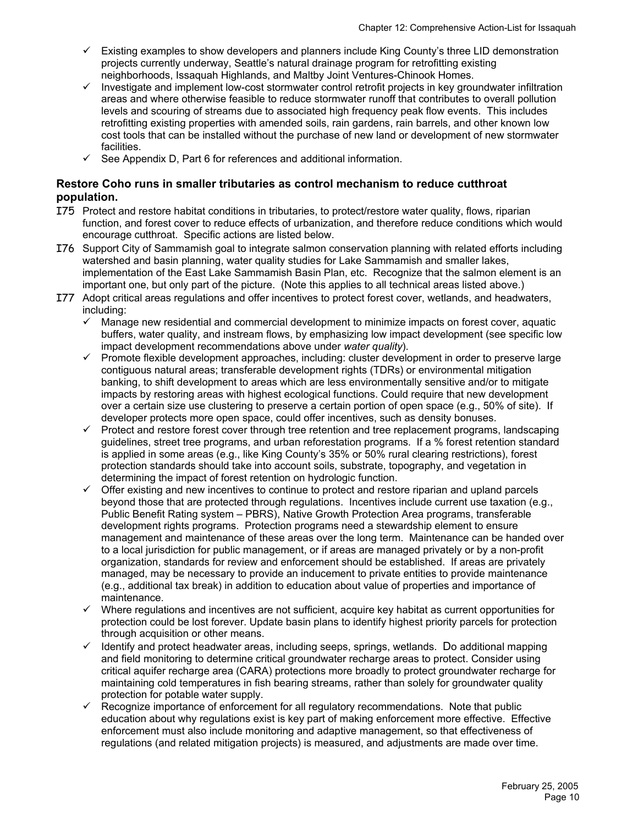- $\checkmark$  Existing examples to show developers and planners include King County's three LID demonstration projects currently underway, Seattle's natural drainage program for retrofitting existing neighborhoods, Issaquah Highlands, and Maltby Joint Ventures-Chinook Homes.
- $\checkmark$  Investigate and implement low-cost stormwater control retrofit projects in key groundwater infiltration areas and where otherwise feasible to reduce stormwater runoff that contributes to overall pollution levels and scouring of streams due to associated high frequency peak flow events. This includes retrofitting existing properties with amended soils, rain gardens, rain barrels, and other known low cost tools that can be installed without the purchase of new land or development of new stormwater facilities.
- $\checkmark$  See Appendix D, Part 6 for references and additional information.

## **Restore Coho runs in smaller tributaries as control mechanism to reduce cutthroat population.**

- I75 Protect and restore habitat conditions in tributaries, to protect/restore water quality, flows, riparian function, and forest cover to reduce effects of urbanization, and therefore reduce conditions which would encourage cutthroat. Specific actions are listed below.
- I76 Support City of Sammamish goal to integrate salmon conservation planning with related efforts including watershed and basin planning, water quality studies for Lake Sammamish and smaller lakes, implementation of the East Lake Sammamish Basin Plan, etc. Recognize that the salmon element is an important one, but only part of the picture. (Note this applies to all technical areas listed above.)
- I77 Adopt critical areas regulations and offer incentives to protect forest cover, wetlands, and headwaters, including:
	- $\checkmark$  Manage new residential and commercial development to minimize impacts on forest cover, aquatic buffers, water quality, and instream flows, by emphasizing low impact development (see specific low impact development recommendations above under *water quality*).
	- $\checkmark$  Promote flexible development approaches, including: cluster development in order to preserve large contiguous natural areas; transferable development rights (TDRs) or environmental mitigation banking, to shift development to areas which are less environmentally sensitive and/or to mitigate impacts by restoring areas with highest ecological functions. Could require that new development over a certain size use clustering to preserve a certain portion of open space (e.g., 50% of site). If developer protects more open space, could offer incentives, such as density bonuses.
	- $\checkmark$  Protect and restore forest cover through tree retention and tree replacement programs, landscaping guidelines, street tree programs, and urban reforestation programs. If a % forest retention standard is applied in some areas (e.g., like King County's 35% or 50% rural clearing restrictions), forest protection standards should take into account soils, substrate, topography, and vegetation in determining the impact of forest retention on hydrologic function.
	- $\checkmark$  Offer existing and new incentives to continue to protect and restore riparian and upland parcels beyond those that are protected through regulations. Incentives include current use taxation (e.g., Public Benefit Rating system – PBRS), Native Growth Protection Area programs, transferable development rights programs. Protection programs need a stewardship element to ensure management and maintenance of these areas over the long term. Maintenance can be handed over to a local jurisdiction for public management, or if areas are managed privately or by a non-profit organization, standards for review and enforcement should be established. If areas are privately managed, may be necessary to provide an inducement to private entities to provide maintenance (e.g., additional tax break) in addition to education about value of properties and importance of maintenance.
	- $\checkmark$  Where regulations and incentives are not sufficient, acquire key habitat as current opportunities for protection could be lost forever. Update basin plans to identify highest priority parcels for protection through acquisition or other means.
	- $\checkmark$  Identify and protect headwater areas, including seeps, springs, wetlands. Do additional mapping and field monitoring to determine critical groundwater recharge areas to protect. Consider using critical aquifer recharge area (CARA) protections more broadly to protect groundwater recharge for maintaining cold temperatures in fish bearing streams, rather than solely for groundwater quality protection for potable water supply.
	- $\checkmark$  Recognize importance of enforcement for all regulatory recommendations. Note that public education about why regulations exist is key part of making enforcement more effective. Effective enforcement must also include monitoring and adaptive management, so that effectiveness of regulations (and related mitigation projects) is measured, and adjustments are made over time.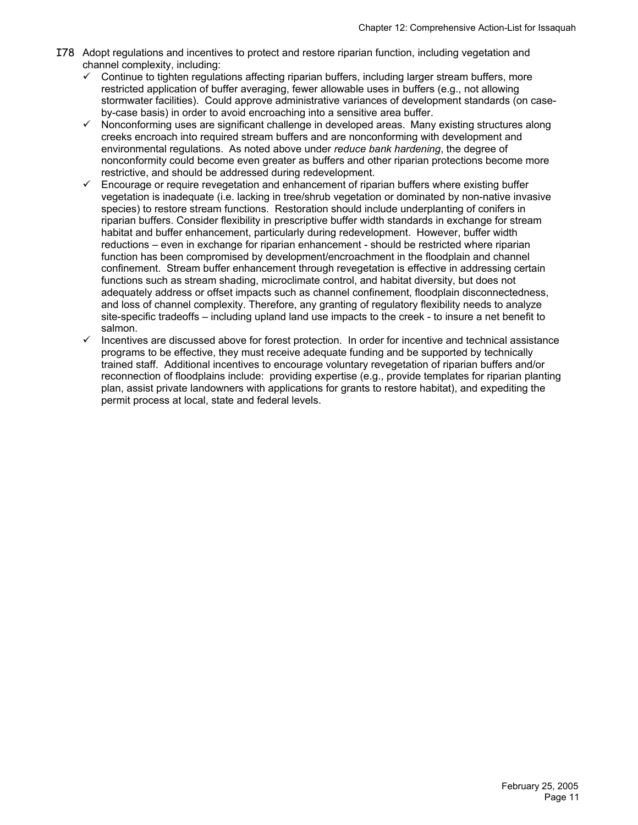- I78 Adopt regulations and incentives to protect and restore riparian function, including vegetation and channel complexity, including:
	- $\checkmark$  Continue to tighten regulations affecting riparian buffers, including larger stream buffers, more restricted application of buffer averaging, fewer allowable uses in buffers (e.g., not allowing stormwater facilities). Could approve administrative variances of development standards (on caseby-case basis) in order to avoid encroaching into a sensitive area buffer.
	- 9 Nonconforming uses are significant challenge in developed areas.Many existing structures along creeks encroach into required stream buffers and are nonconforming with development and environmental regulations. As noted above under *reduce bank hardening*, the degree of nonconformity could become even greater as buffers and other riparian protections become more restrictive, and should be addressed during redevelopment.
	- $\checkmark$  Encourage or require revegetation and enhancement of riparian buffers where existing buffer vegetation is inadequate (i.e. lacking in tree/shrub vegetation or dominated by non-native invasive species) to restore stream functions. Restoration should include underplanting of conifers in riparian buffers. Consider flexibility in prescriptive buffer width standards in exchange for stream habitat and buffer enhancement, particularly during redevelopment. However, buffer width reductions – even in exchange for riparian enhancement - should be restricted where riparian function has been compromised by development/encroachment in the floodplain and channel confinement. Stream buffer enhancement through revegetation is effective in addressing certain functions such as stream shading, microclimate control, and habitat diversity, but does not adequately address or offset impacts such as channel confinement, floodplain disconnectedness, and loss of channel complexity. Therefore, any granting of regulatory flexibility needs to analyze site-specific tradeoffs – including upland land use impacts to the creek - to insure a net benefit to salmon.
	- $\checkmark$  Incentives are discussed above for forest protection. In order for incentive and technical assistance programs to be effective, they must receive adequate funding and be supported by technically trained staff. Additional incentives to encourage voluntary revegetation of riparian buffers and/or reconnection of floodplains include: providing expertise (e.g., provide templates for riparian planting plan, assist private landowners with applications for grants to restore habitat), and expediting the permit process at local, state and federal levels.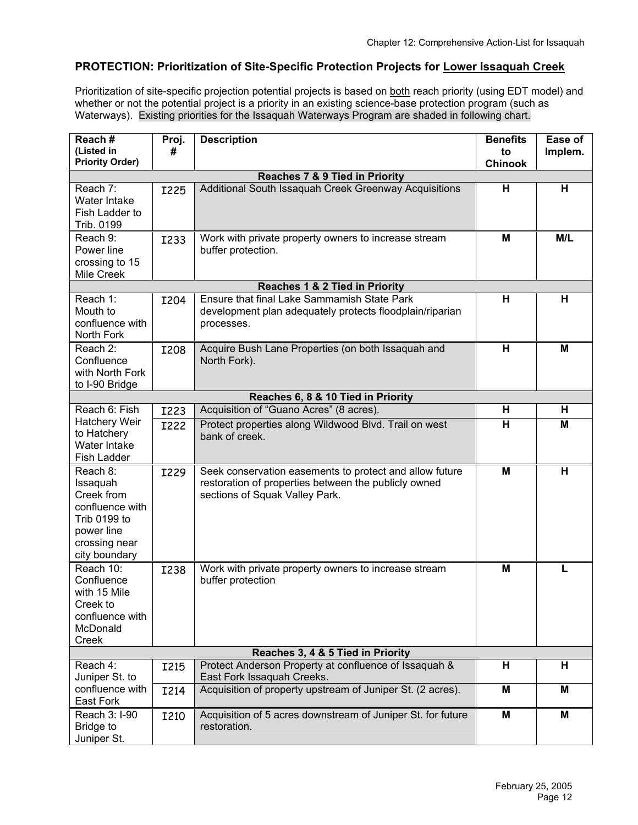## **PROTECTION: Prioritization of Site-Specific Protection Projects for Lower Issaquah Creek**

Prioritization of site-specific projection potential projects is based on both reach priority (using EDT model) and whether or not the potential project is a priority in an existing science-base protection program (such as Waterways). Existing priorities for the Issaquah Waterways Program are shaded in following chart.

| Reach#                                                                                                                | Proj. | <b>Description</b>                                                                                                                                | <b>Benefits</b>         | Ease of |
|-----------------------------------------------------------------------------------------------------------------------|-------|---------------------------------------------------------------------------------------------------------------------------------------------------|-------------------------|---------|
| (Listed in<br>#<br><b>Priority Order)</b>                                                                             |       |                                                                                                                                                   | to<br><b>Chinook</b>    | Implem. |
|                                                                                                                       |       | Reaches 7 & 9 Tied in Priority                                                                                                                    |                         |         |
| Reach 7:<br>Water Intake<br>Fish Ladder to<br>Trib. 0199                                                              | I225  | Additional South Issaquah Creek Greenway Acquisitions                                                                                             | н                       | н       |
| Reach 9:<br>Power line<br>crossing to 15<br>Mile Creek                                                                | I233  | Work with private property owners to increase stream<br>buffer protection.                                                                        | M                       | M/L     |
|                                                                                                                       |       | Reaches 1 & 2 Tied in Priority                                                                                                                    |                         |         |
| Reach 1:<br>Mouth to<br>confluence with<br>North Fork                                                                 | I204  | Ensure that final Lake Sammamish State Park<br>development plan adequately protects floodplain/riparian<br>processes.                             | H                       | H       |
| Reach 2:<br>Confluence<br>with North Fork<br>to I-90 Bridge                                                           | I208  | Acquire Bush Lane Properties (on both Issaquah and<br>North Fork).                                                                                | H                       | M       |
|                                                                                                                       |       | Reaches 6, 8 & 10 Tied in Priority                                                                                                                |                         |         |
| Reach 6: Fish                                                                                                         | I223  | Acquisition of "Guano Acres" (8 acres).                                                                                                           | H                       | Н       |
| <b>Hatchery Weir</b><br>to Hatchery<br>Water Intake<br>Fish Ladder                                                    | I222  | Protect properties along Wildwood Blvd. Trail on west<br>bank of creek.                                                                           | $\overline{\mathsf{H}}$ | M       |
| Reach 8:<br>Issaquah<br>Creek from<br>confluence with<br>Trib 0199 to<br>power line<br>crossing near<br>city boundary | I229  | Seek conservation easements to protect and allow future<br>restoration of properties between the publicly owned<br>sections of Squak Valley Park. | M                       | H       |
| Reach $10$ :<br>Confluence<br>with 15 Mile<br>Creek to<br>confluence with<br>McDonald<br>Creek                        | I238  | Work with private property owners to increase stream<br>buffer protection                                                                         | M                       |         |
|                                                                                                                       |       | Reaches 3, 4 & 5 Tied in Priority                                                                                                                 |                         |         |
| Reach 4:<br>Juniper St. to                                                                                            | I215  | Protect Anderson Property at confluence of Issaquah &<br>East Fork Issaquah Creeks.                                                               | н                       | н       |
| confluence with<br>East Fork                                                                                          | I214  | Acquisition of property upstream of Juniper St. (2 acres).                                                                                        | M                       | M       |
| Reach 3: I-90<br>Bridge to<br>Juniper St.                                                                             | I210  | Acquisition of 5 acres downstream of Juniper St. for future<br>restoration.                                                                       | M                       | M       |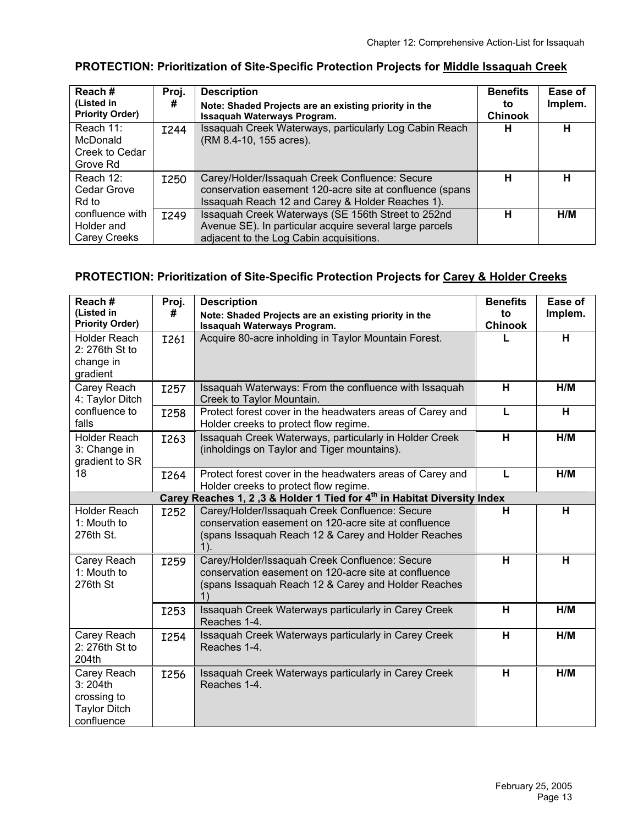| Reach#<br>(Listed in<br><b>Priority Order)</b>       | Proj.<br>#       | <b>Description</b><br>Note: Shaded Projects are an existing priority in the<br>Issaquah Waterways Program.                                                     | <b>Benefits</b><br>to<br><b>Chinook</b> | Ease of<br>Implem. |
|------------------------------------------------------|------------------|----------------------------------------------------------------------------------------------------------------------------------------------------------------|-----------------------------------------|--------------------|
| Reach 11:<br>McDonald<br>Creek to Cedar<br>Grove Rd  | T <sub>244</sub> | Issaquah Creek Waterways, particularly Log Cabin Reach<br>(RM 8.4-10, 155 acres).                                                                              | н                                       | н                  |
| Reach 12:<br>Cedar Grove<br>Rd to                    | I250             | Carey/Holder/Issaquah Creek Confluence: Secure<br>conservation easement 120-acre site at confluence (spans<br>Issaquah Reach 12 and Carey & Holder Reaches 1). | н                                       | н                  |
| confluence with<br>Holder and<br><b>Carey Creeks</b> | I249             | Issaquah Creek Waterways (SE 156th Street to 252nd<br>Avenue SE). In particular acquire several large parcels<br>adjacent to the Log Cabin acquisitions.       | н                                       | H/M                |

## **PROTECTION: Prioritization of Site-Specific Protection Projects for Middle Issaquah Creek**

## **PROTECTION: Prioritization of Site-Specific Protection Projects for Carey & Holder Creeks**

| Reach#<br>Proj.<br><b>Description</b><br>(Listed in<br>#<br>Note: Shaded Projects are an existing priority in the<br><b>Priority Order)</b><br>Issaquah Waterways Program. |      | <b>Benefits</b><br>to<br><b>Chinook</b>                                                                                                                                  | Ease of<br>Implem.      |     |
|----------------------------------------------------------------------------------------------------------------------------------------------------------------------------|------|--------------------------------------------------------------------------------------------------------------------------------------------------------------------------|-------------------------|-----|
| Acquire 80-acre inholding in Taylor Mountain Forest.<br><b>Holder Reach</b><br>I261<br>2: 276th St to<br>change in<br>gradient                                             |      |                                                                                                                                                                          |                         | н   |
| Carey Reach<br>4: Taylor Ditch                                                                                                                                             | I257 | Issaquah Waterways: From the confluence with Issaquah<br>Creek to Taylor Mountain.                                                                                       | H                       | H/M |
| confluence to<br>falls                                                                                                                                                     | I258 | Protect forest cover in the headwaters areas of Carey and<br>Holder creeks to protect flow regime.                                                                       | L                       | H   |
| <b>Holder Reach</b><br>3: Change in<br>gradient to SR                                                                                                                      | I263 | Issaquah Creek Waterways, particularly in Holder Creek<br>(inholdings on Taylor and Tiger mountains).                                                                    | $\overline{\mathbf{H}}$ | H/M |
| 18                                                                                                                                                                         | I264 | Protect forest cover in the headwaters areas of Carey and<br>Holder creeks to protect flow regime.                                                                       | L                       | H/M |
|                                                                                                                                                                            |      | Carey Reaches 1, 2, 3 & Holder 1 Tied for 4 <sup>th</sup> in Habitat Diversity Index                                                                                     |                         |     |
| <b>Holder Reach</b><br>1: Mouth to<br>276th St.                                                                                                                            | I252 | Carey/Holder/Issaquah Creek Confluence: Secure<br>conservation easement on 120-acre site at confluence<br>(spans Issaquah Reach 12 & Carey and Holder Reaches<br>$(1)$ . | H                       | H   |
| Carey Reach<br>1: Mouth to<br>276th St                                                                                                                                     | I259 | Carey/Holder/Issaquah Creek Confluence: Secure<br>conservation easement on 120-acre site at confluence<br>(spans Issaquah Reach 12 & Carey and Holder Reaches<br>1)      | H                       | H   |
|                                                                                                                                                                            | I253 | Issaquah Creek Waterways particularly in Carey Creek<br>Reaches 1-4.                                                                                                     | H                       | H/M |
| Carey Reach<br>2: 276th St to<br>204th                                                                                                                                     | I254 | Issaquah Creek Waterways particularly in Carey Creek<br>Reaches 1-4.                                                                                                     | H                       | H/M |
| Carey Reach<br>3:204th<br>crossing to<br><b>Taylor Ditch</b><br>confluence                                                                                                 | I256 | Issaquah Creek Waterways particularly in Carey Creek<br>Reaches 1-4.                                                                                                     | н                       | H/M |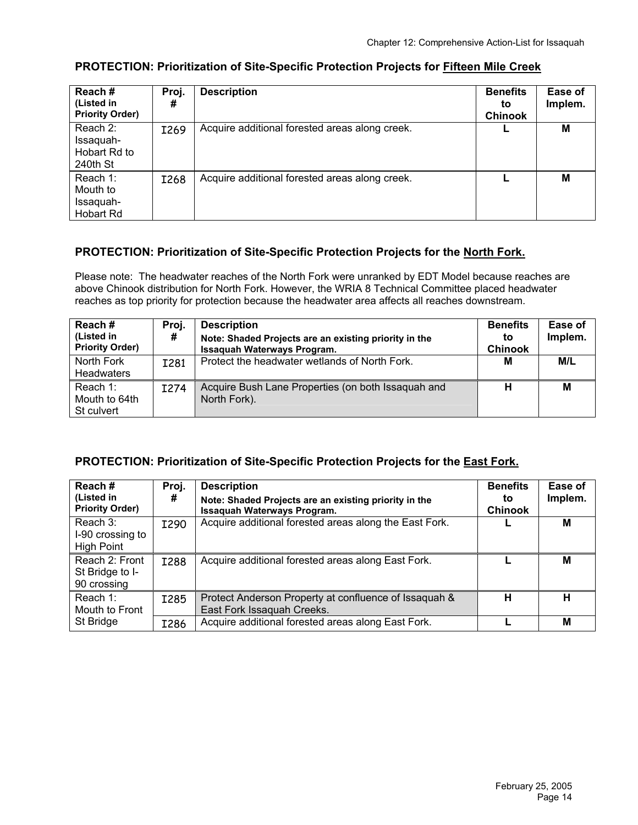| Reach#<br>(Listed in<br><b>Priority Order)</b>    | Proj.<br># | <b>Description</b>                             | <b>Benefits</b><br>to<br><b>Chinook</b> | Ease of<br>Implem. |
|---------------------------------------------------|------------|------------------------------------------------|-----------------------------------------|--------------------|
| Reach 2:<br>Issaquah-<br>Hobart Rd to<br>240th St | I269       | Acquire additional forested areas along creek. |                                         | M                  |
| Reach 1:<br>Mouth to<br>Issaquah-<br>Hobart Rd    | I268       | Acquire additional forested areas along creek. |                                         | М                  |

## **PROTECTION: Prioritization of Site-Specific Protection Projects for Fifteen Mile Creek**

## **PROTECTION: Prioritization of Site-Specific Protection Projects for the North Fork.**

Please note: The headwater reaches of the North Fork were unranked by EDT Model because reaches are above Chinook distribution for North Fork. However, the WRIA 8 Technical Committee placed headwater reaches as top priority for protection because the headwater area affects all reaches downstream.

| Reach#<br>(Listed in<br><b>Priority Order)</b> | Proi.<br># | <b>Description</b><br>Note: Shaded Projects are an existing priority in the<br>Issaguah Waterways Program. | <b>Benefits</b><br>to<br><b>Chinook</b> | Ease of<br>Implem. |
|------------------------------------------------|------------|------------------------------------------------------------------------------------------------------------|-----------------------------------------|--------------------|
| North Fork<br><b>Headwaters</b>                | I281       | Protect the headwater wetlands of North Fork.                                                              | М                                       | M/L                |
| Reach 1:<br>Mouth to 64th<br>St culvert        | I274       | Acquire Bush Lane Properties (on both Issaquah and<br>North Fork).                                         | н                                       | M                  |

## **PROTECTION: Prioritization of Site-Specific Protection Projects for the East Fork.**

| Reach#<br>(Listed in<br><b>Priority Order)</b>   | Proj.<br>#  | <b>Description</b><br>Note: Shaded Projects are an existing priority in the<br>Issaquah Waterways Program. | <b>Benefits</b><br>to<br><b>Chinook</b> | Ease of<br>Implem. |
|--------------------------------------------------|-------------|------------------------------------------------------------------------------------------------------------|-----------------------------------------|--------------------|
| Reach 3:<br>I-90 crossing to<br>High Point       | I290        | Acquire additional forested areas along the East Fork.                                                     |                                         | M                  |
| Reach 2: Front<br>St Bridge to I-<br>90 crossing | <b>I288</b> | Acquire additional forested areas along East Fork.                                                         |                                         | M                  |
| Reach 1:<br>Mouth to Front                       | I285        | Protect Anderson Property at confluence of Issaquah &<br>East Fork Issaquah Creeks.                        | н                                       | н                  |
| St Bridge                                        | I286        | Acquire additional forested areas along East Fork.                                                         |                                         | M                  |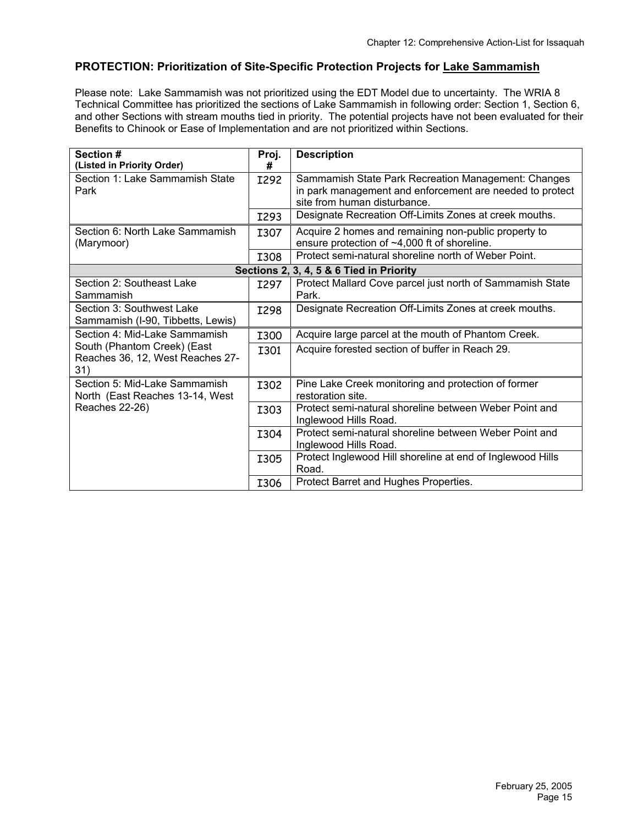## **PROTECTION: Prioritization of Site-Specific Protection Projects for Lake Sammamish**

Please note: Lake Sammamish was not prioritized using the EDT Model due to uncertainty. The WRIA 8 Technical Committee has prioritized the sections of Lake Sammamish in following order: Section 1, Section 6, and other Sections with stream mouths tied in priority. The potential projects have not been evaluated for their Benefits to Chinook or Ease of Implementation and are not prioritized within Sections.

| Section #                                                              | Proj. | <b>Description</b>                                                                                                                              |
|------------------------------------------------------------------------|-------|-------------------------------------------------------------------------------------------------------------------------------------------------|
| (Listed in Priority Order)                                             | #     |                                                                                                                                                 |
| Section 1: Lake Sammamish State<br>Park                                | I292  | Sammamish State Park Recreation Management: Changes<br>in park management and enforcement are needed to protect<br>site from human disturbance. |
|                                                                        | I293  | Designate Recreation Off-Limits Zones at creek mouths.                                                                                          |
| Section 6: North Lake Sammamish<br>(Marymoor)                          | I307  | Acquire 2 homes and remaining non-public property to<br>ensure protection of $~1,000$ ft of shoreline.                                          |
|                                                                        | I308  | Protect semi-natural shoreline north of Weber Point.                                                                                            |
|                                                                        |       | Sections 2, 3, 4, 5 & 6 Tied in Priority                                                                                                        |
| Section 2: Southeast Lake<br>Sammamish                                 | I297  | Protect Mallard Cove parcel just north of Sammamish State<br>Park.                                                                              |
| Section 3: Southwest Lake<br>Sammamish (I-90, Tibbetts, Lewis)         | I298  | Designate Recreation Off-Limits Zones at creek mouths.                                                                                          |
| Section 4: Mid-Lake Sammamish                                          | I300  | Acquire large parcel at the mouth of Phantom Creek.                                                                                             |
| South (Phantom Creek) (East<br>Reaches 36, 12, West Reaches 27-<br>31) | I301  | Acquire forested section of buffer in Reach 29.                                                                                                 |
| Section 5: Mid-Lake Sammamish<br>North (East Reaches 13-14, West       | I302  | Pine Lake Creek monitoring and protection of former<br>restoration site.                                                                        |
| Reaches 22-26)                                                         | I303  | Protect semi-natural shoreline between Weber Point and<br>Inglewood Hills Road.                                                                 |
|                                                                        | I304  | Protect semi-natural shoreline between Weber Point and<br>Inglewood Hills Road.                                                                 |
|                                                                        | I305  | Protect Inglewood Hill shoreline at end of Inglewood Hills<br>Road.                                                                             |
|                                                                        | I306  | Protect Barret and Hughes Properties.                                                                                                           |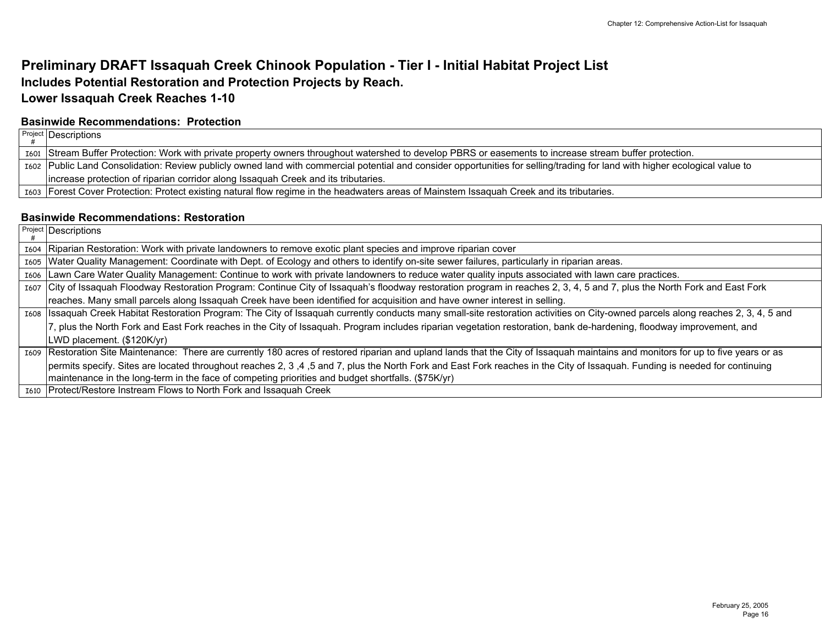## **Preliminary DRAFT Issaquah Creek Chinook Population - Tier I - Initial Habitat Project List Includes Potential Restoration and Protection Projects by Reach. Lower Issaquah Creek Reaches 1-10**

#### **Basinwide Recommendations: Protection**

|                                               | <b>Project Descriptions</b>                                                                                                                                                  |  |  |  |  |  |  |
|-----------------------------------------------|------------------------------------------------------------------------------------------------------------------------------------------------------------------------------|--|--|--|--|--|--|
|                                               | 1601 Stream Buffer Protection: Work with private property owners throughout watershed to develop PBRS or easements to increase stream buffer protection.                     |  |  |  |  |  |  |
|                                               | 1602 Public Land Consolidation: Review publicly owned land with commercial potential and consider opportunities for selling/trading for land with higher ecological value to |  |  |  |  |  |  |
|                                               | lincrease protection of riparian corridor along Issaguah Creek and its tributaries.                                                                                          |  |  |  |  |  |  |
|                                               | 1603   Forest Cover Protection: Protect existing natural flow regime in the headwaters areas of Mainstem Issaquah Creek and its tributaries.                                 |  |  |  |  |  |  |
| <b>Basinwide Recommendations: Restoration</b> |                                                                                                                                                                              |  |  |  |  |  |  |

|      | Project Descriptions                                                                                                                                                               |
|------|------------------------------------------------------------------------------------------------------------------------------------------------------------------------------------|
|      | 1604 Riparian Restoration: Work with private landowners to remove exotic plant species and improve riparian cover                                                                  |
| I605 | Water Quality Management: Coordinate with Dept. of Ecology and others to identify on-site sewer failures, particularly in riparian areas.                                          |
| I606 | Lawn Care Water Quality Management: Continue to work with private landowners to reduce water quality inputs associated with lawn care practices.                                   |
| I607 | City of Issaquah Floodway Restoration Program: Continue City of Issaquah's floodway restoration program in reaches 2, 3, 4, 5 and 7, plus the North Fork and East Fork             |
|      | reaches. Many small parcels along Issaquah Creek have been identified for acquisition and have owner interest in selling.                                                          |
|      | 1608 Issaquah Creek Habitat Restoration Program: The City of Issaquah currently conducts many small-site restoration activities on City-owned parcels along reaches 2, 3, 4, 5 and |
|      | 7, plus the North Fork and East Fork reaches in the City of Issaquah. Program includes riparian vegetation restoration, bank de-hardening, floodway improvement, and               |
|      | LWD placement. (\$120K/yr)                                                                                                                                                         |
|      | I609 Restoration Site Maintenance: There are currently 180 acres of restored riparian and upland lands that the City of Issaquah maintains and monitors for up to five years or as |
|      | permits specify. Sites are located throughout reaches 2, 3, 4, 5 and 7, plus the North Fork and East Fork reaches in the City of Issaquah. Funding is needed for continuing        |
|      | maintenance in the long-term in the face of competing priorities and budget shortfalls. (\$75K/yr)                                                                                 |
|      | 1610   Protect/Restore Instream Flows to North Fork and Issaquah Creek                                                                                                             |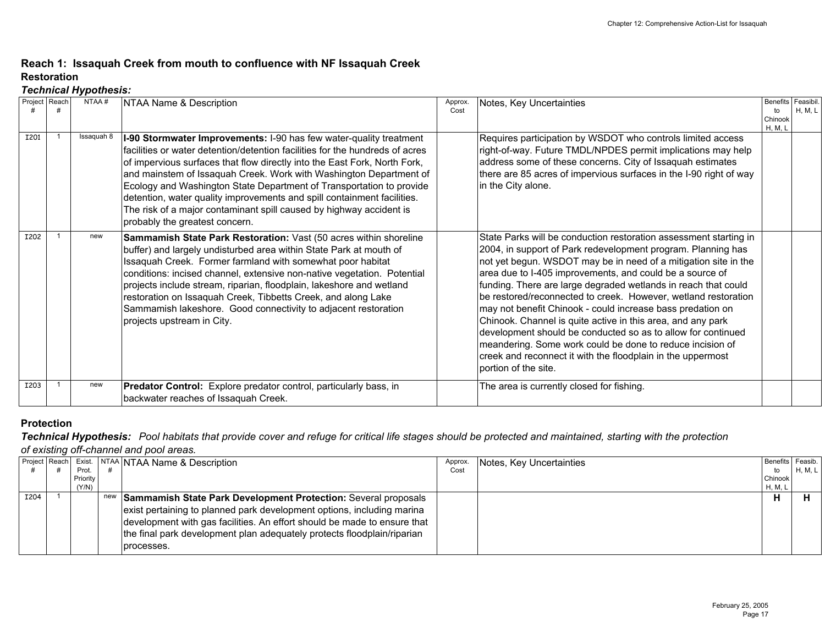## **Reach 1: Issaquah Creek from mouth to confluence with NF Issaquah Creek**

#### **Restoration***Technical Hypothesis:*

| Project Reach | NTAA#      | <b>NTAA Name &amp; Description</b>                                                                                                                                                                                                                                                                                                                                                                                                                                                                                                                                | Approx.<br>Cost | Notes, Key Uncertainties                                                                                                                                                                                                                                                                                                                                                                                                                                                                                                                                                                                                                                                                                                                              | to<br>Chinook<br>H. M. L | Benefits Feasibil.<br>H, M, L |
|---------------|------------|-------------------------------------------------------------------------------------------------------------------------------------------------------------------------------------------------------------------------------------------------------------------------------------------------------------------------------------------------------------------------------------------------------------------------------------------------------------------------------------------------------------------------------------------------------------------|-----------------|-------------------------------------------------------------------------------------------------------------------------------------------------------------------------------------------------------------------------------------------------------------------------------------------------------------------------------------------------------------------------------------------------------------------------------------------------------------------------------------------------------------------------------------------------------------------------------------------------------------------------------------------------------------------------------------------------------------------------------------------------------|--------------------------|-------------------------------|
| I201          | Issaguah 8 | I-90 Stormwater Improvements: I-90 has few water-quality treatment<br>facilities or water detention/detention facilities for the hundreds of acres<br>of impervious surfaces that flow directly into the East Fork, North Fork,<br>and mainstem of Issaquah Creek. Work with Washington Department of<br>Ecology and Washington State Department of Transportation to provide<br>detention, water quality improvements and spill containment facilities.<br>The risk of a major contaminant spill caused by highway accident is<br>probably the greatest concern. |                 | Requires participation by WSDOT who controls limited access<br>right-of-way. Future TMDL/NPDES permit implications may help<br>address some of these concerns. City of Issaquah estimates<br>there are 85 acres of impervious surfaces in the I-90 right of way<br>in the City alone.                                                                                                                                                                                                                                                                                                                                                                                                                                                                 |                          |                               |
| <b>I202</b>   | new        | Sammamish State Park Restoration: Vast (50 acres within shoreline<br>buffer) and largely undisturbed area within State Park at mouth of<br>Issaquah Creek. Former farmland with somewhat poor habitat<br>conditions: incised channel, extensive non-native vegetation. Potential<br>projects include stream, riparian, floodplain, lakeshore and wetland<br>restoration on Issaquah Creek, Tibbetts Creek, and along Lake<br>Sammamish lakeshore. Good connectivity to adjacent restoration<br>projects upstream in City.                                         |                 | State Parks will be conduction restoration assessment starting in<br>2004, in support of Park redevelopment program. Planning has<br>not yet begun. WSDOT may be in need of a mitigation site in the<br>area due to I-405 improvements, and could be a source of<br>funding. There are large degraded wetlands in reach that could<br>be restored/reconnected to creek. However, wetland restoration<br>may not benefit Chinook - could increase bass predation on<br>Chinook. Channel is quite active in this area, and any park<br>development should be conducted so as to allow for continued<br>meandering. Some work could be done to reduce incision of<br>creek and reconnect it with the floodplain in the uppermost<br>portion of the site. |                          |                               |
| I203          | new        | Predator Control: Explore predator control, particularly bass, in<br>backwater reaches of Issaquah Creek.                                                                                                                                                                                                                                                                                                                                                                                                                                                         |                 | The area is currently closed for fishing.                                                                                                                                                                                                                                                                                                                                                                                                                                                                                                                                                                                                                                                                                                             |                          |                               |

## **Protection**

*Technical Hypothesis: Pool habitats that provide cover and refuge for critical life stages should be protected and maintained, starting with the protection of existing off-channel and pool areas.*

|             | Project Reach |          | <b>1</b> Exist. NTAA NTAA Name & Description                                                                                                                                                                                                                                                                       | Approx. | Notes, Key Uncertainties |         | Benefits Feasib. |
|-------------|---------------|----------|--------------------------------------------------------------------------------------------------------------------------------------------------------------------------------------------------------------------------------------------------------------------------------------------------------------------|---------|--------------------------|---------|------------------|
|             |               | Prot.    |                                                                                                                                                                                                                                                                                                                    | Cost    |                          | to      | H, M, L          |
|             |               | Priority |                                                                                                                                                                                                                                                                                                                    |         |                          | Chinook |                  |
|             |               | (Y/N)    |                                                                                                                                                                                                                                                                                                                    |         |                          | H, M, L |                  |
| <b>I204</b> |               |          | new Sammamish State Park Development Protection: Several proposals<br>exist pertaining to planned park development options, including marina<br>development with gas facilities. An effort should be made to ensure that<br>the final park development plan adequately protects floodplain/riparian<br>Iprocesses. |         |                          |         |                  |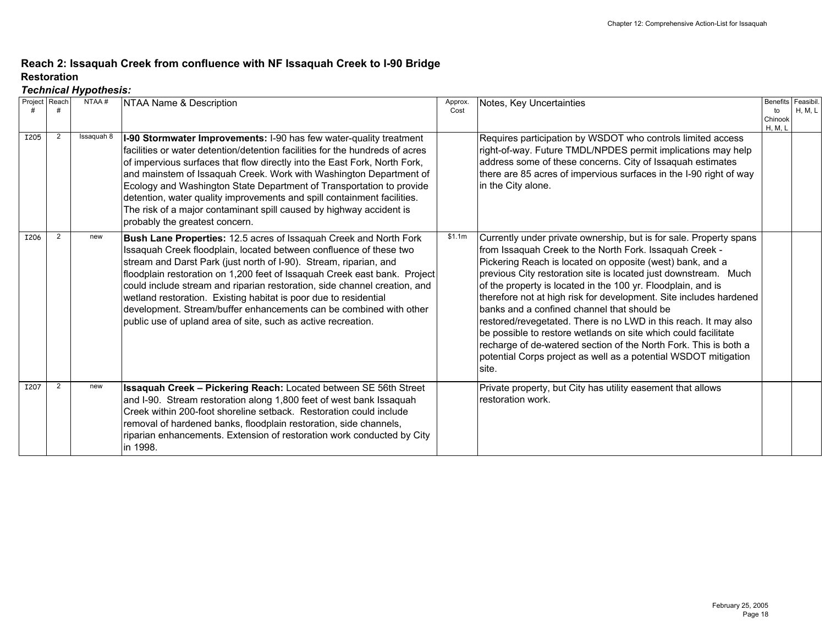#### **Reach 2: Issaquah Creek from confluence with NF Issaquah Creek to I-90 Bridge Restoration**

| Project Reach |   | NTAA#      | NTAA Name & Description                                                                                                                                                                                                                                                                                                                                                                                                                                                                                                                                                           | Approx.<br>Cost | Notes, Key Uncertainties                                                                                                                                                                                                                                                                                                                                                                                                                                                                                                                                                                                                                                                                                                                 | <b>Benefits</b><br>to<br>Chinook<br><b>H, M, L</b> | Feasibil.<br>H, M, L |
|---------------|---|------------|-----------------------------------------------------------------------------------------------------------------------------------------------------------------------------------------------------------------------------------------------------------------------------------------------------------------------------------------------------------------------------------------------------------------------------------------------------------------------------------------------------------------------------------------------------------------------------------|-----------------|------------------------------------------------------------------------------------------------------------------------------------------------------------------------------------------------------------------------------------------------------------------------------------------------------------------------------------------------------------------------------------------------------------------------------------------------------------------------------------------------------------------------------------------------------------------------------------------------------------------------------------------------------------------------------------------------------------------------------------------|----------------------------------------------------|----------------------|
| I205          |   | Issaquah 8 | 1-90 Stormwater Improvements: I-90 has few water-quality treatment<br>facilities or water detention/detention facilities for the hundreds of acres<br>of impervious surfaces that flow directly into the East Fork, North Fork,<br>and mainstem of Issaquah Creek. Work with Washington Department of<br>Ecology and Washington State Department of Transportation to provide<br>detention, water quality improvements and spill containment facilities.<br>The risk of a major contaminant spill caused by highway accident is<br>probably the greatest concern.                 |                 | Requires participation by WSDOT who controls limited access<br>right-of-way. Future TMDL/NPDES permit implications may help<br>address some of these concerns. City of Issaquah estimates<br>there are 85 acres of impervious surfaces in the I-90 right of way<br>in the City alone.                                                                                                                                                                                                                                                                                                                                                                                                                                                    |                                                    |                      |
| <b>I206</b>   |   | new        | Bush Lane Properties: 12.5 acres of Issaquah Creek and North Fork<br>Issaquah Creek floodplain, located between confluence of these two<br>stream and Darst Park (just north of I-90). Stream, riparian, and<br>floodplain restoration on 1,200 feet of Issaquah Creek east bank. Project<br>could include stream and riparian restoration, side channel creation, and<br>wetland restoration. Existing habitat is poor due to residential<br>development. Stream/buffer enhancements can be combined with other<br>public use of upland area of site, such as active recreation. | \$1.1m          | Currently under private ownership, but is for sale. Property spans<br>from Issaquah Creek to the North Fork. Issaquah Creek -<br>Pickering Reach is located on opposite (west) bank, and a<br>previous City restoration site is located just downstream. Much<br>of the property is located in the 100 yr. Floodplain, and is<br>therefore not at high risk for development. Site includes hardened<br>banks and a confined channel that should be<br>restored/revegetated. There is no LWD in this reach. It may also<br>be possible to restore wetlands on site which could facilitate<br>recharge of de-watered section of the North Fork. This is both a<br>potential Corps project as well as a potential WSDOT mitigation<br>site. |                                                    |                      |
| I207          | 2 | new        | <b>Issaquah Creek - Pickering Reach:</b> Located between SE 56th Street<br>and I-90. Stream restoration along 1,800 feet of west bank Issaquah<br>Creek within 200-foot shoreline setback. Restoration could include<br>removal of hardened banks, floodplain restoration, side channels,<br>riparian enhancements. Extension of restoration work conducted by City<br>in 1998.                                                                                                                                                                                                   |                 | Private property, but City has utility easement that allows<br>restoration work.                                                                                                                                                                                                                                                                                                                                                                                                                                                                                                                                                                                                                                                         |                                                    |                      |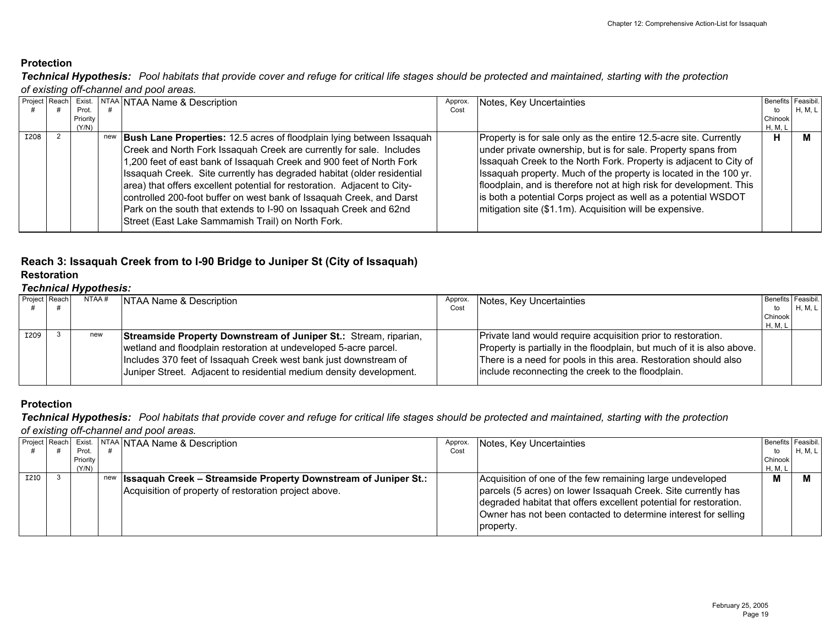*Technical Hypothesis: Pool habitats that provide cover and refuge for critical life stages should be protected and maintained, starting with the protection of existing off-channel and pool areas.*

| Project Reach |          | Exist. NTAA NTAA Name & Description                                      | Approx. | Notes, Key Uncertainties                                            |         | Benefits Feasibil. |
|---------------|----------|--------------------------------------------------------------------------|---------|---------------------------------------------------------------------|---------|--------------------|
|               | Prot.    |                                                                          | Cost    |                                                                     | to      | H, M, L            |
|               | Priority |                                                                          |         |                                                                     | Chinook |                    |
|               | (Y/N)    |                                                                          |         |                                                                     | H, M, L |                    |
| <b>I208</b>   |          | Bush Lane Properties: 12.5 acres of floodplain lying between Issaquah    |         | Property is for sale only as the entire 12.5-acre site. Currently   | н       |                    |
|               |          | Creek and North Fork Issaquah Creek are currently for sale. Includes     |         | under private ownership, but is for sale. Property spans from       |         |                    |
|               |          | 1,200 feet of east bank of Issaquah Creek and 900 feet of North Fork     |         | Issaquah Creek to the North Fork. Property is adjacent to City of   |         |                    |
|               |          | Issaquah Creek. Site currently has degraded habitat (older residential   |         | Issaquah property. Much of the property is located in the 100 yr.   |         |                    |
|               |          | area) that offers excellent potential for restoration. Adjacent to City- |         | floodplain, and is therefore not at high risk for development. This |         |                    |
|               |          | controlled 200-foot buffer on west bank of Issaguah Creek, and Darst     |         | is both a potential Corps project as well as a potential WSDOT      |         |                    |
|               |          | Park on the south that extends to I-90 on Issaquah Creek and 62nd        |         | mitigation site (\$1.1m). Acquisition will be expensive.            |         |                    |
|               |          | Street (East Lake Sammamish Trail) on North Fork.                        |         |                                                                     |         |                    |

#### **Reach 3: Issaquah Creek from to I-90 Bridge to Juniper St (City of Issaquah) Restoration**

## *Technical Hypothesis:*

|               | <u>, commourny pourcolor</u> |                                                                     |         |                                                                        |                    |              |
|---------------|------------------------------|---------------------------------------------------------------------|---------|------------------------------------------------------------------------|--------------------|--------------|
| Project Reach | NTAA#                        | NTAA Name & Description                                             | Approx. | Notes, Key Uncertainties                                               | Benefits Feasibil. |              |
|               |                              |                                                                     | Cost    |                                                                        |                    | to $H, M, L$ |
|               |                              |                                                                     |         |                                                                        | Chinook            |              |
|               |                              |                                                                     |         |                                                                        | <b>H, M, L</b>     |              |
| I209          | new                          | Streamside Property Downstream of Juniper St.: Stream, riparian,    |         | Private land would require acquisition prior to restoration.           |                    |              |
|               |                              | wetland and floodplain restoration at undeveloped 5-acre parcel.    |         | Property is partially in the floodplain, but much of it is also above. |                    |              |
|               |                              | Includes 370 feet of Issaguah Creek west bank just downstream of    |         | There is a need for pools in this area. Restoration should also        |                    |              |
|               |                              | Juniper Street. Adjacent to residential medium density development. |         | include reconnecting the creek to the floodplain.                      |                    |              |
|               |                              |                                                                     |         |                                                                        |                    |              |

## **Protection**

*Technical Hypothesis: Pool habitats that provide cover and refuge for critical life stages should be protected and maintained, starting with the protection of existing off-channel and pool areas.*

|      | Prot.             |     | Project Reach Exist. NTAA NTAA Name & Description                                                                               | <b>Approx</b><br>Cost | Notes, Key Uncertainties                                                                                                                                                                                                                                                       |                    | Benefits Feasibil.<br>H, M, L |
|------|-------------------|-----|---------------------------------------------------------------------------------------------------------------------------------|-----------------------|--------------------------------------------------------------------------------------------------------------------------------------------------------------------------------------------------------------------------------------------------------------------------------|--------------------|-------------------------------|
|      | Priority<br>(Y/N) |     |                                                                                                                                 |                       |                                                                                                                                                                                                                                                                                | Chinook<br>H, M, L |                               |
| I210 |                   | new | <b>Issaquah Creek – Streamside Property Downstream of Juniper St.:</b><br>Acquisition of property of restoration project above. |                       | Acquisition of one of the few remaining large undeveloped<br>parcels (5 acres) on lower Issaquah Creek. Site currently has<br>degraded habitat that offers excellent potential for restoration.<br>Owner has not been contacted to determine interest for selling<br>property. | M                  |                               |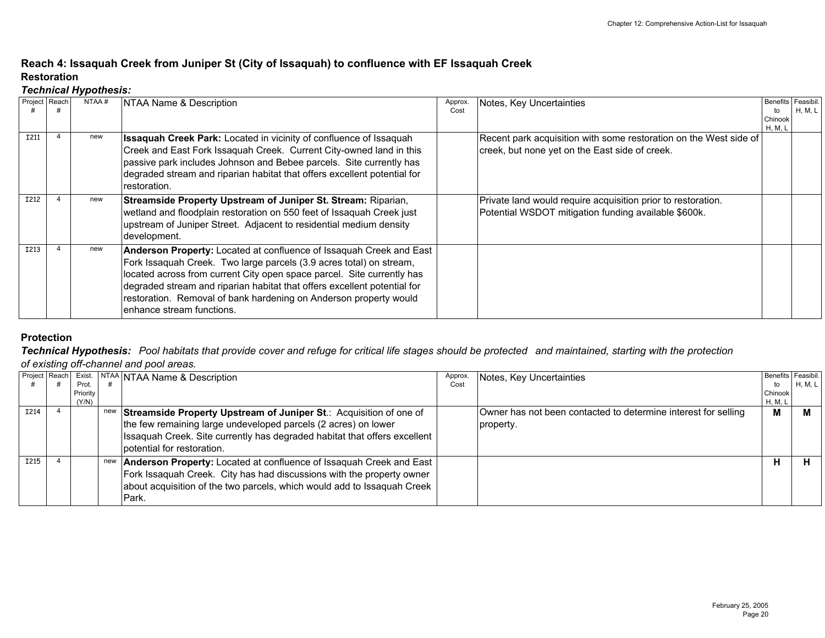## **Reach 4: Issaquah Creek from Juniper St (City of Issaquah) to confluence with EF Issaquah Creek Restoration**

### *Technical Hypothesis:*

| Project Reach | NTAA# | NTAA Name & Description                                                                                                                                                                                                                                                                                                                                                                            | Approx.<br>Cost | Notes, Key Uncertainties                                                                                             | to<br>Chinook | Benefits Feasibil.<br>H, M, L |
|---------------|-------|----------------------------------------------------------------------------------------------------------------------------------------------------------------------------------------------------------------------------------------------------------------------------------------------------------------------------------------------------------------------------------------------------|-----------------|----------------------------------------------------------------------------------------------------------------------|---------------|-------------------------------|
| T211          | new   | <b>Issaquah Creek Park:</b> Located in vicinity of confluence of Issaquah<br>Creek and East Fork Issaguah Creek. Current City-owned land in this<br>passive park includes Johnson and Bebee parcels. Site currently has<br>degraded stream and riparian habitat that offers excellent potential for<br>restoration.                                                                                |                 | Recent park acquisition with some restoration on the West side of<br>creek, but none yet on the East side of creek.  | H, M, L       |                               |
| <b>I212</b>   | new   | Streamside Property Upstream of Juniper St. Stream: Riparian,<br>wetland and floodplain restoration on 550 feet of Issaquah Creek just<br>upstream of Juniper Street. Adjacent to residential medium density<br>development.                                                                                                                                                                       |                 | Private land would require acquisition prior to restoration.<br>Potential WSDOT mitigation funding available \$600k. |               |                               |
| <b>I213</b>   | new   | Anderson Property: Located at confluence of Issaquah Creek and East<br>Fork Issaquah Creek. Two large parcels (3.9 acres total) on stream,<br>located across from current City open space parcel. Site currently has<br>degraded stream and riparian habitat that offers excellent potential for<br>restoration. Removal of bank hardening on Anderson property would<br>enhance stream functions. |                 |                                                                                                                      |               |                               |

### **Protection**

**Technical Hypothesis:** Pool habitats that provide cover and refuge for critical life stages should be protected and maintained, starting with the protection *of existing off-channel and pool areas.*

|             |          |     | Project Reach Exist. NTAA NTAA Name & Description                                                                                                                                                                                                       | Approx. | Notes, Key Uncertainties                                                    |         | Benefits Feasibil. |
|-------------|----------|-----|---------------------------------------------------------------------------------------------------------------------------------------------------------------------------------------------------------------------------------------------------------|---------|-----------------------------------------------------------------------------|---------|--------------------|
|             | Prot.    |     |                                                                                                                                                                                                                                                         | Cost    |                                                                             | to      | H, M, L            |
|             | Priority |     |                                                                                                                                                                                                                                                         |         |                                                                             | Chinook |                    |
|             | (Y/N)    |     |                                                                                                                                                                                                                                                         |         |                                                                             | H, M, L |                    |
| <b>I214</b> |          |     | new Streamside Property Upstream of Juniper St.: Acquisition of one of<br>the few remaining large undeveloped parcels (2 acres) on lower<br> Issaquah Creek. Site currently has degraded habitat that offers excellent  <br>lpotential for restoration. |         | Owner has not been contacted to determine interest for selling<br>property. | M       | м                  |
| <b>I215</b> |          | new | Anderson Property: Located at confluence of Issaquah Creek and East<br>Fork Issaquah Creek. City has had discussions with the property owner<br>about acquisition of the two parcels, which would add to Issaquah Creek<br>Park.                        |         |                                                                             |         |                    |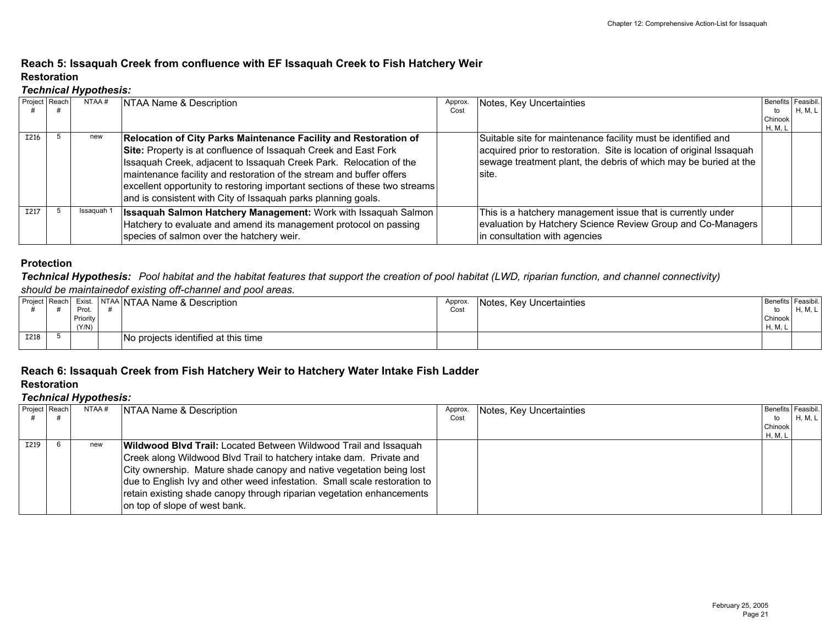## **Reach 5: Issaquah Creek from confluence with EF Issaquah Creek to Fish Hatchery Weir**

#### **Restoration***Technical Hypothesis:*

| Project Reach | NTAA#      | NTAA Name & Description                                                                                                                                                                                                                                                                                                                                                                                                          | Approx.<br>Cost | Notes, Key Uncertainties                                                                                                                                                                                           | Benefits Feasibil.<br>to<br>Chinook<br>H, M, L | H, M, L |
|---------------|------------|----------------------------------------------------------------------------------------------------------------------------------------------------------------------------------------------------------------------------------------------------------------------------------------------------------------------------------------------------------------------------------------------------------------------------------|-----------------|--------------------------------------------------------------------------------------------------------------------------------------------------------------------------------------------------------------------|------------------------------------------------|---------|
| <b>I216</b>   | new        | Relocation of City Parks Maintenance Facility and Restoration of<br>Site: Property is at confluence of Issaquah Creek and East Fork<br>Issaquah Creek, adjacent to Issaquah Creek Park. Relocation of the<br>maintenance facility and restoration of the stream and buffer offers<br>excellent opportunity to restoring important sections of these two streams<br>and is consistent with City of Issaquah parks planning goals. |                 | Suitable site for maintenance facility must be identified and<br>acquired prior to restoration. Site is location of original Issaquah<br>sewage treatment plant, the debris of which may be buried at the<br>site. |                                                |         |
| <b>I217</b>   | Issaguah 1 | <b>Issaquah Salmon Hatchery Management:</b> Work with Issaquah Salmon<br>Hatchery to evaluate and amend its management protocol on passing<br>species of salmon over the hatchery weir.                                                                                                                                                                                                                                          |                 | This is a hatchery management issue that is currently under<br>evaluation by Hatchery Science Review Group and Co-Managers<br>in consultation with agencies                                                        |                                                |         |

## **Protection**

#### *Technical Hypothesis: Pool habitat and the habitat features that support the creation of pool habitat (LWD, riparian function, and channel connectivity) should be maintainedof existing off-channel and pool areas.*

| Project Reach |          | <b>Exist.</b> NTAA NTAA Name & Description | Approx. | Notes, Key Uncertainties | Benefits Feasibil. |         |
|---------------|----------|--------------------------------------------|---------|--------------------------|--------------------|---------|
|               | Prot.    |                                            | Cost    |                          | to                 | H, M, L |
|               | Priority |                                            |         |                          | Chinook            |         |
|               | (Y/N)    |                                            |         |                          | H, M, L            |         |
| I218          |          | No projects identified at this time        |         |                          |                    |         |

## **Reach 6: Issaquah Creek from Fish Hatchery Weir to Hatchery Water Intake Fish Ladder**

## **Restoration**

| Project Reach | NTAA# | NTAA Name & Description                                                                                                                                                                                                                                                                                                                                                                                       | Approx.<br>Cost | Notes, Key Uncertainties | <b>Chinook</b><br>H, M, L | Benefits Feasibil.<br>H, M, L |
|---------------|-------|---------------------------------------------------------------------------------------------------------------------------------------------------------------------------------------------------------------------------------------------------------------------------------------------------------------------------------------------------------------------------------------------------------------|-----------------|--------------------------|---------------------------|-------------------------------|
| I219          | new   | <b>Wildwood Blvd Trail:</b> Located Between Wildwood Trail and Issaguah<br>Creek along Wildwood Blvd Trail to hatchery intake dam. Private and<br>City ownership. Mature shade canopy and native vegetation being lost<br>due to English Ivy and other weed infestation. Small scale restoration to<br>retain existing shade canopy through riparian vegetation enhancements<br>on top of slope of west bank. |                 |                          |                           |                               |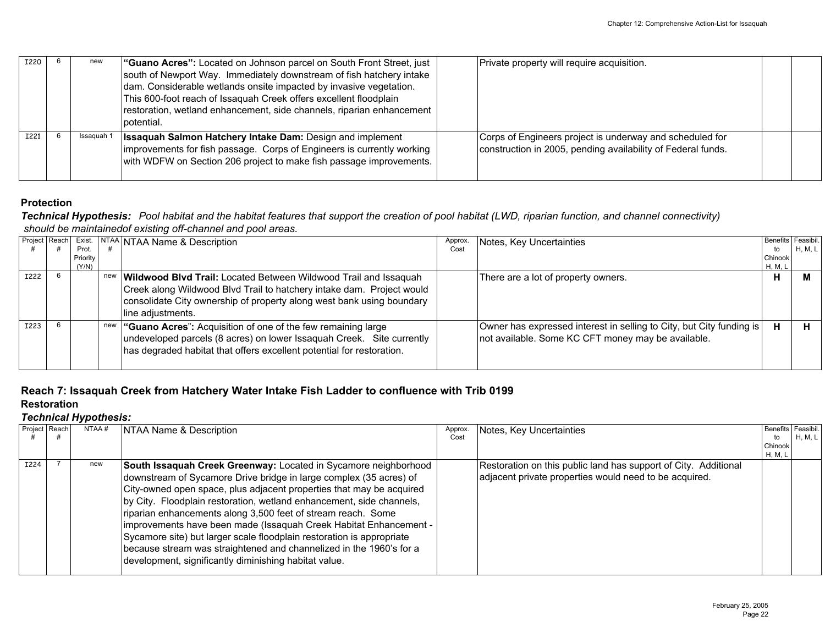| I220 | new        | "Guano Acres": Located on Johnson parcel on South Front Street, just<br>south of Newport Way. Immediately downstream of fish hatchery intake<br>dam. Considerable wetlands onsite impacted by invasive vegetation.<br>This 600-foot reach of Issaguah Creek offers excellent floodplain<br>restoration, wetland enhancement, side channels, riparian enhancement<br>potential. | Private property will require acquisition.                                                                               |  |
|------|------------|--------------------------------------------------------------------------------------------------------------------------------------------------------------------------------------------------------------------------------------------------------------------------------------------------------------------------------------------------------------------------------|--------------------------------------------------------------------------------------------------------------------------|--|
| I221 | Issaguah 1 | <b>Issaquah Salmon Hatchery Intake Dam: Design and implement</b><br>improvements for fish passage. Corps of Engineers is currently working<br>with WDFW on Section 206 project to make fish passage improvements.                                                                                                                                                              | Corps of Engineers project is underway and scheduled for<br>construction in 2005, pending availability of Federal funds. |  |

*Technical Hypothesis: Pool habitat and the habitat features that support the creation of pool habitat (LWD, riparian function, and channel connectivity) should be maintainedof existing off-channel and pool areas.*

|      | Prot.<br>Priority<br>(Y/N) |     | Project Reach Exist. NTAA NTAA Name & Description                                                                                                                                                                                              | Approx.<br>Cost | Notes, Key Uncertainties                                                                                                   | Benefits Feasibil.<br>to<br>Chinook<br>H, M, L | H, M, L |
|------|----------------------------|-----|------------------------------------------------------------------------------------------------------------------------------------------------------------------------------------------------------------------------------------------------|-----------------|----------------------------------------------------------------------------------------------------------------------------|------------------------------------------------|---------|
| I222 |                            |     | <b>Wildwood Blvd Trail:</b> Located Between Wildwood Trail and Issaguah<br>Creek along Wildwood Blvd Trail to hatchery intake dam. Project would<br>consolidate City ownership of property along west bank using boundary<br>line adjustments. |                 | There are a lot of property owners.                                                                                        | н                                              |         |
| I223 |                            | new | "Guano Acres": Acquisition of one of the few remaining large<br>undeveloped parcels (8 acres) on lower Issaquah Creek. Site currently<br>has degraded habitat that offers excellent potential for restoration.                                 |                 | Owner has expressed interest in selling to City, but City funding is<br>not available. Some KC CFT money may be available. | н                                              |         |

### **Reach 7: Issaquah Creek from Hatchery Water Intake Fish Ladder to confluence with Trib 0199**

## **Restoration**

| Project Reach | NTAA# | NTAA Name & Description                                                                                                                                                                                                                                                                                                                                                                                                                                                                                                                                                                                                             | Approx.<br>Cost | Notes, Key Uncertainties                                                                                                  | Benefits Feasibil.<br>to | H, M, L |
|---------------|-------|-------------------------------------------------------------------------------------------------------------------------------------------------------------------------------------------------------------------------------------------------------------------------------------------------------------------------------------------------------------------------------------------------------------------------------------------------------------------------------------------------------------------------------------------------------------------------------------------------------------------------------------|-----------------|---------------------------------------------------------------------------------------------------------------------------|--------------------------|---------|
|               |       |                                                                                                                                                                                                                                                                                                                                                                                                                                                                                                                                                                                                                                     |                 |                                                                                                                           | Chinook<br>H, M, L       |         |
| <b>I224</b>   | new   | South Issaquah Creek Greenway: Located in Sycamore neighborhood<br>downstream of Sycamore Drive bridge in large complex (35 acres) of<br>City-owned open space, plus adjacent properties that may be acquired<br>by City. Floodplain restoration, wetland enhancement, side channels,<br>riparian enhancements along 3,500 feet of stream reach. Some<br>improvements have been made (Issaquah Creek Habitat Enhancement -<br>Sycamore site) but larger scale floodplain restoration is appropriate<br>because stream was straightened and channelized in the 1960's for a<br>development, significantly diminishing habitat value. |                 | Restoration on this public land has support of City. Additional<br>adjacent private properties would need to be acquired. |                          |         |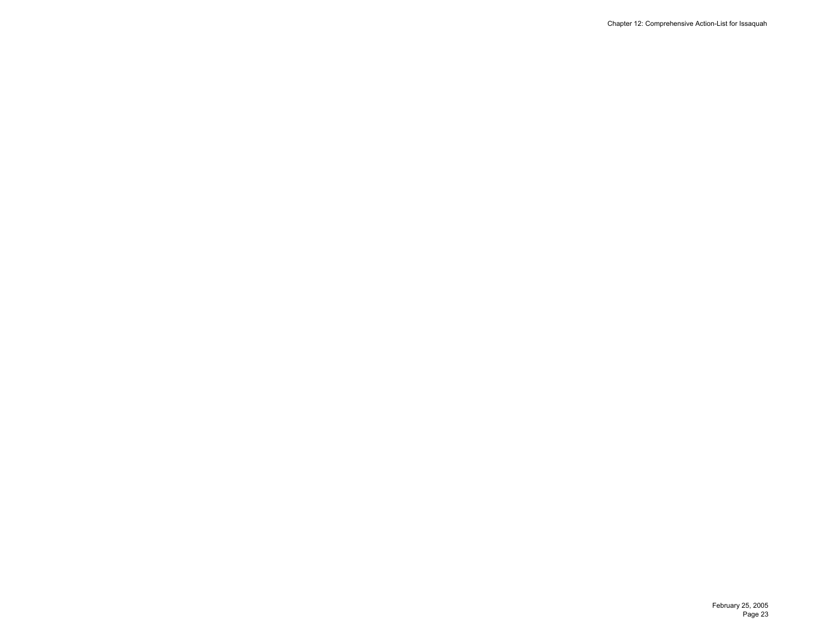Chapter 12: Comprehensive Action-List for Issaquah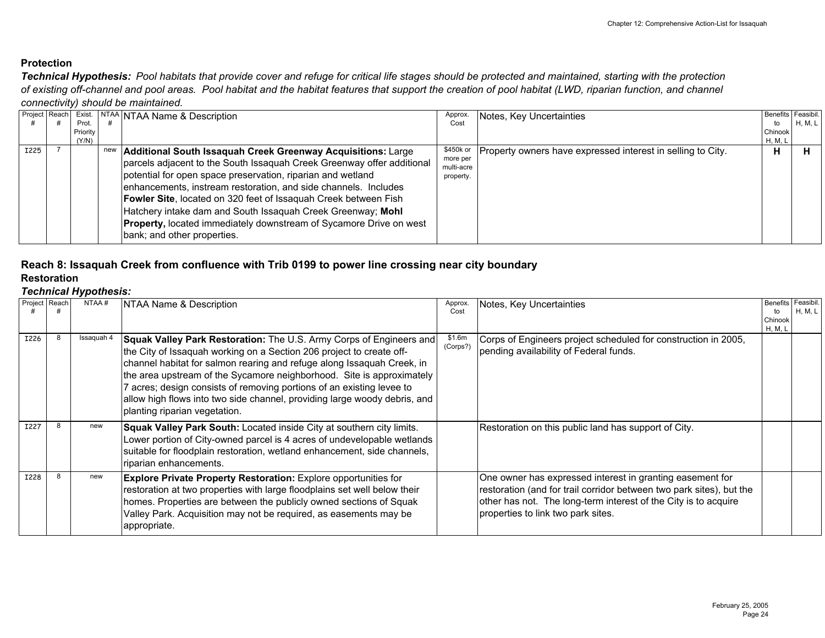*Technical Hypothesis: Pool habitats that provide cover and refuge for critical life stages should be protected and maintained, starting with the protection of existing off-channel and pool areas. Pool habitat and the habitat features that support the creation of pool habitat (LWD, riparian function, and channel connectivity) should be maintained.*

|      | Project Reach | Prot.    | <b>Exist.</b> NTAA NTAA Name & Description                                                                                                                                                                                                                                                                                                                                                                                                                                                           | Approx<br>Cost                                   | Notes, Key Uncertainties                                    | Benefits Feasibil.<br>to | H, M, L |
|------|---------------|----------|------------------------------------------------------------------------------------------------------------------------------------------------------------------------------------------------------------------------------------------------------------------------------------------------------------------------------------------------------------------------------------------------------------------------------------------------------------------------------------------------------|--------------------------------------------------|-------------------------------------------------------------|--------------------------|---------|
|      |               | Priority |                                                                                                                                                                                                                                                                                                                                                                                                                                                                                                      |                                                  |                                                             | Chinook                  |         |
| I225 |               | (Y/N)    | new   Additional South Issaguah Creek Greenway Acquisitions: Large<br>parcels adjacent to the South Issaquah Creek Greenway offer additional<br>potential for open space preservation, riparian and wetland<br>enhancements, instream restoration, and side channels. Includes<br><b>Fowler Site, located on 320 feet of Issaquah Creek between Fish</b><br>Hatchery intake dam and South Issaguah Creek Greenway; Mohl<br><b>Property, located immediately downstream of Sycamore Drive on west</b> | \$450k or<br>more per<br>multi-acre<br>property. | Property owners have expressed interest in selling to City. | H, M, L                  |         |
|      |               |          | bank; and other properties.                                                                                                                                                                                                                                                                                                                                                                                                                                                                          |                                                  |                                                             |                          |         |

## **Reach 8: Issaquah Creek from confluence with Trib 0199 to power line crossing near city boundary**

## **Restoration**

| Project Reach | NTAA#      | NTAA Name & Description                                                                                                                                                                                                                                                                                                                                                                                                                                                               | Approx.<br>Cost    | Notes, Key Uncertainties                                                                                                                                                                                                                   | Chinook<br>H, M, L | Benefits Feasibil.<br>H, M, L |
|---------------|------------|---------------------------------------------------------------------------------------------------------------------------------------------------------------------------------------------------------------------------------------------------------------------------------------------------------------------------------------------------------------------------------------------------------------------------------------------------------------------------------------|--------------------|--------------------------------------------------------------------------------------------------------------------------------------------------------------------------------------------------------------------------------------------|--------------------|-------------------------------|
| I226          | Issaquah 4 | Squak Valley Park Restoration: The U.S. Army Corps of Engineers and<br>the City of Issaquah working on a Section 206 project to create off-<br>channel habitat for salmon rearing and refuge along Issaquah Creek, in<br>the area upstream of the Sycamore neighborhood. Site is approximately<br>7 acres; design consists of removing portions of an existing levee to<br>allow high flows into two side channel, providing large woody debris, and<br>planting riparian vegetation. | \$1.6m<br>(Corps?) | Corps of Engineers project scheduled for construction in 2005,<br>pending availability of Federal funds.                                                                                                                                   |                    |                               |
| <b>I227</b>   | new        | Squak Valley Park South: Located inside City at southern city limits.<br>Lower portion of City-owned parcel is 4 acres of undevelopable wetlands<br>suitable for floodplain restoration, wetland enhancement, side channels,<br>riparian enhancements.                                                                                                                                                                                                                                |                    | Restoration on this public land has support of City.                                                                                                                                                                                       |                    |                               |
| I228          | new        | <b>Explore Private Property Restoration:</b> Explore opportunities for<br>restoration at two properties with large floodplains set well below their<br>homes. Properties are between the publicly owned sections of Squak<br>Valley Park. Acquisition may not be required, as easements may be<br>appropriate.                                                                                                                                                                        |                    | One owner has expressed interest in granting easement for<br>restoration (and for trail corridor between two park sites), but the<br>other has not. The long-term interest of the City is to acquire<br>properties to link two park sites. |                    |                               |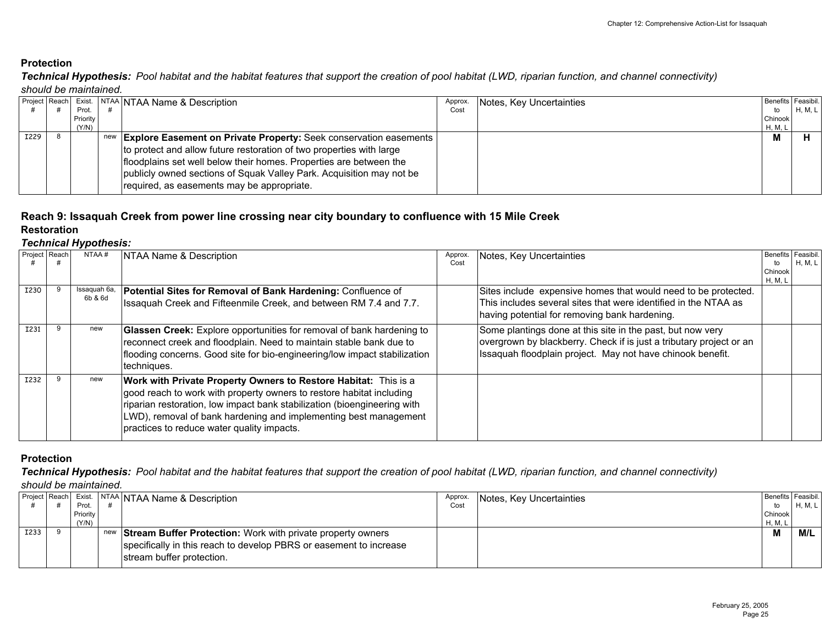*Technical Hypothesis: Pool habitat and the habitat features that support the creation of pool habitat (LWD, riparian function, and channel connectivity) should be maintained.*

|      |          |     | <b>Project Reach Exist. NTAA NTAA Name &amp; Description</b>                                                                                                                                                                                                                                                                                 | Approx. | Notes, Key Uncertainties | Benefits Feasibil. |         |
|------|----------|-----|----------------------------------------------------------------------------------------------------------------------------------------------------------------------------------------------------------------------------------------------------------------------------------------------------------------------------------------------|---------|--------------------------|--------------------|---------|
|      | Prot.    |     |                                                                                                                                                                                                                                                                                                                                              | Cost    |                          | to                 | H, M, L |
|      | Priority |     |                                                                                                                                                                                                                                                                                                                                              |         |                          | Chinook            |         |
|      | (Y/N)    |     |                                                                                                                                                                                                                                                                                                                                              |         |                          | H, M, L            |         |
| I229 |          | new | <b>Explore Easement on Private Property:</b> Seek conservation easements<br>to protect and allow future restoration of two properties with large<br>floodplains set well below their homes. Properties are between the<br>publicly owned sections of Squak Valley Park. Acquisition may not be<br>required, as easements may be appropriate. |         |                          | M                  |         |

#### **Reach 9: Issaquah Creek from power line crossing near city boundary to confluence with 15 Mile Creek Restoration**

#### *Technical Hypothesis:*

| Project Reach | . .<br>NTAA#            | NTAA Name & Description                                                                                                                                                                                                                                                                                                               | Approx.<br>Cost | Notes, Key Uncertainties                                                                                                                                                                        | Chinook<br>H, M, L | Benefits Feasibil.<br>H, M, L |
|---------------|-------------------------|---------------------------------------------------------------------------------------------------------------------------------------------------------------------------------------------------------------------------------------------------------------------------------------------------------------------------------------|-----------------|-------------------------------------------------------------------------------------------------------------------------------------------------------------------------------------------------|--------------------|-------------------------------|
| I230          | Issaquah 6a,<br>6b & 6d | Potential Sites for Removal of Bank Hardening: Confluence of<br>Issaquah Creek and Fifteenmile Creek, and between RM 7.4 and 7.7.                                                                                                                                                                                                     |                 | Sites include expensive homes that would need to be protected.<br>This includes several sites that were identified in the NTAA as<br>having potential for removing bank hardening.              |                    |                               |
| <b>I231</b>   | new                     | Glassen Creek: Explore opportunities for removal of bank hardening to<br>reconnect creek and floodplain. Need to maintain stable bank due to<br>flooding concerns. Good site for bio-engineering/low impact stabilization<br>techniques.                                                                                              |                 | Some plantings done at this site in the past, but now very<br>overgrown by blackberry. Check if is just a tributary project or an<br>Issaquah floodplain project. May not have chinook benefit. |                    |                               |
| I232          | new                     | Work with Private Property Owners to Restore Habitat: This is a<br>good reach to work with property owners to restore habitat including<br>riparian restoration, low impact bank stabilization (bioengineering with<br>LWD), removal of bank hardening and implementing best management<br>practices to reduce water quality impacts. |                 |                                                                                                                                                                                                 |                    |                               |

## **Protection**

*Technical Hypothesis: Pool habitat and the habitat features that support the creation of pool habitat (LWD, riparian function, and channel connectivity)* 

|      |          | Project Reach Exist. NTAA NTAA Name & Description                  | Approx. | Notes, Key Uncertainties | Benefits   Feasibil. |         |
|------|----------|--------------------------------------------------------------------|---------|--------------------------|----------------------|---------|
|      | Prot.    |                                                                    | Cost    |                          |                      | H, M, L |
|      | Priority |                                                                    |         |                          | Chinook              |         |
|      | (Y/N)    |                                                                    |         |                          | H, M, L              |         |
| I233 |          | new Stream Buffer Protection: Work with private property owners    |         |                          |                      | M/L     |
|      |          | specifically in this reach to develop PBRS or easement to increase |         |                          |                      |         |
|      |          | stream buffer protection.                                          |         |                          |                      |         |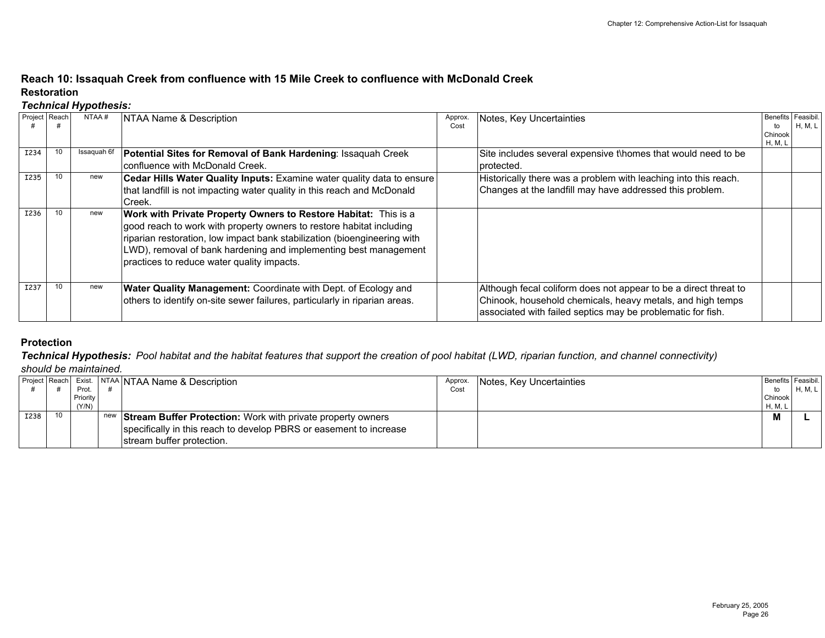### **Reach 10: Issaquah Creek from confluence with 15 Mile Creek to confluence with McDonald Creek Restoration**

#### *Technical Hypothesis:*

| Project Reach | NTAA#       | NTAA Name & Description                                                    | Approx<br>Cost | Notes, Key Uncertainties                                         | to                 | Benefits Feasibil.<br>H, M, L |
|---------------|-------------|----------------------------------------------------------------------------|----------------|------------------------------------------------------------------|--------------------|-------------------------------|
|               |             |                                                                            |                |                                                                  | Chinook<br>H, M, L |                               |
| <b>I234</b>   | Issaquah 6f | Potential Sites for Removal of Bank Hardening: Issaquah Creek              |                | Site includes several expensive t\homes that would need to be    |                    |                               |
|               |             | confluence with McDonald Creek.                                            |                | protected.                                                       |                    |                               |
| <b>I235</b>   | new         | Cedar Hills Water Quality Inputs: Examine water quality data to ensure     |                | Historically there was a problem with leaching into this reach.  |                    |                               |
|               |             | that landfill is not impacting water quality in this reach and McDonald    |                | Changes at the landfill may have addressed this problem.         |                    |                               |
|               |             | Creek.                                                                     |                |                                                                  |                    |                               |
| I236          | new         | Work with Private Property Owners to Restore Habitat: This is a            |                |                                                                  |                    |                               |
|               |             | good reach to work with property owners to restore habitat including       |                |                                                                  |                    |                               |
|               |             | riparian restoration, low impact bank stabilization (bioengineering with   |                |                                                                  |                    |                               |
|               |             | LWD), removal of bank hardening and implementing best management           |                |                                                                  |                    |                               |
|               |             | practices to reduce water quality impacts.                                 |                |                                                                  |                    |                               |
|               |             |                                                                            |                |                                                                  |                    |                               |
| I237          | new         | <b>Water Quality Management: Coordinate with Dept. of Ecology and</b>      |                | Although fecal coliform does not appear to be a direct threat to |                    |                               |
|               |             | others to identify on-site sewer failures, particularly in riparian areas. |                | Chinook, household chemicals, heavy metals, and high temps       |                    |                               |
|               |             |                                                                            |                | associated with failed septics may be problematic for fish.      |                    |                               |

### **Protection**

*Technical Hypothesis: Pool habitat and the habitat features that support the creation of pool habitat (LWD, riparian function, and channel connectivity)* 

|      |          | Project Reach Exist. NTAA NTAA Name & Description                  | Approx. | Notes, Key Uncertainties |         | Benefits Feasibil. |
|------|----------|--------------------------------------------------------------------|---------|--------------------------|---------|--------------------|
|      | Prot.    |                                                                    | Cost    |                          | to      | H, M, L            |
|      | Priority |                                                                    |         |                          | Chinook |                    |
|      | (Y/N)    |                                                                    |         |                          | H, M, L |                    |
| I238 |          | new Stream Buffer Protection: Work with private property owners    |         |                          | M       |                    |
|      |          | specifically in this reach to develop PBRS or easement to increase |         |                          |         |                    |
|      |          | stream buffer protection.                                          |         |                          |         |                    |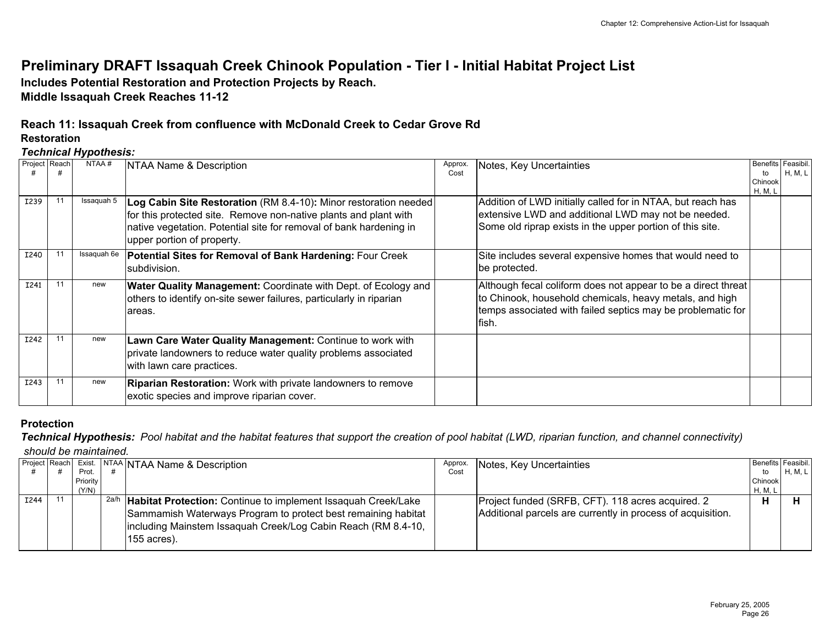## **Preliminary DRAFT Issaquah Creek Chinook Population - Tier I - Initial Habitat Project List**

**Includes Potential Restoration and Protection Projects by Reach. Middle Issaquah Creek Reaches 11-12**

## **Reach 11: Issaquah Creek from confluence with McDonald Creek to Cedar Grove Rd**

## **Restoration**

### *Technical Hypothesis:*

| Project Reach | NTAA#       | NTAA Name & Description                                                                                                                                                                                                                  | Approx. | Notes, Key Uncertainties                                                                                                                                                                         |                          | Benefits Feasibil. |
|---------------|-------------|------------------------------------------------------------------------------------------------------------------------------------------------------------------------------------------------------------------------------------------|---------|--------------------------------------------------------------------------------------------------------------------------------------------------------------------------------------------------|--------------------------|--------------------|
|               |             |                                                                                                                                                                                                                                          | Cost    |                                                                                                                                                                                                  | to<br>Chinook<br>H, M, I | H, M, L            |
| <b>I239</b>   | Issaquah 5  | Log Cabin Site Restoration (RM 8.4-10): Minor restoration needed<br>for this protected site. Remove non-native plants and plant with<br>native vegetation. Potential site for removal of bank hardening in<br>upper portion of property. |         | Addition of LWD initially called for in NTAA, but reach has<br>extensive LWD and additional LWD may not be needed.<br>Some old riprap exists in the upper portion of this site.                  |                          |                    |
| I240          | Issaquah 6e | <b>Potential Sites for Removal of Bank Hardening: Four Creek</b><br>subdivision.                                                                                                                                                         |         | Site includes several expensive homes that would need to<br>be protected.                                                                                                                        |                          |                    |
| I241          | new         | <b>Water Quality Management: Coordinate with Dept. of Ecology and</b><br>others to identify on-site sewer failures, particularly in riparian<br>lareas.                                                                                  |         | Although fecal coliform does not appear to be a direct threat<br>to Chinook, household chemicals, heavy metals, and high<br>temps associated with failed septics may be problematic for<br>fish. |                          |                    |
| I242          | new         | Lawn Care Water Quality Management: Continue to work with<br>private landowners to reduce water quality problems associated<br>with lawn care practices.                                                                                 |         |                                                                                                                                                                                                  |                          |                    |
| I243          | new         | <b>Riparian Restoration:</b> Work with private landowners to remove<br>exotic species and improve riparian cover.                                                                                                                        |         |                                                                                                                                                                                                  |                          |                    |

## **Protection**

*Technical Hypothesis: Pool habitat and the habitat features that support the creation of pool habitat (LWD, riparian function, and channel connectivity)*

|             |          | Project Reach Exist.   NTAA   NTAA Name & Description         | Approx. | Notes, Key Uncertainties                                    | Benefits Feasibil. |                |
|-------------|----------|---------------------------------------------------------------|---------|-------------------------------------------------------------|--------------------|----------------|
|             | Prot.    |                                                               | Cost    |                                                             | to                 | <b>H, M, L</b> |
|             | Priority |                                                               |         |                                                             | Chinook            |                |
|             | (Y/N)    |                                                               |         |                                                             | H, M, L            |                |
| <b>I244</b> |          | Habitat Protection: Continue to implement Issaguah Creek/Lake |         | Project funded (SRFB, CFT). 118 acres acquired. 2           |                    |                |
|             |          | Sammamish Waterways Program to protect best remaining habitat |         | Additional parcels are currently in process of acquisition. |                    |                |
|             |          | including Mainstem Issaquah Creek/Log Cabin Reach (RM 8.4-10, |         |                                                             |                    |                |
|             |          | 155 acres).                                                   |         |                                                             |                    |                |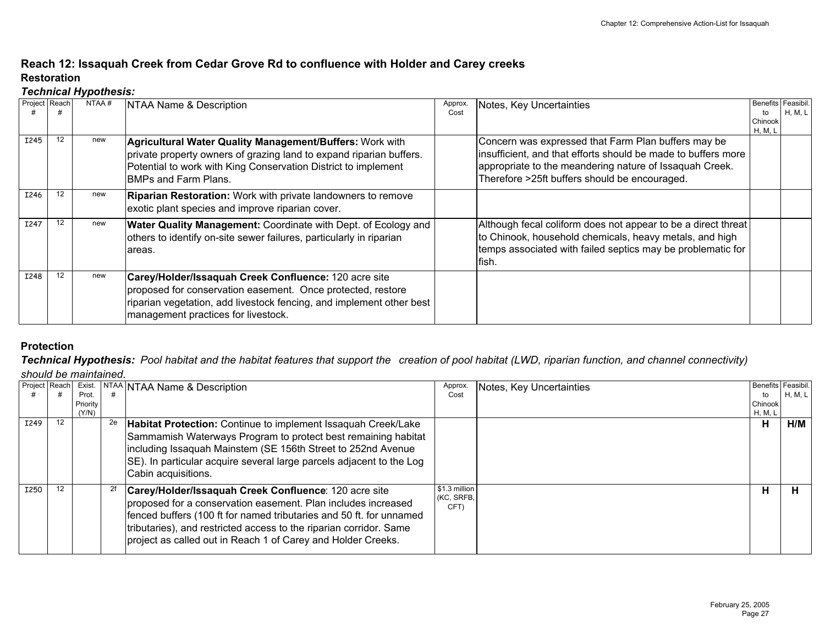## **Reach 12: Issaquah Creek from Cedar Grove Rd to confluence with Holder and Carey creeks Restoration**

### *Technical Hypothesis:*

| Project Reach |    | NTAA# | NTAA Name & Description                                                                                                                                                                                                                 | Approx.<br>Cost | Notes, Key Uncertainties                                                                                                                                                                                                         | to<br>Chinook<br>H, M, L | Benefits Feasibil.<br>H, M, L |
|---------------|----|-------|-----------------------------------------------------------------------------------------------------------------------------------------------------------------------------------------------------------------------------------------|-----------------|----------------------------------------------------------------------------------------------------------------------------------------------------------------------------------------------------------------------------------|--------------------------|-------------------------------|
| I245          |    | new   | <b>Agricultural Water Quality Management/Buffers: Work with</b><br>private property owners of grazing land to expand riparian buffers.<br>Potential to work with King Conservation District to implement<br><b>BMPs and Farm Plans.</b> |                 | Concern was expressed that Farm Plan buffers may be<br>insufficient, and that efforts should be made to buffers more<br>appropriate to the meandering nature of Issaquah Creek.<br>Therefore >25ft buffers should be encouraged. |                          |                               |
| <b>I246</b>   |    | new   | Riparian Restoration: Work with private landowners to remove<br>exotic plant species and improve riparian cover.                                                                                                                        |                 |                                                                                                                                                                                                                                  |                          |                               |
| I247          |    | new   | <b>Water Quality Management: Coordinate with Dept. of Ecology and</b><br>others to identify on-site sewer failures, particularly in riparian<br>lareas.                                                                                 |                 | Although fecal coliform does not appear to be a direct threat<br>to Chinook, household chemicals, heavy metals, and high<br>temps associated with failed septics may be problematic for<br>fish.                                 |                          |                               |
| I248          | 12 | new   | Carey/Holder/Issaquah Creek Confluence: 120 acre site<br>proposed for conservation easement. Once protected, restore<br>riparian vegetation, add livestock fencing, and implement other best<br>management practices for livestock.     |                 |                                                                                                                                                                                                                                  |                          |                               |

## **Protection**

**Technical Hypothesis:** Pool habitat and the habitat features that support the creation of pool habitat (LWD, riparian function, and channel connectivity)

| Project Reach |    | Exist.<br>Prot.<br>Priority<br>(Y/N) | #  | <b>NTAA NTAA Name &amp; Description</b>                                                                                                                                                                                                                                                                                             | Approx.<br>Cost                     | Notes, Key Uncertainties | Benefits Feasibil.<br>to<br>Chinook<br>H, M, L | H, M, L |
|---------------|----|--------------------------------------|----|-------------------------------------------------------------------------------------------------------------------------------------------------------------------------------------------------------------------------------------------------------------------------------------------------------------------------------------|-------------------------------------|--------------------------|------------------------------------------------|---------|
| I249          | 12 |                                      | 2e | Habitat Protection: Continue to implement Issaquah Creek/Lake<br>Sammamish Waterways Program to protect best remaining habitat<br>including Issaquah Mainstem (SE 156th Street to 252nd Avenue<br>SE). In particular acquire several large parcels adjacent to the Log<br>Cabin acquisitions.                                       |                                     |                          | н                                              | H/M     |
| I250          | 12 |                                      | 2f | Carey/Holder/Issaquah Creek Confluence: 120 acre site<br>proposed for a conservation easement. Plan includes increased<br>fenced buffers (100 ft for named tributaries and 50 ft. for unnamed<br>tributaries), and restricted access to the riparian corridor. Same<br>project as called out in Reach 1 of Carey and Holder Creeks. | \$1.3 million<br>(KC, SRFB,<br>CFT) |                          | н                                              |         |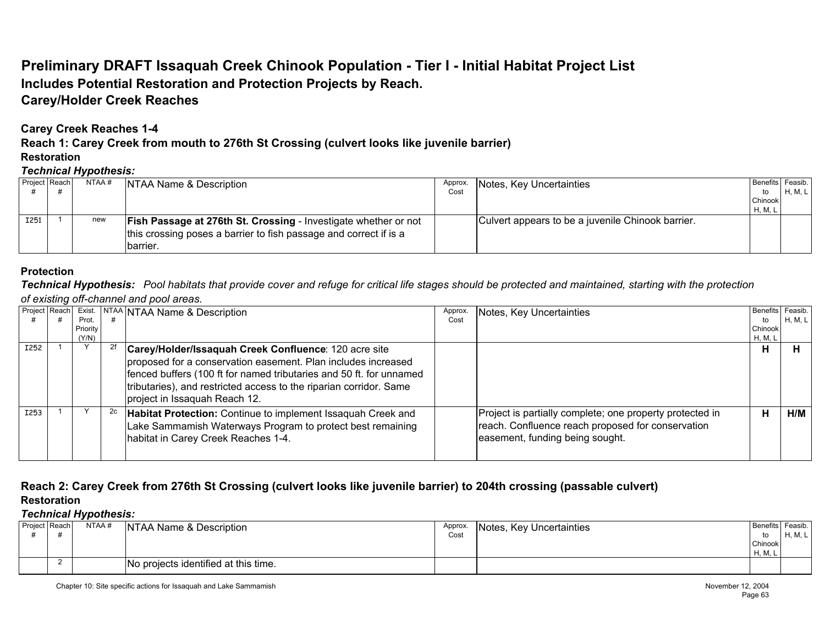## **Preliminary DRAFT Issaquah Creek Chinook Population - Tier I - Initial Habitat Project List Includes Potential Restoration and Protection Projects by Reach. Carey/Holder Creek Reaches**

## **Carey Creek Reaches 1-4**

#### **Reach 1: Carey Creek from mouth to 276th St Crossing (culvert looks like juvenile barrier) Restoration**

#### *Technical Hypothesis:*

| Project Reach | NTAA # | NTAA Name & Description                                                                                                                                  | Approx.<br>Cost | Notes, Key Uncertainties                          |                          | Benefits Feasib.<br>H, M, L |
|---------------|--------|----------------------------------------------------------------------------------------------------------------------------------------------------------|-----------------|---------------------------------------------------|--------------------------|-----------------------------|
|               |        |                                                                                                                                                          |                 |                                                   | to<br>Chinook<br>H, M, L |                             |
| I251          | new    | <b>Fish Passage at 276th St. Crossing - Investigate whether or not</b><br>this crossing poses a barrier to fish passage and correct if is a<br>Ibarrier. |                 | Culvert appears to be a juvenile Chinook barrier. |                          |                             |

#### **Protection**

*Technical Hypothesis: Pool habitats that provide cover and refuge for critical life stages should be protected and maintained, starting with the protection of existing off-channel and pool areas.*

|      |                            |   | Project Reach Exist. NTAA NTAA Name & Description                                                                                                                                                                                                                                                    | Approx | Notes, Key Uncertainties                                                                                                                         | Benefits Feasib.         |         |
|------|----------------------------|---|------------------------------------------------------------------------------------------------------------------------------------------------------------------------------------------------------------------------------------------------------------------------------------------------------|--------|--------------------------------------------------------------------------------------------------------------------------------------------------|--------------------------|---------|
|      | Prot.<br>Priority<br>(Y/N) | # |                                                                                                                                                                                                                                                                                                      | Cost   |                                                                                                                                                  | to<br>Chinook<br>H, M, L | H, M, L |
| I252 |                            |   | Carey/Holder/Issaquah Creek Confluence: 120 acre site<br>proposed for a conservation easement. Plan includes increased<br>fenced buffers (100 ft for named tributaries and 50 ft. for unnamed<br>tributaries), and restricted access to the riparian corridor. Same<br>project in Issaquah Reach 12. |        |                                                                                                                                                  | н                        |         |
| I253 |                            |   | Habitat Protection: Continue to implement Issaquah Creek and<br>Lake Sammamish Waterways Program to protect best remaining<br>habitat in Carey Creek Reaches 1-4.                                                                                                                                    |        | Project is partially complete; one property protected in<br>reach. Confluence reach proposed for conservation<br>easement, funding being sought. | н                        | H/M     |

#### **Reach 2: Carey Creek from 276th St Crossing (culvert looks like juvenile barrier) to 204th crossing (passable culvert) Restoration**

| Project Reach | NTAA # | NTAA Name & Description              | Approx.<br>Cost | Notes, Key Uncertainties | Benefits Feasib.<br>Chinook<br>H, M, L | H, M, L |
|---------------|--------|--------------------------------------|-----------------|--------------------------|----------------------------------------|---------|
|               |        | No projects identified at this time. |                 |                          |                                        |         |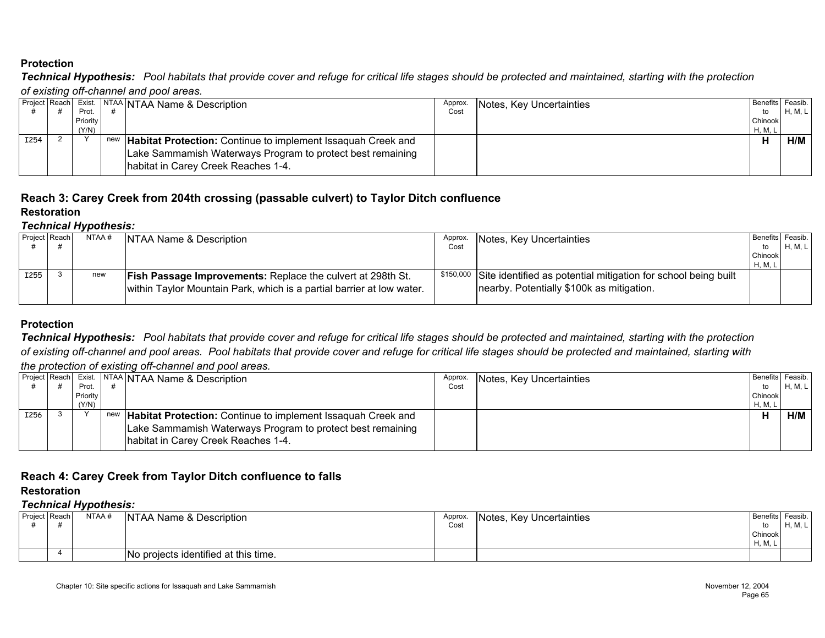#### *Technical Hypothesis: Pool habitats that provide cover and refuge for critical life stages should be protected and maintained, starting with the protection of existing off-channel and pool areas.*

|      |          | Project Reach Exist. NTAA NTAA Name & Description                                                 | Approx. | Notes, Key Uncertainties | Benefits Feasib. |         |
|------|----------|---------------------------------------------------------------------------------------------------|---------|--------------------------|------------------|---------|
|      | Prot.    |                                                                                                   | Cost    |                          | to               | H, M, L |
|      | Priority |                                                                                                   |         |                          | Chinook          |         |
|      | (Y/N)    |                                                                                                   |         |                          | H, M, L          |         |
| I254 |          | Habitat Protection: Continue to implement Issaquah Creek and                                      |         |                          |                  | H/N     |
|      |          | Lake Sammamish Waterways Program to protect best remaining<br>habitat in Carey Creek Reaches 1-4. |         |                          |                  |         |
|      |          |                                                                                                   |         |                          |                  |         |

#### **Reach 3: Carey Creek from 204th crossing (passable culvert) to Taylor Ditch confluence Restoration**

## *Technical Hypothesis:*

| Project Reach | NTAA # | NTAA Name & Description                                               | Approx.<br>Cost | Notes, Key Uncertainties                                                 | Benefits Feasib.<br>to | H, M, L |
|---------------|--------|-----------------------------------------------------------------------|-----------------|--------------------------------------------------------------------------|------------------------|---------|
|               |        |                                                                       |                 |                                                                          | Chinook                |         |
|               |        |                                                                       |                 |                                                                          | H, M, L                |         |
| I255          | new    | <b>Fish Passage Improvements:</b> Replace the culvert at 298th St.    |                 | \$150,000 Site identified as potential mitigation for school being built |                        |         |
|               |        | within Taylor Mountain Park, which is a partial barrier at low water. |                 | nearby. Potentially \$100k as mitigation.                                |                        |         |
|               |        |                                                                       |                 |                                                                          |                        |         |

## **Protection**

*Technical Hypothesis: Pool habitats that provide cover and refuge for critical life stages should be protected and maintained, starting with the protection of existing off-channel and pool areas. Pool habitats that provide cover and refuge for critical life stages should be protected and maintained, starting with the protection of existing off-channel and pool areas.*

|      |          | Project Reach Exist.   NTAA   NTAA Name & Description        | Approx. | Notes, Key Uncertainties | Benefits Feasib. |         |
|------|----------|--------------------------------------------------------------|---------|--------------------------|------------------|---------|
|      | Prot.    |                                                              | Cost    |                          | to               | H, M, L |
|      | Priority |                                                              |         |                          | Chinook          |         |
|      | (Y/N)    |                                                              |         |                          | H, M, L          |         |
| I256 |          | Habitat Protection: Continue to implement Issaquah Creek and |         |                          | н                | H/M     |
|      |          | Lake Sammamish Waterways Program to protect best remaining   |         |                          |                  |         |
|      |          | habitat in Carey Creek Reaches 1-4.                          |         |                          |                  |         |
|      |          |                                                              |         |                          |                  |         |

## **Reach 4: Carey Creek from Taylor Ditch confluence to falls**

### **Restoration**

| Project Reach | NTAA# | NTAA Name & Description              | Approx.<br>Cost | Notes, Key Uncertainties | Benefits Feasib.<br>to | H, M, L |
|---------------|-------|--------------------------------------|-----------------|--------------------------|------------------------|---------|
|               |       |                                      |                 |                          | Chinook                |         |
|               |       |                                      |                 |                          | $H$ M                  |         |
|               |       | No projects identified at this time. |                 |                          |                        |         |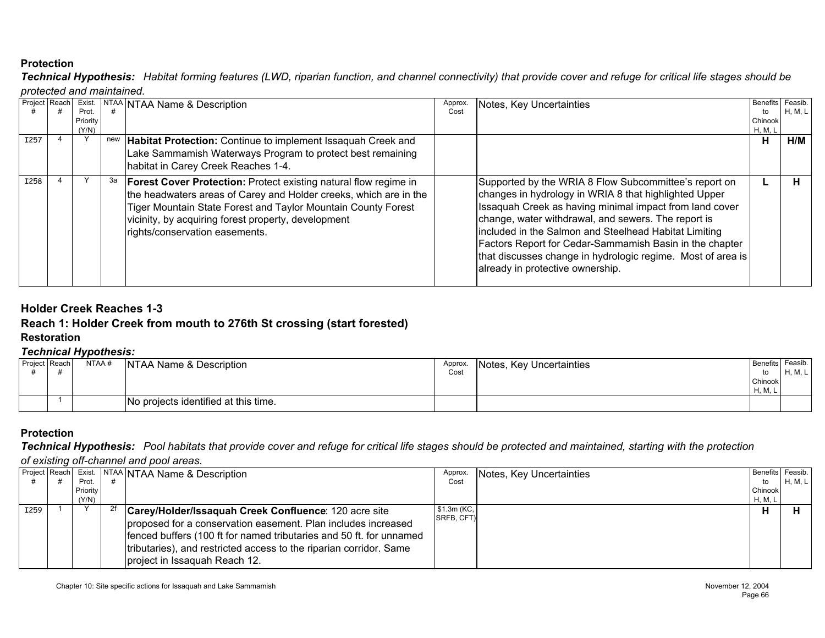*Technical Hypothesis: Habitat forming features (LWD, riparian function, and channel connectivity) that provide cover and refuge for critical life stages should be protected and maintained.*

|             | Project Reach | Exist.   |   | <b>TNTAA NTAA Name &amp; Description</b>                                                                                                                                                                                                                                                               | Approx. | Notes, Key Uncertainties                                                                                                                                                                                                                                                                                                                                                                                                                                | <b>Benefits</b> | Feasib  |
|-------------|---------------|----------|---|--------------------------------------------------------------------------------------------------------------------------------------------------------------------------------------------------------------------------------------------------------------------------------------------------------|---------|---------------------------------------------------------------------------------------------------------------------------------------------------------------------------------------------------------------------------------------------------------------------------------------------------------------------------------------------------------------------------------------------------------------------------------------------------------|-----------------|---------|
|             |               | Prot.    | # |                                                                                                                                                                                                                                                                                                        | Cost    |                                                                                                                                                                                                                                                                                                                                                                                                                                                         | to              | H, M, L |
|             |               | Priority |   |                                                                                                                                                                                                                                                                                                        |         |                                                                                                                                                                                                                                                                                                                                                                                                                                                         | Chinook         |         |
| <b>I257</b> |               | (Y/N)    |   | Habitat Protection: Continue to implement Issaquah Creek and<br>Lake Sammamish Waterways Program to protect best remaining<br>habitat in Carey Creek Reaches 1-4.                                                                                                                                      |         |                                                                                                                                                                                                                                                                                                                                                                                                                                                         | H, M, L<br>н    | H/M     |
| <b>I258</b> |               |          |   | <b>Forest Cover Protection: Protect existing natural flow regime in</b><br>the headwaters areas of Carey and Holder creeks, which are in the<br>Tiger Mountain State Forest and Taylor Mountain County Forest<br>vicinity, by acquiring forest property, development<br>rights/conservation easements. |         | Supported by the WRIA 8 Flow Subcommittee's report on<br>changes in hydrology in WRIA 8 that highlighted Upper<br>Issaquah Creek as having minimal impact from land cover<br>change, water withdrawal, and sewers. The report is<br>included in the Salmon and Steelhead Habitat Limiting<br>Factors Report for Cedar-Sammamish Basin in the chapter<br>that discusses change in hydrologic regime. Most of area is<br>already in protective ownership. |                 | н       |

## **Holder Creek Reaches 1-3**

#### **Reach 1: Holder Creek from mouth to 276th St crossing (start forested) Restoration**

## *Technical Hypothesis:*

| Project Reach | NTAA # | NTAA Name & Description              | Approx. | Notes, Key Uncertainties | Benefits Feasib. |         |
|---------------|--------|--------------------------------------|---------|--------------------------|------------------|---------|
|               |        |                                      | Cost    |                          | to               | H, M, L |
|               |        |                                      |         |                          | Chinook          |         |
|               |        |                                      |         |                          | H, M, I          |         |
|               |        | No projects identified at this time. |         |                          |                  |         |
|               |        |                                      |         |                          |                  |         |

## **Protection**

*Technical Hypothesis: Pool habitats that provide cover and refuge for critical life stages should be protected and maintained, starting with the protection* 

#### *of existing off-channel and pool areas.*

| Project Reach | Prot.             | <b>Exist.</b> NTAA NTAA Name & Description                                                                                                                                                                                                                                                           | Approx.<br>Cost          | Notes, Key Uncertainties | Benefits Feasib.<br>to | H, M, L |
|---------------|-------------------|------------------------------------------------------------------------------------------------------------------------------------------------------------------------------------------------------------------------------------------------------------------------------------------------------|--------------------------|--------------------------|------------------------|---------|
|               | Priority<br>(Y/N) |                                                                                                                                                                                                                                                                                                      |                          |                          | Chinook<br>H, M, L     |         |
| I259          |                   | Carey/Holder/Issaquah Creek Confluence: 120 acre site<br>proposed for a conservation easement. Plan includes increased<br>fenced buffers (100 ft for named tributaries and 50 ft. for unnamed<br>tributaries), and restricted access to the riparian corridor. Same<br>project in Issaquah Reach 12. | \$1.3m(KC,<br>SRFB, CFT) |                          | н                      |         |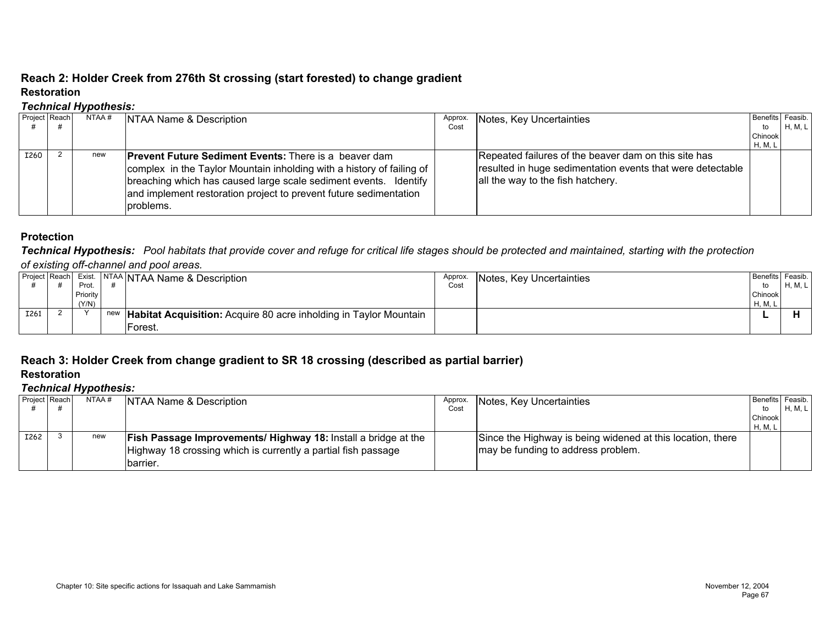## **Reach 2: Holder Creek from 276th St crossing (start forested) to change gradient Restoration**

#### *Technical Hypothesis:*

| Project Reach | NTAA # | NTAA Name & Description                                               | Approx. | Notes, Key Uncertainties                                   |         | Benefits Feasib. |
|---------------|--------|-----------------------------------------------------------------------|---------|------------------------------------------------------------|---------|------------------|
|               |        |                                                                       | Cost    |                                                            | to      | H, M, L          |
|               |        |                                                                       |         |                                                            | Chinook |                  |
|               |        |                                                                       |         |                                                            | H, M, L |                  |
| I260          | new    | <b>Prevent Future Sediment Events:</b> There is a beaver dam          |         | Repeated failures of the beaver dam on this site has       |         |                  |
|               |        | complex in the Taylor Mountain inholding with a history of failing of |         | resulted in huge sedimentation events that were detectable |         |                  |
|               |        | breaching which has caused large scale sediment events. Identify      |         | all the way to the fish hatchery.                          |         |                  |
|               |        | and implement restoration project to prevent future sedimentation     |         |                                                            |         |                  |
|               |        |                                                                       |         |                                                            |         |                  |
|               |        | Iproblems.                                                            |         |                                                            |         |                  |

#### **Protection**

*Technical Hypothesis: Pool habitats that provide cover and refuge for critical life stages should be protected and maintained, starting with the protection of existing off-channel and pool areas.*

|      |          |     | Project Reach Exist. NTAA NTAA Name & Description                        | Approx. | Notes, Key Uncertainties |         | Benefits Feasib. |
|------|----------|-----|--------------------------------------------------------------------------|---------|--------------------------|---------|------------------|
|      | Prot.    |     |                                                                          | Cost    |                          | to      | H, M, L          |
|      | Priority |     |                                                                          |         |                          | Chinook |                  |
|      | (Y/N)    |     |                                                                          |         |                          | H, M, L |                  |
| I261 |          | new | <b>Habitat Acquisition:</b> Acquire 80 acre inholding in Taylor Mountain |         |                          |         |                  |
|      |          |     | <b>IForest.</b>                                                          |         |                          |         |                  |

## **Reach 3: Holder Creek from change gradient to SR 18 crossing (described as partial barrier)**

### **Restoration**

| Project Reach | NTAA# | NTAA Name & Description                                               | Approx. | Notes, Key Uncertainties                                   | Benefits Feasib. |         |
|---------------|-------|-----------------------------------------------------------------------|---------|------------------------------------------------------------|------------------|---------|
|               |       |                                                                       | Cost    |                                                            | to               | H, M, L |
|               |       |                                                                       |         |                                                            | Chinook          |         |
|               |       |                                                                       |         |                                                            | H, M, L          |         |
| I262          | new   | <b>Fish Passage Improvements/ Highway 18: Install a bridge at the</b> |         | Since the Highway is being widened at this location, there |                  |         |
|               |       | Highway 18 crossing which is currently a partial fish passage         |         | may be funding to address problem.                         |                  |         |
|               |       | barrier.                                                              |         |                                                            |                  |         |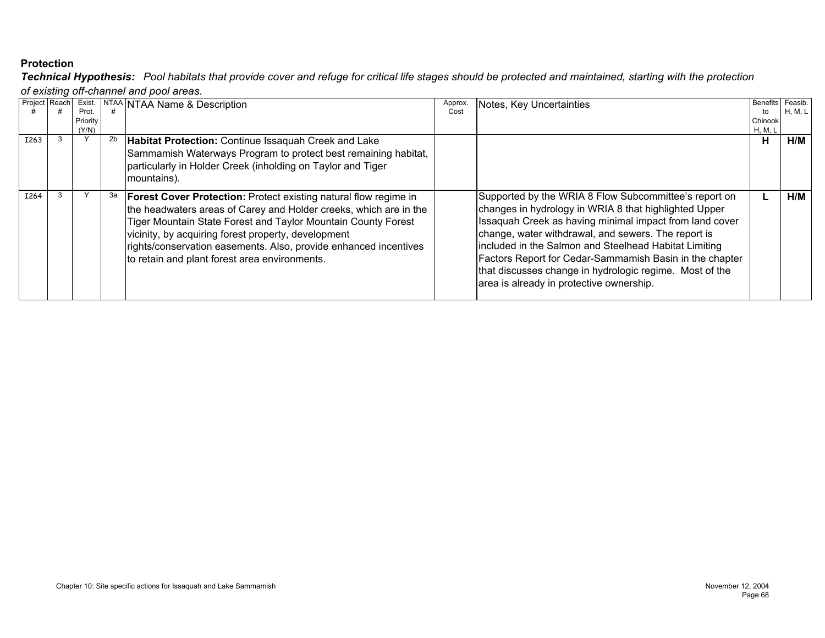*Technical Hypothesis: Pool habitats that provide cover and refuge for critical life stages should be protected and maintained, starting with the protection of existing off-channel and pool areas.*

| Project Reach | Prot.<br>Priority |                | <b>Exist.</b> NTAA NTAA Name & Description                                                                                                                                                                                                                                                                                                                                                | Approx.<br>Cost | Notes, Key Uncertainties                                                                                                                                                                                                                                                                                                                                                                                                                                    | Benefits Feasib.<br>to<br>Chinook | H, M, L |
|---------------|-------------------|----------------|-------------------------------------------------------------------------------------------------------------------------------------------------------------------------------------------------------------------------------------------------------------------------------------------------------------------------------------------------------------------------------------------|-----------------|-------------------------------------------------------------------------------------------------------------------------------------------------------------------------------------------------------------------------------------------------------------------------------------------------------------------------------------------------------------------------------------------------------------------------------------------------------------|-----------------------------------|---------|
| I263          | (Y/N)             | 2 <sub>b</sub> | Habitat Protection: Continue Issaquah Creek and Lake<br>Sammamish Waterways Program to protect best remaining habitat,<br>particularly in Holder Creek (inholding on Taylor and Tiger<br>mountains).                                                                                                                                                                                      |                 |                                                                                                                                                                                                                                                                                                                                                                                                                                                             | H, M, L<br>н                      | H/M     |
| I264          |                   | За             | <b>Forest Cover Protection:</b> Protect existing natural flow regime in<br>the headwaters areas of Carey and Holder creeks, which are in the<br>Tiger Mountain State Forest and Taylor Mountain County Forest<br>vicinity, by acquiring forest property, development<br>rights/conservation easements. Also, provide enhanced incentives<br>to retain and plant forest area environments. |                 | Supported by the WRIA 8 Flow Subcommittee's report on<br>changes in hydrology in WRIA 8 that highlighted Upper<br>Issaquah Creek as having minimal impact from land cover<br>change, water withdrawal, and sewers. The report is<br>included in the Salmon and Steelhead Habitat Limiting<br>Factors Report for Cedar-Sammamish Basin in the chapter<br>that discusses change in hydrologic regime. Most of the<br>area is already in protective ownership. |                                   | H/M     |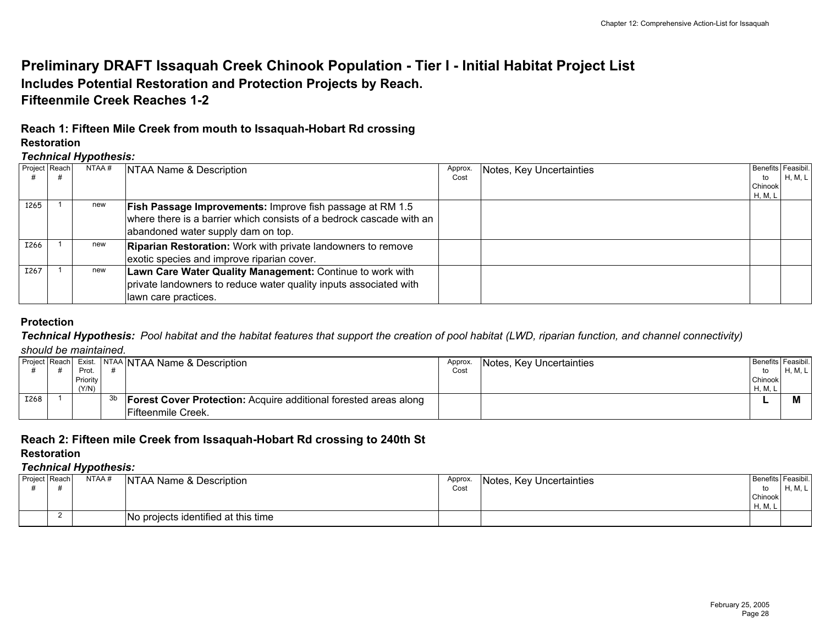## **Preliminary DRAFT Issaquah Creek Chinook Population - Tier I - Initial Habitat Project List Includes Potential Restoration and Protection Projects by Reach. Fifteenmile Creek Reaches 1-2**

#### **Reach 1: Fifteen Mile Creek from mouth to Issaquah-Hobart Rd crossing Restoration**

## *Technical Hypothesis:*

| Project Reach | NTAA# | NTAA Name & Description                                                                                                                                                        | Approx.<br>Cost | Notes, Key Uncertainties | to<br>Chinook | Benefits Feasibil.<br>H, M, L |
|---------------|-------|--------------------------------------------------------------------------------------------------------------------------------------------------------------------------------|-----------------|--------------------------|---------------|-------------------------------|
|               |       |                                                                                                                                                                                |                 |                          | H, M, L       |                               |
| 1265          | new   | <b>Fish Passage Improvements: Improve fish passage at RM 1.5</b><br>where there is a barrier which consists of a bedrock cascade with an<br>abandoned water supply dam on top. |                 |                          |               |                               |
| I266          | new   | <b>Riparian Restoration:</b> Work with private landowners to remove<br>exotic species and improve riparian cover.                                                              |                 |                          |               |                               |
| I267          | new   | Lawn Care Water Quality Management: Continue to work with<br>private landowners to reduce water quality inputs associated with<br>lawn care practices.                         |                 |                          |               |                               |

## **Protection**

*Technical Hypothesis: Pool habitat and the habitat features that support the creation of pool habitat (LWD, riparian function, and channel connectivity)* 

*should be maintained.*

|      |          |     | Project Reach Exist.   NTAA NTAA Name & Description                     | Approx. | <b>Notes. Key Uncertainties</b> | Benefits Feasibil. |         |
|------|----------|-----|-------------------------------------------------------------------------|---------|---------------------------------|--------------------|---------|
|      | Prot.    |     |                                                                         | Cost    |                                 | to                 | H, M, L |
|      | Priority |     |                                                                         |         |                                 | Chinook            |         |
|      | (Y/N)    |     |                                                                         |         |                                 | H, M, L            |         |
| I268 |          | 3D. | <b>Forest Cover Protection:</b> Acquire additional forested areas along |         |                                 |                    |         |
|      |          |     | <b>IFifteenmile Creek.</b>                                              |         |                                 |                    |         |

## **Reach 2: Fifteen mile Creek from Issaquah-Hobart Rd crossing to 240th St**

#### **Restoration**

| Project Reach | NTAA # | NTAA Name & Description             | Approx.<br>Cost | Notes, Key Uncertainties | Chinook<br>H, M, L | Benefits Feasibil. |
|---------------|--------|-------------------------------------|-----------------|--------------------------|--------------------|--------------------|
|               |        | No projects identified at this time |                 |                          |                    |                    |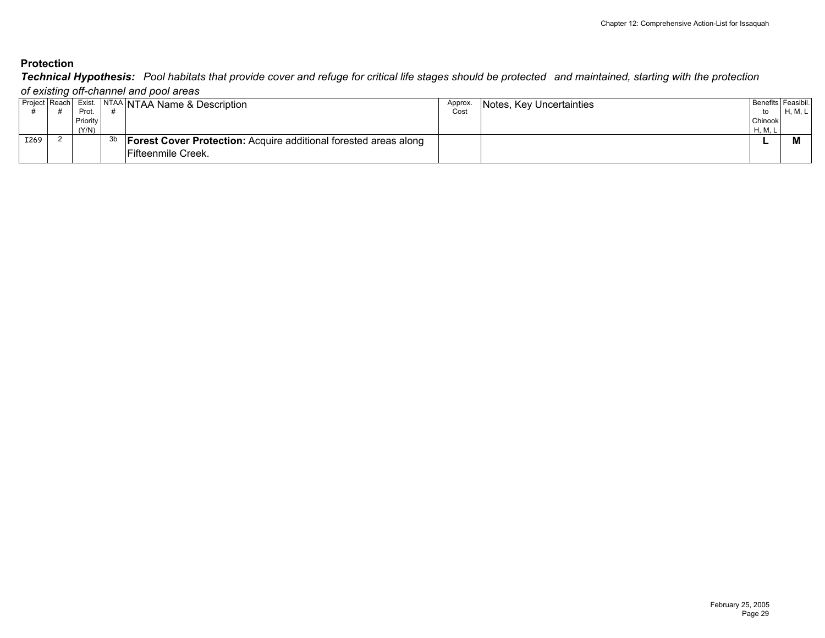Technical Hypothesis: Pool habitats that provide cover and refuge for critical life stages should be protected and maintained, starting with the protection *of existing off-channel and pool areas*

|      |          | Project Reach Exist. NTAA NTAA Name & Description                       | Approx. | Notes, Key Uncertainties | Benefits Feasibil. |         |
|------|----------|-------------------------------------------------------------------------|---------|--------------------------|--------------------|---------|
|      | Prot.    |                                                                         | Cost    |                          | to                 | H, M, L |
|      | Priority |                                                                         |         |                          | Chinook            |         |
|      | (Y/N)    |                                                                         |         |                          | H, M, .            |         |
| I269 |          | <b>Forest Cover Protection:</b> Acquire additional forested areas along |         |                          |                    |         |
|      |          | <b>IFifteenmile Creek.</b>                                              |         |                          |                    |         |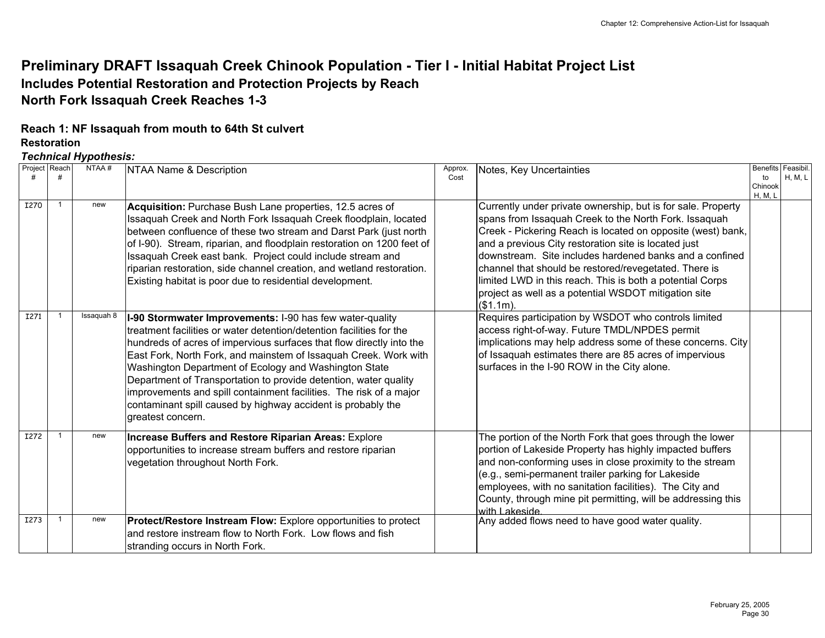## **Preliminary DRAFT Issaquah Creek Chinook Population - Tier I - Initial Habitat Project List Includes Potential Restoration and Protection Projects by Reach North Fork Issaquah Creek Reaches 1-3**

## **Reach 1: NF Issaquah from mouth to 64th St culvert**

#### **Restoration**

| Project Reach | NTAA#      | <b>NTAA Name &amp; Description</b>                                                                                                                                                                                                                                                                                                                                                                                                                                                                                                                                   | Approx.<br>Cost | Notes, Key Uncertainties                                                                                                                                                                                                                                                                                                                                                                                                                                                                             | to<br>Chinook<br>H, M, L | Benefits Feasibil.<br>H, M, L |
|---------------|------------|----------------------------------------------------------------------------------------------------------------------------------------------------------------------------------------------------------------------------------------------------------------------------------------------------------------------------------------------------------------------------------------------------------------------------------------------------------------------------------------------------------------------------------------------------------------------|-----------------|------------------------------------------------------------------------------------------------------------------------------------------------------------------------------------------------------------------------------------------------------------------------------------------------------------------------------------------------------------------------------------------------------------------------------------------------------------------------------------------------------|--------------------------|-------------------------------|
| I270          | new        | Acquisition: Purchase Bush Lane properties, 12.5 acres of<br>Issaquah Creek and North Fork Issaquah Creek floodplain, located<br>between confluence of these two stream and Darst Park (just north<br>of I-90). Stream, riparian, and floodplain restoration on 1200 feet of<br>Issaquah Creek east bank. Project could include stream and<br>riparian restoration, side channel creation, and wetland restoration.<br>Existing habitat is poor due to residential development.                                                                                      |                 | Currently under private ownership, but is for sale. Property<br>spans from Issaquah Creek to the North Fork. Issaquah<br>Creek - Pickering Reach is located on opposite (west) bank,<br>and a previous City restoration site is located just<br>downstream. Site includes hardened banks and a confined<br>channel that should be restored/revegetated. There is<br>limited LWD in this reach. This is both a potential Corps<br>project as well as a potential WSDOT mitigation site<br>$($1.1m)$ . |                          |                               |
| I271          | Issaquah 8 | I-90 Stormwater Improvements: I-90 has few water-quality<br>treatment facilities or water detention/detention facilities for the<br>hundreds of acres of impervious surfaces that flow directly into the<br>East Fork, North Fork, and mainstem of Issaquah Creek. Work with<br>Washington Department of Ecology and Washington State<br>Department of Transportation to provide detention, water quality<br>improvements and spill containment facilities. The risk of a major<br>contaminant spill caused by highway accident is probably the<br>greatest concern. |                 | Requires participation by WSDOT who controls limited<br>access right-of-way. Future TMDL/NPDES permit<br>implications may help address some of these concerns. City<br>of Issaguah estimates there are 85 acres of impervious<br>surfaces in the I-90 ROW in the City alone.                                                                                                                                                                                                                         |                          |                               |
| I272          | new        | <b>Increase Buffers and Restore Riparian Areas: Explore</b><br>opportunities to increase stream buffers and restore riparian<br>vegetation throughout North Fork.                                                                                                                                                                                                                                                                                                                                                                                                    |                 | The portion of the North Fork that goes through the lower<br>portion of Lakeside Property has highly impacted buffers<br>and non-conforming uses in close proximity to the stream<br>(e.g., semi-permanent trailer parking for Lakeside<br>employees, with no sanitation facilities). The City and<br>County, through mine pit permitting, will be addressing this<br>with Lakeside.                                                                                                                 |                          |                               |
| I273          | new        | Protect/Restore Instream Flow: Explore opportunities to protect<br>and restore instream flow to North Fork. Low flows and fish<br>stranding occurs in North Fork.                                                                                                                                                                                                                                                                                                                                                                                                    |                 | Any added flows need to have good water quality.                                                                                                                                                                                                                                                                                                                                                                                                                                                     |                          |                               |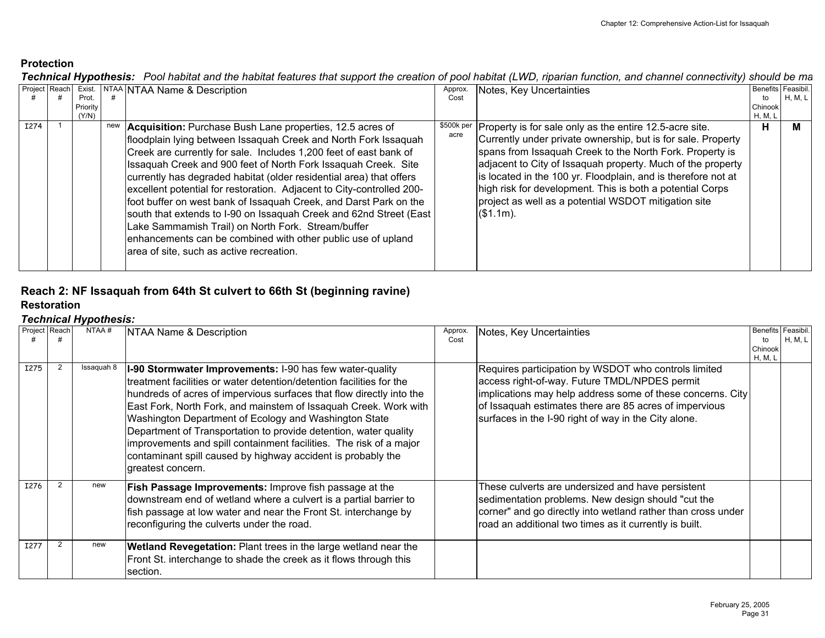|      | Project Reach |          | <b>Exist.</b> NTAA NTAA Name & Description                            | Approx.    | Notes, Key Uncertainties                                      | <b>Benefits</b> Feasibil |         |
|------|---------------|----------|-----------------------------------------------------------------------|------------|---------------------------------------------------------------|--------------------------|---------|
|      |               | Prot.    |                                                                       | Cost       |                                                               | to                       | H, M, L |
|      |               | Priority |                                                                       |            |                                                               | Chinook                  |         |
|      |               | (Y/N)    |                                                                       |            |                                                               | H, M, L                  |         |
| I274 |               |          | Acquisition: Purchase Bush Lane properties, 12.5 acres of             | \$500k per | Property is for sale only as the entire 12.5-acre site.       | н                        | М       |
|      |               |          | floodplain lying between Issaquah Creek and North Fork Issaquah       | acre       | Currently under private ownership, but is for sale. Property  |                          |         |
|      |               |          | Creek are currently for sale. Includes 1,200 feet of east bank of     |            | spans from Issaquah Creek to the North Fork. Property is      |                          |         |
|      |               |          | Issaquah Creek and 900 feet of North Fork Issaquah Creek. Site        |            | adjacent to City of Issaquah property. Much of the property   |                          |         |
|      |               |          | currently has degraded habitat (older residential area) that offers   |            | is located in the 100 yr. Floodplain, and is therefore not at |                          |         |
|      |               |          | excellent potential for restoration. Adjacent to City-controlled 200- |            | high risk for development. This is both a potential Corps     |                          |         |
|      |               |          | foot buffer on west bank of Issaquah Creek, and Darst Park on the     |            | project as well as a potential WSDOT mitigation site          |                          |         |
|      |               |          | south that extends to I-90 on Issaguah Creek and 62nd Street (East    |            | $(S1.1m)$ .                                                   |                          |         |
|      |               |          | Lake Sammamish Trail) on North Fork. Stream/buffer                    |            |                                                               |                          |         |
|      |               |          | enhancements can be combined with other public use of upland          |            |                                                               |                          |         |
|      |               |          | area of site, such as active recreation.                              |            |                                                               |                          |         |
|      |               |          |                                                                       |            |                                                               |                          |         |
|      |               |          |                                                                       |            |                                                               |                          |         |

#### *Technical Hypothesis: Pool habitat and the habitat features that support the creation of pool habitat (LWD, riparian function, and channel connectivity) should be ma*

## **Reach 2: NF Issaquah from 64th St culvert to 66th St (beginning ravine)**

#### **Restoration**

| Project Reach | NTAA#      | NTAA Name & Description                                                                                                                                                                                                                                                                                                                                                                                                                                                                                                                                                      | Approx. | Notes, Key Uncertainties                                                                                                                                                                                                                                                              |                          | Benefits Feasibil. |
|---------------|------------|------------------------------------------------------------------------------------------------------------------------------------------------------------------------------------------------------------------------------------------------------------------------------------------------------------------------------------------------------------------------------------------------------------------------------------------------------------------------------------------------------------------------------------------------------------------------------|---------|---------------------------------------------------------------------------------------------------------------------------------------------------------------------------------------------------------------------------------------------------------------------------------------|--------------------------|--------------------|
|               |            |                                                                                                                                                                                                                                                                                                                                                                                                                                                                                                                                                                              | Cost    |                                                                                                                                                                                                                                                                                       | to<br>Chinook<br>H, M, L | H, M, L            |
| I275          | Issaquah 8 | <b>I-90 Stormwater Improvements: I-90 has few water-quality</b><br>Itreatment facilities or water detention/detention facilities for the<br>hundreds of acres of impervious surfaces that flow directly into the<br>East Fork, North Fork, and mainstem of Issaguah Creek. Work with<br>Washington Department of Ecology and Washington State<br>Department of Transportation to provide detention, water quality<br>improvements and spill containment facilities. The risk of a major<br>contaminant spill caused by highway accident is probably the<br>greatest concern. |         | Requires participation by WSDOT who controls limited<br>access right-of-way. Future TMDL/NPDES permit<br>implications may help address some of these concerns. City<br>of Issaquah estimates there are 85 acres of impervious<br>surfaces in the I-90 right of way in the City alone. |                          |                    |
| I276          | new        | <b>Fish Passage Improvements:</b> Improve fish passage at the<br>downstream end of wetland where a culvert is a partial barrier to<br>fish passage at low water and near the Front St. interchange by<br>reconfiguring the culverts under the road.                                                                                                                                                                                                                                                                                                                          |         | These culverts are undersized and have persistent<br>sedimentation problems. New design should "cut the<br>corner" and go directly into wetland rather than cross under<br>road an additional two times as it currently is built.                                                     |                          |                    |
| I277          | new        | <b>Wetland Revegetation:</b> Plant trees in the large wetland near the<br>Front St. interchange to shade the creek as it flows through this<br>section.                                                                                                                                                                                                                                                                                                                                                                                                                      |         |                                                                                                                                                                                                                                                                                       |                          |                    |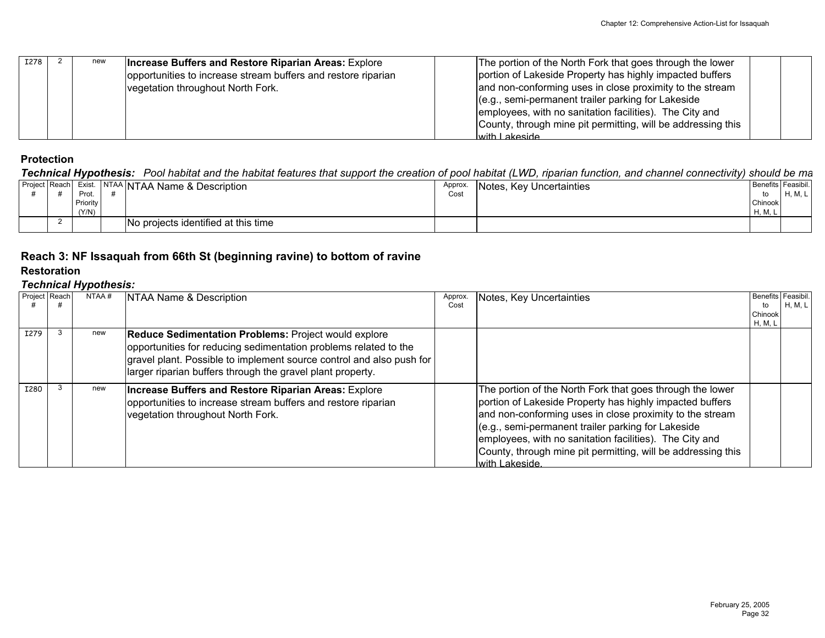| I278 | new | Increase Buffers and Restore Riparian Areas: Explore          | The portion of the North Fork that goes through the lower    |  |
|------|-----|---------------------------------------------------------------|--------------------------------------------------------------|--|
|      |     | opportunities to increase stream buffers and restore riparian | portion of Lakeside Property has highly impacted buffers     |  |
|      |     | vegetation throughout North Fork.                             | and non-conforming uses in close proximity to the stream     |  |
|      |     |                                                               | (e.g., semi-permanent trailer parking for Lakeside           |  |
|      |     |                                                               | employees, with no sanitation facilities). The City and      |  |
|      |     |                                                               | County, through mine pit permitting, will be addressing this |  |
|      |     |                                                               | with Lakeside                                                |  |

*Technical Hypothesis: Pool habitat and the habitat features that support the creation of pool habitat (LWD, riparian function, and channel connectivity) should be ma*

| Project Reach | . .             | In Exist.   NTAA   NTAA Name & Description | Approx. | Notes, Key Uncertainties | Benefits Feasibil. |
|---------------|-----------------|--------------------------------------------|---------|--------------------------|--------------------|
|               | Prot.           |                                            | Cost    |                          | H, M, L            |
|               | <b>Priority</b> |                                            |         |                          | Chinook            |
|               | (Y/N)           |                                            |         |                          | <b>H, M, L</b>     |
|               |                 | No projects identified at this time        |         |                          |                    |
|               |                 |                                            |         |                          |                    |

#### **Reach 3: NF Issaquah from 66th St (beginning ravine) to bottom of ravine Restoration**

|      | Project Reach | NTAA# | NTAA Name & Description                                                                                                                                                                                                                                               | Approx. | Notes, Key Uncertainties                                                                                                                                                                                                                                                                                                                                                             |         | Benefits Feasibil. |
|------|---------------|-------|-----------------------------------------------------------------------------------------------------------------------------------------------------------------------------------------------------------------------------------------------------------------------|---------|--------------------------------------------------------------------------------------------------------------------------------------------------------------------------------------------------------------------------------------------------------------------------------------------------------------------------------------------------------------------------------------|---------|--------------------|
|      |               |       |                                                                                                                                                                                                                                                                       | Cost    |                                                                                                                                                                                                                                                                                                                                                                                      | to      | H, M, L            |
|      |               |       |                                                                                                                                                                                                                                                                       |         |                                                                                                                                                                                                                                                                                                                                                                                      | Chinook |                    |
| I279 |               | new   | <b>Reduce Sedimentation Problems: Project would explore</b><br>opportunities for reducing sedimentation problems related to the<br>gravel plant. Possible to implement source control and also push for<br>larger riparian buffers through the gravel plant property. |         |                                                                                                                                                                                                                                                                                                                                                                                      | H, M, L |                    |
| I280 |               | new   | Increase Buffers and Restore Riparian Areas: Explore<br>opportunities to increase stream buffers and restore riparian<br>vegetation throughout North Fork.                                                                                                            |         | The portion of the North Fork that goes through the lower<br>portion of Lakeside Property has highly impacted buffers<br>and non-conforming uses in close proximity to the stream<br>(e.g., semi-permanent trailer parking for Lakeside<br>employees, with no sanitation facilities). The City and<br>County, through mine pit permitting, will be addressing this<br>with Lakeside. |         |                    |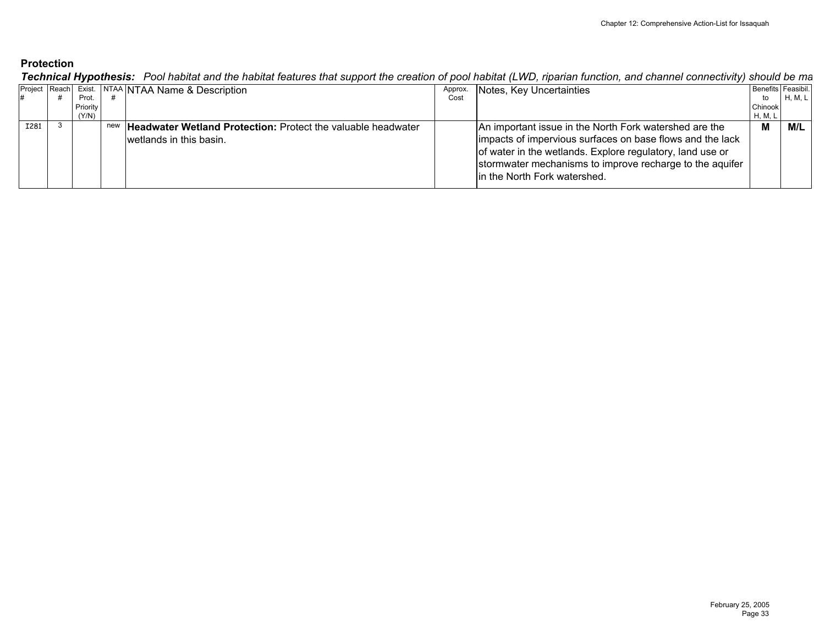| Technical Hypothesis: Pool habitat and the habitat features that support the creation of pool habitat (LWD, riparian function, and channel connectivity) should be ma |  |  |
|-----------------------------------------------------------------------------------------------------------------------------------------------------------------------|--|--|
|                                                                                                                                                                       |  |  |

|      |          | Project Reach Exist. NTAA NTAA Name & Description                       | Approx. | Notes, Key Uncertainties                                  | Benefits Feasibil. |         |
|------|----------|-------------------------------------------------------------------------|---------|-----------------------------------------------------------|--------------------|---------|
|      | Prot.    |                                                                         | Cost    |                                                           | to                 | H, M, L |
|      | Priority |                                                                         |         |                                                           | Chinook            |         |
|      | (Y/N)    |                                                                         |         |                                                           | H, M, L            |         |
| I281 |          | new <b>Headwater Wetland Protection:</b> Protect the valuable headwater |         | An important issue in the North Fork watershed are the    | м                  | M/L     |
|      |          | wetlands in this basin.                                                 |         | impacts of impervious surfaces on base flows and the lack |                    |         |
|      |          |                                                                         |         | of water in the wetlands. Explore regulatory, land use or |                    |         |
|      |          |                                                                         |         | stormwater mechanisms to improve recharge to the aquifer  |                    |         |
|      |          |                                                                         |         | lin the North Fork watershed.                             |                    |         |
|      |          |                                                                         |         |                                                           |                    |         |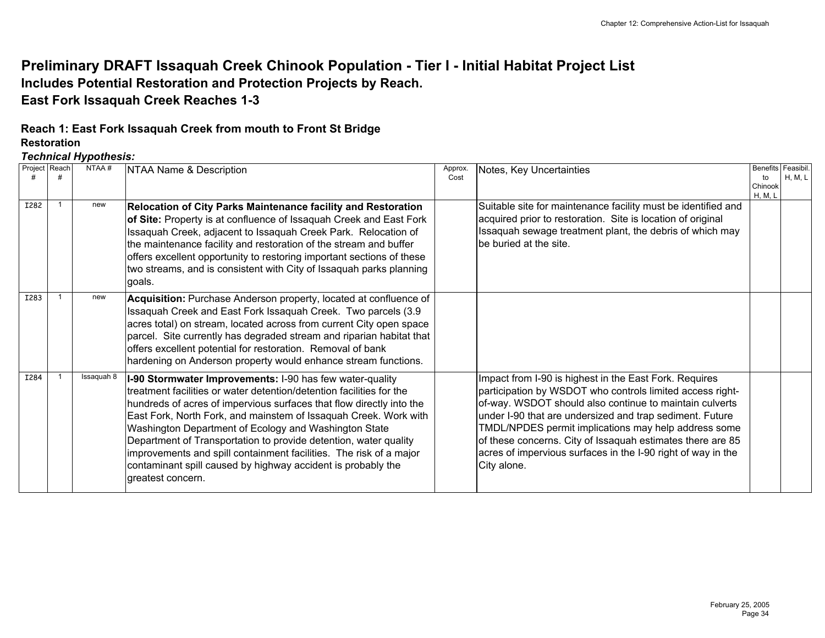## **Preliminary DRAFT Issaquah Creek Chinook Population - Tier I - Initial Habitat Project List Includes Potential Restoration and Protection Projects by Reach. East Fork Issaquah Creek Reaches 1-3**

# **Reach 1: East Fork Issaquah Creek from mouth to Front St Bridge**

**Restoration** *Technical Hypothesis:* 

| Project Reach | NTAA#      | NTAA Name & Description                                                                                                                                                                                                                                                                                                                                                                                                                                                                                                                                              | Approx.<br>Cost | Notes, Key Uncertainties                                                                                                                                                                                                                                                                                                                                                                                                                        | to<br>Chinook<br>H, M, L | Benefits Feasibil.<br>H, M, L |
|---------------|------------|----------------------------------------------------------------------------------------------------------------------------------------------------------------------------------------------------------------------------------------------------------------------------------------------------------------------------------------------------------------------------------------------------------------------------------------------------------------------------------------------------------------------------------------------------------------------|-----------------|-------------------------------------------------------------------------------------------------------------------------------------------------------------------------------------------------------------------------------------------------------------------------------------------------------------------------------------------------------------------------------------------------------------------------------------------------|--------------------------|-------------------------------|
| I282          | new        | Relocation of City Parks Maintenance facility and Restoration<br>of Site: Property is at confluence of Issaquah Creek and East Fork<br>Issaquah Creek, adjacent to Issaquah Creek Park. Relocation of<br>the maintenance facility and restoration of the stream and buffer<br>offers excellent opportunity to restoring important sections of these<br>two streams, and is consistent with City of Issaquah parks planning<br>goals.                                                                                                                                 |                 | Suitable site for maintenance facility must be identified and<br>acquired prior to restoration. Site is location of original<br>Issaquah sewage treatment plant, the debris of which may<br>lbe buried at the site.                                                                                                                                                                                                                             |                          |                               |
| I283          | new        | Acquisition: Purchase Anderson property, located at confluence of<br>Issaquah Creek and East Fork Issaquah Creek. Two parcels (3.9<br>acres total) on stream, located across from current City open space<br>parcel. Site currently has degraded stream and riparian habitat that<br>offers excellent potential for restoration. Removal of bank<br>hardening on Anderson property would enhance stream functions.                                                                                                                                                   |                 |                                                                                                                                                                                                                                                                                                                                                                                                                                                 |                          |                               |
| <b>I284</b>   | Issaquah 8 | 1-90 Stormwater Improvements: I-90 has few water-quality<br>treatment facilities or water detention/detention facilities for the<br>hundreds of acres of impervious surfaces that flow directly into the<br>East Fork, North Fork, and mainstem of Issaquah Creek. Work with<br>Washington Department of Ecology and Washington State<br>Department of Transportation to provide detention, water quality<br>improvements and spill containment facilities. The risk of a major<br>contaminant spill caused by highway accident is probably the<br>greatest concern. |                 | Impact from I-90 is highest in the East Fork. Requires<br>participation by WSDOT who controls limited access right-<br>of-way. WSDOT should also continue to maintain culverts<br>under I-90 that are undersized and trap sediment. Future<br>TMDL/NPDES permit implications may help address some<br>of these concerns. City of Issaquah estimates there are 85<br>acres of impervious surfaces in the I-90 right of way in the<br>City alone. |                          |                               |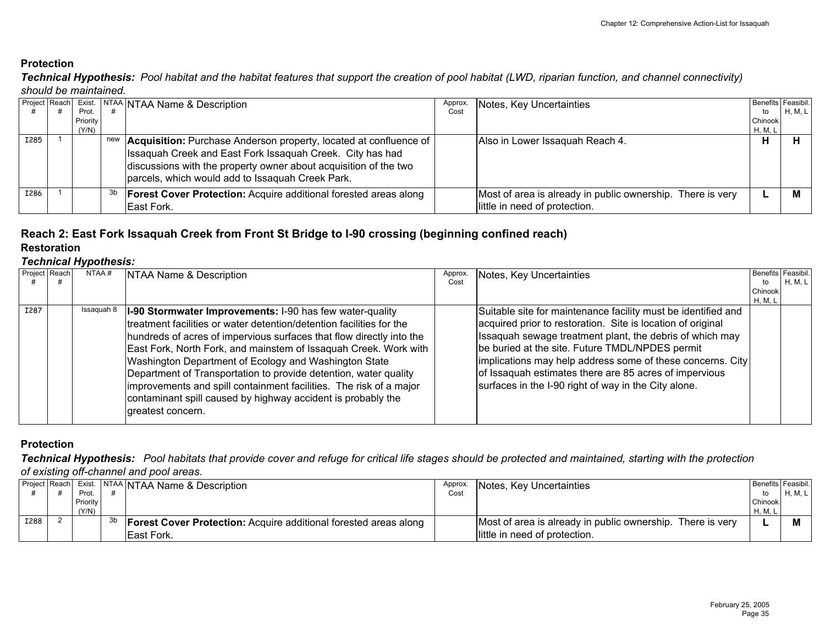*Technical Hypothesis: Pool habitat and the habitat features that support the creation of pool habitat (LWD, riparian function, and channel connectivity) should be maintained.*

| Project Reach | Prot.<br>Priority<br>(Y/N) |    | <b>Exist.</b> NTAA NTAA Name & Description                                                                                                                                                                                                                     | Approx.<br>Cost | Notes, Key Uncertainties                                                                    | Benefits Feasibil.<br>to<br>Chinook<br>H, M, L | H, M, L |
|---------------|----------------------------|----|----------------------------------------------------------------------------------------------------------------------------------------------------------------------------------------------------------------------------------------------------------------|-----------------|---------------------------------------------------------------------------------------------|------------------------------------------------|---------|
| I285          |                            |    | new   Acquisition: Purchase Anderson property, located at confluence of  <br>Issaquah Creek and East Fork Issaquah Creek. City has had<br>discussions with the property owner about acquisition of the two<br>parcels, which would add to Issaquah Creek Park. |                 | Also in Lower Issaquah Reach 4.                                                             | н                                              |         |
| I286          |                            | 3b | <b>Forest Cover Protection:</b> Acquire additional forested areas along<br>East Fork.                                                                                                                                                                          |                 | Most of area is already in public ownership. There is very<br>little in need of protection. |                                                |         |

## **Reach 2: East Fork Issaquah Creek from Front St Bridge to I-90 crossing (beginning confined reach)**

### **Restoration**

## *Technical Hypothesis:*

| Project Reach | NTAA#      | NTAA Name & Description                                                                                                                                                                                                                                                                                                                                                                                                                                                                                                                                              | Approx.<br>Cost | Notes, Key Uncertainties                                                                                                                                                                                                                                                                                                                                                                                                    | Benefits Feasibil<br>to<br>Chinook<br>H, M, L | H, M, L |
|---------------|------------|----------------------------------------------------------------------------------------------------------------------------------------------------------------------------------------------------------------------------------------------------------------------------------------------------------------------------------------------------------------------------------------------------------------------------------------------------------------------------------------------------------------------------------------------------------------------|-----------------|-----------------------------------------------------------------------------------------------------------------------------------------------------------------------------------------------------------------------------------------------------------------------------------------------------------------------------------------------------------------------------------------------------------------------------|-----------------------------------------------|---------|
| I287          | Issaquah 8 | I-90 Stormwater Improvements: I-90 has few water-quality<br>treatment facilities or water detention/detention facilities for the<br>hundreds of acres of impervious surfaces that flow directly into the<br>East Fork, North Fork, and mainstem of Issaquah Creek. Work with<br>Washington Department of Ecology and Washington State<br>Department of Transportation to provide detention, water quality<br>improvements and spill containment facilities. The risk of a major<br>contaminant spill caused by highway accident is probably the<br>greatest concern. |                 | Suitable site for maintenance facility must be identified and<br>acquired prior to restoration. Site is location of original<br>Issaquah sewage treatment plant, the debris of which may<br>be buried at the site. Future TMDL/NPDES permit<br>implications may help address some of these concerns. City<br>of Issaquah estimates there are 85 acres of impervious<br>surfaces in the I-90 right of way in the City alone. |                                               |         |

## **Protection**

*Technical Hypothesis: Pool habitats that provide cover and refuge for critical life stages should be protected and maintained, starting with the protection of existing off-channel and pool areas.*

|      |          | Project Reach Exist. NTAA NTAA Name & Description                       | Approx. | <b>Notes. Key Uncertainties</b>                            | Benefits Feasibil. |         |
|------|----------|-------------------------------------------------------------------------|---------|------------------------------------------------------------|--------------------|---------|
|      | Prot.    |                                                                         | Cost    |                                                            | to                 | H, M, L |
|      | Priority |                                                                         |         |                                                            | Chinook            |         |
|      | (Y/N)    |                                                                         |         |                                                            | H, M, L            |         |
| I288 |          | <b>Forest Cover Protection:</b> Acquire additional forested areas along |         | Most of area is already in public ownership. There is very |                    |         |
|      |          | <b>East Fork.</b>                                                       |         | llittle in need of protection.                             |                    |         |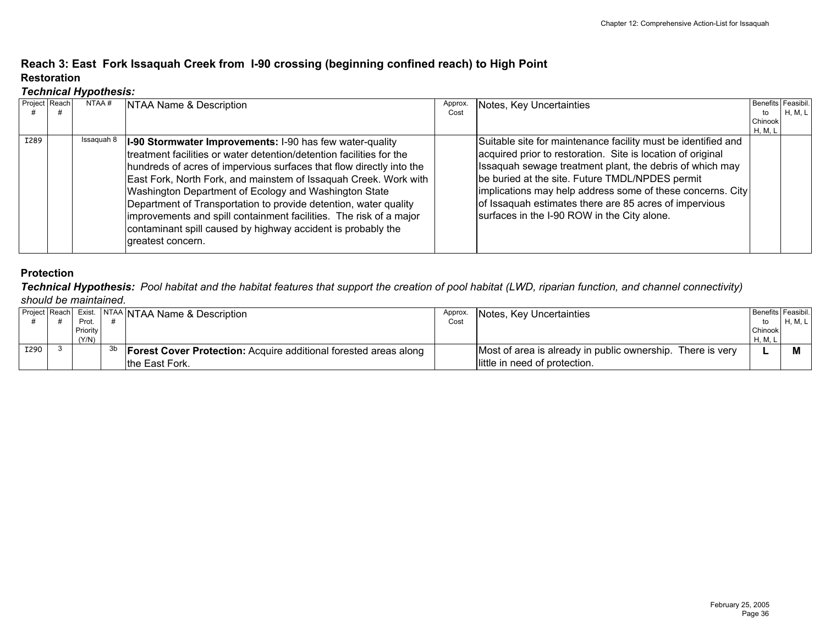## **Reach 3: East Fork Issaquah Creek from I-90 crossing (beginning confined reach) to High Point Restoration**

### *Technical Hypothesis:*

| Project Reach | NTAA# | NTAA Name & Description                                              | Approx.                                                                                                                                                                                        |                                                          |                                                                                                                                                                                                                                                                       | Benefits Feasibil.<br>H, M, L                                               |
|---------------|-------|----------------------------------------------------------------------|------------------------------------------------------------------------------------------------------------------------------------------------------------------------------------------------|----------------------------------------------------------|-----------------------------------------------------------------------------------------------------------------------------------------------------------------------------------------------------------------------------------------------------------------------|-----------------------------------------------------------------------------|
|               |       |                                                                      |                                                                                                                                                                                                |                                                          | Chinook                                                                                                                                                                                                                                                               |                                                                             |
|               |       |                                                                      |                                                                                                                                                                                                |                                                          |                                                                                                                                                                                                                                                                       |                                                                             |
|               |       |                                                                      |                                                                                                                                                                                                |                                                          |                                                                                                                                                                                                                                                                       |                                                                             |
|               |       | treatment facilities or water detention/detention facilities for the |                                                                                                                                                                                                |                                                          |                                                                                                                                                                                                                                                                       |                                                                             |
|               |       | hundreds of acres of impervious surfaces that flow directly into the |                                                                                                                                                                                                | Issaquah sewage treatment plant, the debris of which may |                                                                                                                                                                                                                                                                       |                                                                             |
|               |       | East Fork, North Fork, and mainstem of Issaquah Creek. Work with     |                                                                                                                                                                                                |                                                          |                                                                                                                                                                                                                                                                       |                                                                             |
|               |       | Washington Department of Ecology and Washington State                |                                                                                                                                                                                                |                                                          |                                                                                                                                                                                                                                                                       |                                                                             |
|               |       | Department of Transportation to provide detention, water quality     |                                                                                                                                                                                                |                                                          |                                                                                                                                                                                                                                                                       |                                                                             |
|               |       |                                                                      |                                                                                                                                                                                                | surfaces in the I-90 ROW in the City alone.              |                                                                                                                                                                                                                                                                       |                                                                             |
|               |       |                                                                      |                                                                                                                                                                                                |                                                          |                                                                                                                                                                                                                                                                       |                                                                             |
|               |       | greatest concern.                                                    |                                                                                                                                                                                                |                                                          |                                                                                                                                                                                                                                                                       |                                                                             |
|               |       | Issaquah 8                                                           | 1-90 Stormwater Improvements: I-90 has few water-quality<br>improvements and spill containment facilities. The risk of a major<br>contaminant spill caused by highway accident is probably the | Cost                                                     | Notes, Key Uncertainties<br>Suitable site for maintenance facility must be identified and<br>acquired prior to restoration. Site is location of original<br>be buried at the site. Future TMDL/NPDES permit<br>of Issaquah estimates there are 85 acres of impervious | to<br>H, M, L<br>implications may help address some of these concerns. City |

## **Protection**

*Technical Hypothesis: Pool habitat and the habitat features that support the creation of pool habitat (LWD, riparian function, and channel connectivity) should be maintained.*

|      |          | Project Reach Exist.   NTAA NTAA Name & Description                     | Approx. | Notes, Key Uncertainties                                   | Benefits Feasibil. |         |
|------|----------|-------------------------------------------------------------------------|---------|------------------------------------------------------------|--------------------|---------|
|      | Prot.    |                                                                         | Cost    |                                                            | to                 | H, M, L |
|      | Priority |                                                                         |         |                                                            | Chinook            |         |
|      | (Y/N)    |                                                                         |         |                                                            | H, M, L            |         |
| I290 |          | <b>Forest Cover Protection:</b> Acquire additional forested areas along |         | Most of area is already in public ownership. There is very |                    |         |
|      |          | Ithe East Fork.                                                         |         | little in need of protection.                              |                    |         |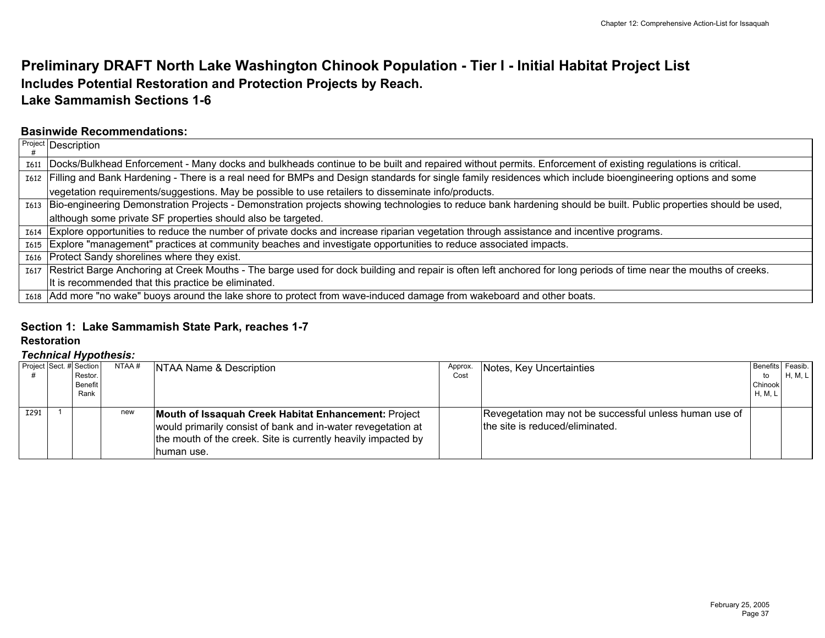## **Preliminary DRAFT North Lake Washington Chinook Population - Tier I - Initial Habitat Project List Includes Potential Restoration and Protection Projects by Reach. Lake Sammamish Sections 1-6**

## **Basinwide Recommendations:**

|      | <b>Project</b> Description                                                                                                                                             |
|------|------------------------------------------------------------------------------------------------------------------------------------------------------------------------|
| I611 | Docks/Bulkhead Enforcement - Many docks and bulkheads continue to be built and repaired without permits. Enforcement of existing regulations is critical.              |
|      | I612 Filling and Bank Hardening - There is a real need for BMPs and Design standards for single family residences which include bioengineering options and some        |
|      | vegetation requirements/suggestions. May be possible to use retailers to disseminate info/products.                                                                    |
|      | I613  Bio-engineering Demonstration Projects - Demonstration projects showing technologies to reduce bank hardening should be built. Public properties should be used, |
|      | although some private SF properties should also be targeted.                                                                                                           |
|      | 1614 Explore opportunities to reduce the number of private docks and increase riparian vegetation through assistance and incentive programs.                           |
|      | I615 Explore "management" practices at community beaches and investigate opportunities to reduce associated impacts.                                                   |
|      | 1616 Protect Sandy shorelines where they exist.                                                                                                                        |
|      | I617 Restrict Barge Anchoring at Creek Mouths - The barge used for dock building and repair is often left anchored for long periods of time near the mouths of creeks. |
|      | It is recommended that this practice be eliminated.                                                                                                                    |
|      | 1618   Add more "no wake" buoys around the lake shore to protect from wave-induced damage from wakeboard and other boats.                                              |

## **Section 1: Lake Sammamish State Park, reaches 1-7**

#### **Restoration**

| Project Sect. # Section | Restor.<br>Benefit<br>Rank | NTAA # | <b>NTAA Name &amp; Description</b>                                                                                                                                                                   | Approx.<br>Cost | Notes, Key Uncertainties                                                                  | Benefits Feasib.<br>to<br>Chinook<br>H, M, L | H, M, L |
|-------------------------|----------------------------|--------|------------------------------------------------------------------------------------------------------------------------------------------------------------------------------------------------------|-----------------|-------------------------------------------------------------------------------------------|----------------------------------------------|---------|
| I291                    |                            | new    | Mouth of Issaquah Creek Habitat Enhancement: Project<br>would primarily consist of bank and in-water revegetation at<br>the mouth of the creek. Site is currently heavily impacted by<br>Ihuman use. |                 | Revegetation may not be successful unless human use of<br>the site is reduced/eliminated. |                                              |         |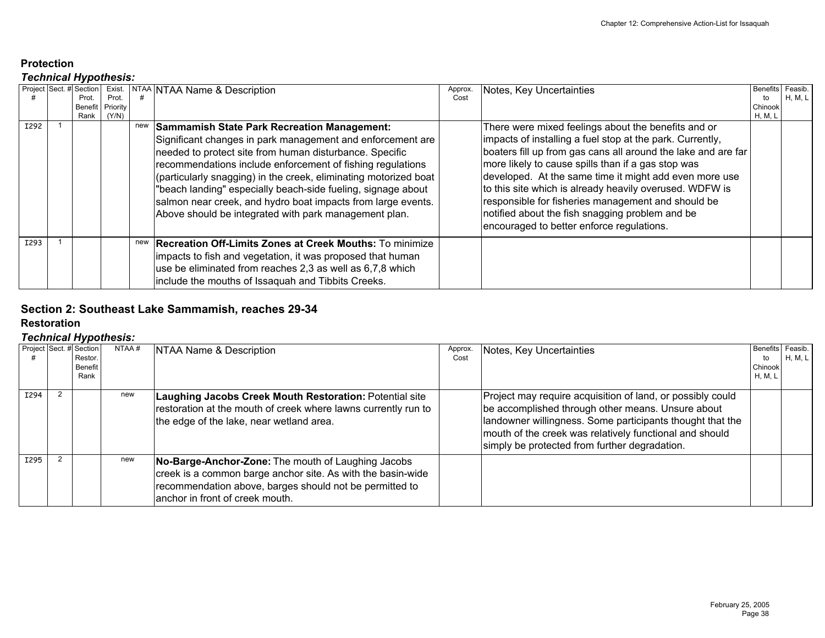|      | <b>Technical Hypothesis:</b> |          |     |                                                                  |         |                                                               |          |         |
|------|------------------------------|----------|-----|------------------------------------------------------------------|---------|---------------------------------------------------------------|----------|---------|
|      | Project Sect. # Section      |          |     | Exist.   NTAA   NTAA Name & Description                          | Approx. | Notes, Key Uncertainties                                      | Benefits | Feasib. |
|      | Prot.                        | Prot.    |     |                                                                  | Cost    |                                                               | to       | H, M, L |
|      | Benefit                      | Priority |     |                                                                  |         |                                                               | Chinook  |         |
|      | Rank                         | (Y/N)    |     |                                                                  |         |                                                               | H, M, I  |         |
| I292 |                              |          | new | Sammamish State Park Recreation Management:                      |         | There were mixed feelings about the benefits and or           |          |         |
|      |                              |          |     | Significant changes in park management and enforcement are       |         | impacts of installing a fuel stop at the park. Currently,     |          |         |
|      |                              |          |     | needed to protect site from human disturbance. Specific          |         | boaters fill up from gas cans all around the lake and are far |          |         |
|      |                              |          |     | recommendations include enforcement of fishing regulations       |         | more likely to cause spills than if a gas stop was            |          |         |
|      |                              |          |     | (particularly snagging) in the creek, eliminating motorized boat |         | developed. At the same time it might add even more use        |          |         |
|      |                              |          |     |                                                                  |         |                                                               |          |         |
|      |                              |          |     | "beach landing" especially beach-side fueling, signage about     |         | to this site which is already heavily overused. WDFW is       |          |         |
|      |                              |          |     | salmon near creek, and hydro boat impacts from large events.     |         | responsible for fisheries management and should be            |          |         |
|      |                              |          |     | Above should be integrated with park management plan.            |         | notified about the fish snagging problem and be               |          |         |
|      |                              |          |     |                                                                  |         | encouraged to better enforce regulations.                     |          |         |
|      |                              |          |     |                                                                  |         |                                                               |          |         |
| I293 |                              |          | new | <b>Recreation Off-Limits Zones at Creek Mouths: To minimize</b>  |         |                                                               |          |         |
|      |                              |          |     | impacts to fish and vegetation, it was proposed that human       |         |                                                               |          |         |
|      |                              |          |     | use be eliminated from reaches 2,3 as well as 6,7,8 which        |         |                                                               |          |         |
|      |                              |          |     | include the mouths of Issaguah and Tibbits Creeks.               |         |                                                               |          |         |
|      |                              |          |     |                                                                  |         |                                                               |          |         |

## **Section 2: Southeast Lake Sammamish, reaches 29-34**

#### **Restoration**

|      | . .<br>Project Sect. # Section<br>Restor.<br>Benefit<br>Rank | NTAA# | NTAA Name & Description                                                                                                                                                                                         | Approx.<br>Cost | Notes, Key Uncertainties                                                                                                                                                                                                                                                                 | Benefits Feasib.<br>to<br>Chinook<br>H, M, L | H, M, L |
|------|--------------------------------------------------------------|-------|-----------------------------------------------------------------------------------------------------------------------------------------------------------------------------------------------------------------|-----------------|------------------------------------------------------------------------------------------------------------------------------------------------------------------------------------------------------------------------------------------------------------------------------------------|----------------------------------------------|---------|
| I294 |                                                              | new   | Laughing Jacobs Creek Mouth Restoration: Potential site<br>restoration at the mouth of creek where lawns currently run to<br>the edge of the lake, near wetland area.                                           |                 | Project may require acquisition of land, or possibly could<br>be accomplished through other means. Unsure about<br>landowner willingness. Some participants thought that the<br>mouth of the creek was relatively functional and should<br>simply be protected from further degradation. |                                              |         |
| I295 |                                                              | new   | No-Barge-Anchor-Zone: The mouth of Laughing Jacobs<br>creek is a common barge anchor site. As with the basin-wide<br>recommendation above, barges should not be permitted to<br>anchor in front of creek mouth. |                 |                                                                                                                                                                                                                                                                                          |                                              |         |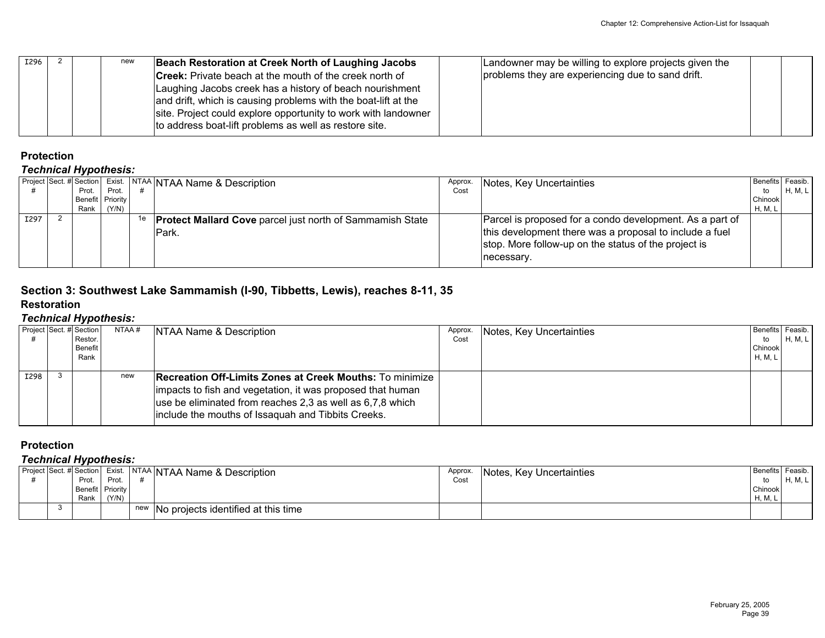| I296 |  | new | Beach Restoration at Creek North of Laughing Jacobs            | Landowner may be willing to explore projects given the |  |
|------|--|-----|----------------------------------------------------------------|--------------------------------------------------------|--|
|      |  |     | <b>Creek:</b> Private beach at the mouth of the creek north of | problems they are experiencing due to sand drift.      |  |
|      |  |     | Laughing Jacobs creek has a history of beach nourishment       |                                                        |  |
|      |  |     | and drift, which is causing problems with the boat-lift at the |                                                        |  |
|      |  |     | site. Project could explore opportunity to work with landowner |                                                        |  |
|      |  |     | to address boat-lift problems as well as restore site.         |                                                        |  |

## *Technical Hypothesis:*

|      |                  |       | Project Sect. # Section Exist. NTAA NTAA Name & Description      | Approx. |                                                          |         | Benefits Feasib. |
|------|------------------|-------|------------------------------------------------------------------|---------|----------------------------------------------------------|---------|------------------|
|      |                  |       |                                                                  |         | Notes, Key Uncertainties                                 |         |                  |
|      | Prot.            | Prot. |                                                                  | Cost    |                                                          | to      | H, M, L          |
|      | Benefit Priority |       |                                                                  |         |                                                          | Chinook |                  |
|      | Rank             | (Y/N) |                                                                  |         |                                                          | H, M, L |                  |
| I297 |                  |       | <b>Protect Mallard Cove parcel just north of Sammamish State</b> |         | Parcel is proposed for a condo development. As a part of |         |                  |
|      |                  |       | Park.                                                            |         | this development there was a proposal to include a fuel  |         |                  |
|      |                  |       |                                                                  |         | stop. More follow-up on the status of the project is     |         |                  |
|      |                  |       |                                                                  |         | Inecessary.                                              |         |                  |

## **Section 3: Southwest Lake Sammamish (I-90, Tibbetts, Lewis), reaches 8-11, 35**

## **Restoration**

### *Technical Hypothesis:*

|      | . .                     |        |                                                                 |         |                          |                  |         |
|------|-------------------------|--------|-----------------------------------------------------------------|---------|--------------------------|------------------|---------|
|      | Project Sect. # Section | NTAA # | <b>NTAA Name &amp; Description</b>                              | Approx. | Notes, Key Uncertainties | Benefits Feasib. |         |
|      | Restor.                 |        |                                                                 | Cost    |                          | to               | H, M, L |
|      | <b>Benefit</b>          |        |                                                                 |         |                          | Chinook          |         |
|      | Rank                    |        |                                                                 |         |                          | H, M, L          |         |
|      |                         |        |                                                                 |         |                          |                  |         |
| I298 |                         | new    | <b>Recreation Off-Limits Zones at Creek Mouths: To minimize</b> |         |                          |                  |         |
|      |                         |        | limpacts to fish and vegetation, it was proposed that human     |         |                          |                  |         |
|      |                         |        | use be eliminated from reaches 2,3 as well as 6,7,8 which       |         |                          |                  |         |
|      |                         |        |                                                                 |         |                          |                  |         |
|      |                         |        | include the mouths of Issaquah and Tibbits Creeks.              |         |                          |                  |         |
|      |                         |        |                                                                 |         |                          |                  |         |

## **Protection**

|  |                    |       | Project Sect. # Section   Exist. NTAA   NTAA Name & Description | Approx. | Notes, Key Uncertainties | Benefits Feasib. |                      |
|--|--------------------|-------|-----------------------------------------------------------------|---------|--------------------------|------------------|----------------------|
|  | Prot.              | Prot. |                                                                 | Cost    |                          |                  | <sup>1</sup> H, M, L |
|  | Benefit   Priority |       |                                                                 |         |                          | Chinook          |                      |
|  | Rank               | (Y/N) |                                                                 |         |                          | H, M,            |                      |
|  |                    |       | new   No projects identified at this time                       |         |                          |                  |                      |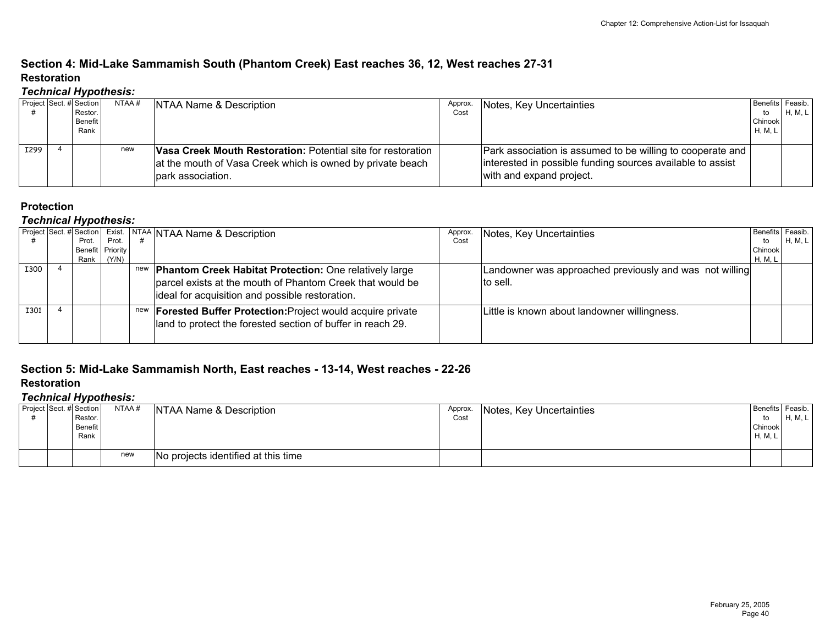## **Section 4: Mid-Lake Sammamish South (Phantom Creek) East reaches 36, 12, West reaches 27-31 Restoration**

#### *Technical Hypothesis:*

|      | Project Sect. # Section<br>Restor.<br>Benefit<br>Rank | NTAA # | NTAA Name & Description                                                                                                                         | Approx.<br>Cost | Notes, Key Uncertainties                                                                                                                             | to<br>Chinook<br>H, M, L | Benefits Feasib.<br>H, M, L |
|------|-------------------------------------------------------|--------|-------------------------------------------------------------------------------------------------------------------------------------------------|-----------------|------------------------------------------------------------------------------------------------------------------------------------------------------|--------------------------|-----------------------------|
| I299 |                                                       | new    | Vasa Creek Mouth Restoration: Potential site for restoration<br>at the mouth of Vasa Creek which is owned by private beach<br>park association. |                 | Park association is assumed to be willing to cooperate and<br>interested in possible funding sources available to assist<br>with and expand project. |                          |                             |

## **Protection**

#### *Technical Hypothesis:*  Project Sect. # Section #Prot. Benefit RankExist. Prot. Priority (Y/N)  $\mathbb{R}^{NTA}$  NTAA Name & Description  $\mathbb{R}^{NTA}$   $\mathbb{R}^{NDCS}$ . Notes, Key Uncertainties  $\mathbb{R}^{SVDR}$   $\mathbb{R}^{SVDR}$   $\mathbb{R}^{SVDR}$ #Chinook H, M, L Feasib. H, M, L I300<sup>4</sup> | | | new **Phantom Creek Habitat Protection:** One relatively large parcel exists at the mouth of Phantom Creek that would be ideal for acquisition and possible restoration. Landowner was approached previously and was not willing to sell. I301<sup>4</sup> **Forested Buffer Protection:**Project would acquire private land to protect the forested section of buffer in reach 29. Little is known about landowner willingness.

## **Section 5: Mid-Lake Sammamish North, East reaches - 13-14, West reaches - 22-26**

## **Restoration**

|         | Benefits Feasib. |
|---------|------------------|
| to      | H, M, L          |
|         |                  |
| H, M, L |                  |
|         |                  |
|         |                  |
|         | Chinook          |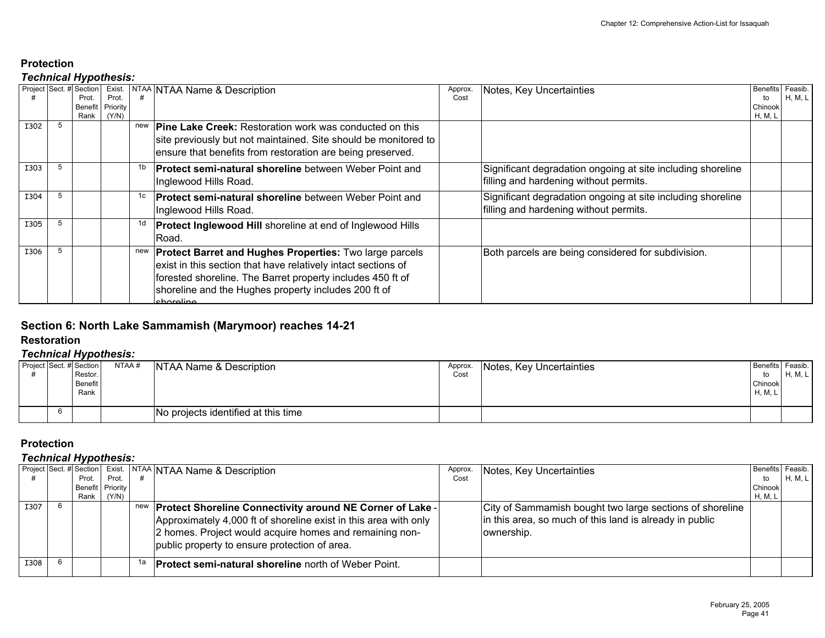## *Technical Hypothesis:*

|      |   | ,,,<br>Project Sect. # Section<br>Prot. | Exist.<br>Prot.   |     | <b>NTAA</b> NTAA Name & Description                                                                                                                                                                                                                                | Approx.<br>Cost | Notes, Key Uncertainties                                                                              | <b>Benefits</b><br>to | Feasib.<br>H, M, L |
|------|---|-----------------------------------------|-------------------|-----|--------------------------------------------------------------------------------------------------------------------------------------------------------------------------------------------------------------------------------------------------------------------|-----------------|-------------------------------------------------------------------------------------------------------|-----------------------|--------------------|
|      |   | Benefit<br>Rank                         | Priority<br>(Y/N) |     |                                                                                                                                                                                                                                                                    |                 |                                                                                                       | Chinook<br>H, M, L    |                    |
| I302 | 5 |                                         |                   | new | <b>Pine Lake Creek:</b> Restoration work was conducted on this<br>site previously but not maintained. Site should be monitored to<br>ensure that benefits from restoration are being preserved.                                                                    |                 |                                                                                                       |                       |                    |
| I303 |   |                                         |                   |     | <b>Protect semi-natural shoreline</b> between Weber Point and<br>Inglewood Hills Road.                                                                                                                                                                             |                 | Significant degradation ongoing at site including shoreline<br>filling and hardening without permits. |                       |                    |
| I304 |   |                                         |                   |     | <b>Protect semi-natural shoreline</b> between Weber Point and<br>Inglewood Hills Road.                                                                                                                                                                             |                 | Significant degradation ongoing at site including shoreline<br>filling and hardening without permits. |                       |                    |
| I305 |   |                                         |                   |     | <b>Protect Inglewood Hill shoreline at end of Inglewood Hills</b><br>Road.                                                                                                                                                                                         |                 |                                                                                                       |                       |                    |
| I306 |   |                                         |                   | new | <b>Protect Barret and Hughes Properties:</b> Two large parcels<br>exist in this section that have relatively intact sections of<br>forested shoreline. The Barret property includes 450 ft of<br>shoreline and the Hughes property includes 200 ft of<br>chorolino |                 | Both parcels are being considered for subdivision.                                                    |                       |                    |

## **Section 6: North Lake Sammamish (Marymoor) reaches 14-21**

#### **Restoration**

## *Technical Hypothesis:*

|  | Project Sect. # Section<br>Restor. | NTAA# | NTAA Name & Description             | Approx.<br>Cost | Notes, Key Uncertainties | Benefits Feasib.<br>to | H, M, L |
|--|------------------------------------|-------|-------------------------------------|-----------------|--------------------------|------------------------|---------|
|  | Benefit<br>Rank                    |       |                                     |                 |                          | Chinook<br>H, M, I     |         |
|  |                                    |       | No projects identified at this time |                 |                          |                        |         |

## **Protection**

|             |                  |       | Project Sect. # Section   Exist.   NTAA   NTAA Name & Description | Approx. | Notes, Key Uncertainties                                 | Benefits Feasib. |         |
|-------------|------------------|-------|-------------------------------------------------------------------|---------|----------------------------------------------------------|------------------|---------|
|             | Prot.            | Prot  |                                                                   | Cost    |                                                          | to               | H, M, L |
|             | Benefit Priority |       |                                                                   |         |                                                          | Chinook          |         |
|             | Rank             | (Y/N) |                                                                   |         |                                                          | H, M, L          |         |
| I307        |                  |       | new   Protect Shoreline Connectivity around NE Corner of Lake -   |         | City of Sammamish bought two large sections of shoreline |                  |         |
|             |                  |       | Approximately 4,000 ft of shoreline exist in this area with only  |         | in this area, so much of this land is already in public  |                  |         |
|             |                  |       | 2 homes. Project would acquire homes and remaining non-           |         | ownership.                                               |                  |         |
|             |                  |       | public property to ensure protection of area.                     |         |                                                          |                  |         |
| <b>I308</b> |                  |       | <b>Protect semi-natural shoreline north of Weber Point.</b>       |         |                                                          |                  |         |
|             |                  |       |                                                                   |         |                                                          |                  |         |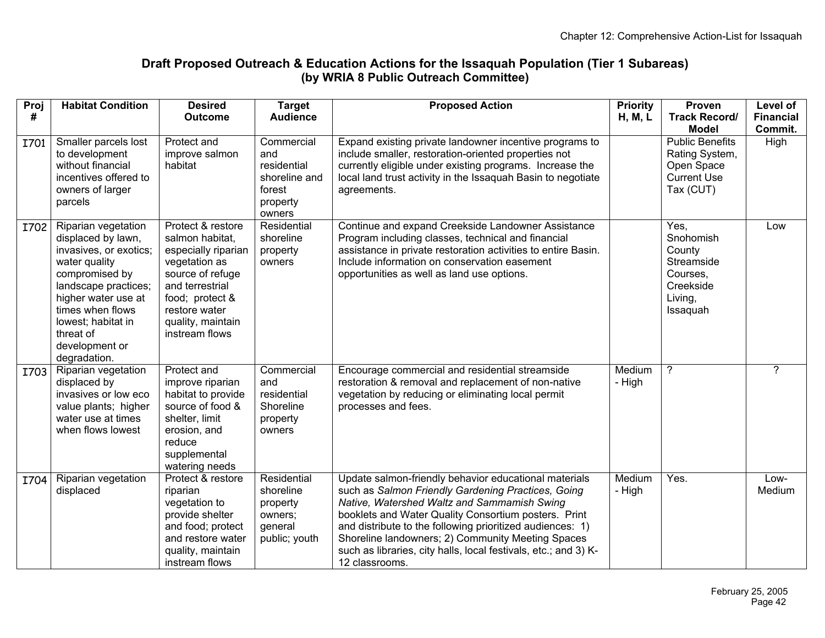## **Draft Proposed Outreach & Education Actions for the Issaquah Population (Tier 1 Subareas) (by WRIA 8 Public Outreach Committee)**

| Proj<br># | <b>Habitat Condition</b>                                                                                                                                                                                                                       | <b>Desired</b><br><b>Outcome</b>                                                                                                                                                               | <b>Target</b><br><b>Audience</b>                                                  | <b>Proposed Action</b>                                                                                                                                                                                                                                                                                                                                                                                                    | <b>Priority</b><br>H, M, L | Proven<br><b>Track Record/</b><br><b>Model</b>                                            | Level of<br><b>Financial</b><br>Commit. |
|-----------|------------------------------------------------------------------------------------------------------------------------------------------------------------------------------------------------------------------------------------------------|------------------------------------------------------------------------------------------------------------------------------------------------------------------------------------------------|-----------------------------------------------------------------------------------|---------------------------------------------------------------------------------------------------------------------------------------------------------------------------------------------------------------------------------------------------------------------------------------------------------------------------------------------------------------------------------------------------------------------------|----------------------------|-------------------------------------------------------------------------------------------|-----------------------------------------|
| I701      | Smaller parcels lost<br>to development<br>without financial<br>incentives offered to<br>owners of larger<br>parcels                                                                                                                            | Protect and<br>improve salmon<br>habitat                                                                                                                                                       | Commercial<br>and<br>residential<br>shoreline and<br>forest<br>property<br>owners | Expand existing private landowner incentive programs to<br>include smaller, restoration-oriented properties not<br>currently eligible under existing programs. Increase the<br>local land trust activity in the Issaquah Basin to negotiate<br>agreements.                                                                                                                                                                |                            | Public Benefits<br>Rating System,<br>Open Space<br><b>Current Use</b><br>Tax (CUT)        | <b>High</b>                             |
| I702      | Riparian vegetation<br>displaced by lawn,<br>invasives, or exotics;<br>water quality<br>compromised by<br>landscape practices;<br>higher water use at<br>times when flows<br>lowest; habitat in<br>threat of<br>development or<br>degradation. | Protect & restore<br>salmon habitat,<br>especially riparian<br>vegetation as<br>source of refuge<br>and terrestrial<br>food; protect &<br>restore water<br>quality, maintain<br>instream flows | Residential<br>shoreline<br>property<br>owners                                    | Continue and expand Creekside Landowner Assistance<br>Program including classes, technical and financial<br>assistance in private restoration activities to entire Basin.<br>Include information on conservation easement<br>opportunities as well as land use options.                                                                                                                                                   |                            | Yes,<br>Snohomish<br>County<br>Streamside<br>Courses,<br>Creekside<br>Living,<br>Issaquah | Low                                     |
| I703      | Riparian vegetation<br>displaced by<br>invasives or low eco<br>value plants; higher<br>water use at times<br>when flows lowest                                                                                                                 | Protect and<br>improve riparian<br>habitat to provide<br>source of food &<br>shelter, limit<br>erosion, and<br>reduce<br>supplemental<br>watering needs                                        | Commercial<br>and<br>residential<br>Shoreline<br>property<br>owners               | Encourage commercial and residential streamside<br>restoration & removal and replacement of non-native<br>vegetation by reducing or eliminating local permit<br>processes and fees.                                                                                                                                                                                                                                       | Medium<br>- High           | $\overline{\cdot}$                                                                        | $\gamma$                                |
| I704      | Riparian vegetation<br>displaced                                                                                                                                                                                                               | Protect & restore<br>riparian<br>vegetation to<br>provide shelter<br>and food; protect<br>and restore water<br>quality, maintain<br>instream flows                                             | Residential<br>shoreline<br>property<br>owners;<br>general<br>public; youth       | Update salmon-friendly behavior educational materials<br>such as Salmon Friendly Gardening Practices, Going<br>Native, Watershed Waltz and Sammamish Swing<br>booklets and Water Quality Consortium posters. Print<br>and distribute to the following prioritized audiences: 1)<br>Shoreline landowners; 2) Community Meeting Spaces<br>such as libraries, city halls, local festivals, etc.; and 3) K-<br>12 classrooms. | Medium<br>- High           | Yes.                                                                                      | Low-<br>Medium                          |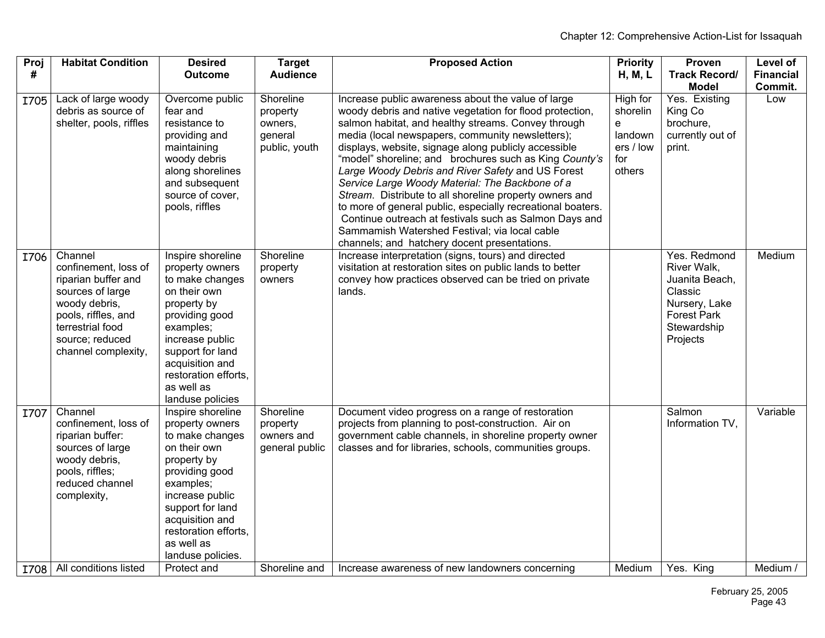| Proj | <b>Habitat Condition</b>                                                                                                                                                         | <b>Desired</b>                                                                                                                                                                                                                             | <b>Target</b>                                                | <b>Proposed Action</b>                                                                                                                                                                                                                                                                                                                                                                                                                                                                                                                                                                                                                                                                                                                   | <b>Priority</b>                                                    | Proven                                                                                                                     | Level of         |
|------|----------------------------------------------------------------------------------------------------------------------------------------------------------------------------------|--------------------------------------------------------------------------------------------------------------------------------------------------------------------------------------------------------------------------------------------|--------------------------------------------------------------|------------------------------------------------------------------------------------------------------------------------------------------------------------------------------------------------------------------------------------------------------------------------------------------------------------------------------------------------------------------------------------------------------------------------------------------------------------------------------------------------------------------------------------------------------------------------------------------------------------------------------------------------------------------------------------------------------------------------------------------|--------------------------------------------------------------------|----------------------------------------------------------------------------------------------------------------------------|------------------|
| #    |                                                                                                                                                                                  | <b>Outcome</b>                                                                                                                                                                                                                             | <b>Audience</b>                                              |                                                                                                                                                                                                                                                                                                                                                                                                                                                                                                                                                                                                                                                                                                                                          | H, M, L                                                            | <b>Track Record/</b>                                                                                                       | <b>Financial</b> |
|      |                                                                                                                                                                                  |                                                                                                                                                                                                                                            |                                                              |                                                                                                                                                                                                                                                                                                                                                                                                                                                                                                                                                                                                                                                                                                                                          |                                                                    | <b>Model</b>                                                                                                               | Commit.          |
| I705 | Lack of large woody<br>debris as source of<br>shelter, pools, riffles                                                                                                            | Overcome public<br>fear and<br>resistance to<br>providing and<br>maintaining<br>woody debris<br>along shorelines<br>and subsequent<br>source of cover.<br>pools, riffles                                                                   | Shoreline<br>property<br>owners,<br>general<br>public, youth | Increase public awareness about the value of large<br>woody debris and native vegetation for flood protection,<br>salmon habitat, and healthy streams. Convey through<br>media (local newspapers, community newsletters);<br>displays, website, signage along publicly accessible<br>"model" shoreline; and brochures such as King County's<br>Large Woody Debris and River Safety and US Forest<br>Service Large Woody Material: The Backbone of a<br>Stream. Distribute to all shoreline property owners and<br>to more of general public, especially recreational boaters.<br>Continue outreach at festivals such as Salmon Days and<br>Sammamish Watershed Festival; via local cable<br>channels; and hatchery docent presentations. | High for<br>shorelin<br>e<br>landown<br>ers / low<br>for<br>others | Yes. Existing<br>King Co<br>brochure,<br>currently out of<br>print.                                                        | Low              |
| I706 | Channel<br>confinement, loss of<br>riparian buffer and<br>sources of large<br>woody debris,<br>pools, riffles, and<br>terrestrial food<br>source; reduced<br>channel complexity, | Inspire shoreline<br>property owners<br>to make changes<br>on their own<br>property by<br>providing good<br>examples;<br>increase public<br>support for land<br>acquisition and<br>restoration efforts.<br>as well as<br>landuse policies  | Shoreline<br>property<br>owners                              | Increase interpretation (signs, tours) and directed<br>visitation at restoration sites on public lands to better<br>convey how practices observed can be tried on private<br>lands.                                                                                                                                                                                                                                                                                                                                                                                                                                                                                                                                                      |                                                                    | Yes. Redmond<br>River Walk,<br>Juanita Beach,<br>Classic<br>Nursery, Lake<br><b>Forest Park</b><br>Stewardship<br>Projects | Medium           |
| I707 | Channel<br>confinement, loss of<br>riparian buffer:<br>sources of large<br>woody debris,<br>pools, riffles;<br>reduced channel<br>complexity,                                    | Inspire shoreline<br>property owners<br>to make changes<br>on their own<br>property by<br>providing good<br>examples;<br>increase public<br>support for land<br>acquisition and<br>restoration efforts.<br>as well as<br>landuse policies. | Shoreline<br>property<br>owners and<br>general public        | Document video progress on a range of restoration<br>projects from planning to post-construction. Air on<br>government cable channels, in shoreline property owner<br>classes and for libraries, schools, communities groups.                                                                                                                                                                                                                                                                                                                                                                                                                                                                                                            |                                                                    | Salmon<br>Information TV,                                                                                                  | Variable         |
| I708 | All conditions listed                                                                                                                                                            | Protect and                                                                                                                                                                                                                                | Shoreline and                                                | Increase awareness of new landowners concerning                                                                                                                                                                                                                                                                                                                                                                                                                                                                                                                                                                                                                                                                                          | Medium                                                             | Yes. King                                                                                                                  | Medium /         |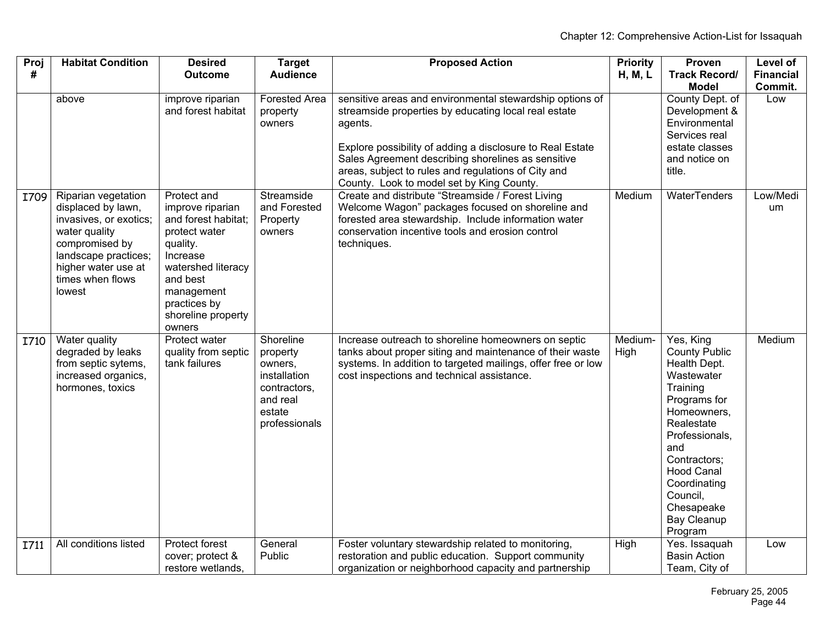| Proj<br># | <b>Habitat Condition</b>                                                                                                                                                            | <b>Desired</b><br><b>Outcome</b>                                                                                                                                                                | <b>Target</b><br><b>Audience</b>                                                                        | <b>Proposed Action</b>                                                                                                                                                                                                                                                                                                                             | <b>Priority</b><br>H, M, L | Proven<br><b>Track Record/</b>                                                                                                                                                                                                                             | Level of<br><b>Financial</b> |
|-----------|-------------------------------------------------------------------------------------------------------------------------------------------------------------------------------------|-------------------------------------------------------------------------------------------------------------------------------------------------------------------------------------------------|---------------------------------------------------------------------------------------------------------|----------------------------------------------------------------------------------------------------------------------------------------------------------------------------------------------------------------------------------------------------------------------------------------------------------------------------------------------------|----------------------------|------------------------------------------------------------------------------------------------------------------------------------------------------------------------------------------------------------------------------------------------------------|------------------------------|
|           |                                                                                                                                                                                     |                                                                                                                                                                                                 |                                                                                                         |                                                                                                                                                                                                                                                                                                                                                    |                            | <b>Model</b>                                                                                                                                                                                                                                               | Commit.                      |
|           | above                                                                                                                                                                               | improve riparian<br>and forest habitat                                                                                                                                                          | <b>Forested Area</b><br>property<br>owners                                                              | sensitive areas and environmental stewardship options of<br>streamside properties by educating local real estate<br>agents.<br>Explore possibility of adding a disclosure to Real Estate<br>Sales Agreement describing shorelines as sensitive<br>areas, subject to rules and regulations of City and<br>County. Look to model set by King County. |                            | County Dept. of<br>Development &<br>Environmental<br>Services real<br>estate classes<br>and notice on<br>title.                                                                                                                                            | Low                          |
| I709      | Riparian vegetation<br>displaced by lawn,<br>invasives, or exotics;<br>water quality<br>compromised by<br>landscape practices;<br>higher water use at<br>times when flows<br>lowest | Protect and<br>improve riparian<br>and forest habitat:<br>protect water<br>quality.<br>Increase<br>watershed literacy<br>and best<br>management<br>practices by<br>shoreline property<br>owners | Streamside<br>and Forested<br>Property<br>owners                                                        | Create and distribute "Streamside / Forest Living<br>Welcome Wagon" packages focused on shoreline and<br>forested area stewardship. Include information water<br>conservation incentive tools and erosion control<br>techniques.                                                                                                                   | Medium                     | WaterTenders                                                                                                                                                                                                                                               | Low/Medi<br>um               |
| I710      | Water quality<br>degraded by leaks<br>from septic sytems,<br>increased organics,<br>hormones, toxics                                                                                | Protect water<br>quality from septic<br>tank failures                                                                                                                                           | Shoreline<br>property<br>owners,<br>installation<br>contractors,<br>and real<br>estate<br>professionals | Increase outreach to shoreline homeowners on septic<br>tanks about proper siting and maintenance of their waste<br>systems. In addition to targeted mailings, offer free or low<br>cost inspections and technical assistance.                                                                                                                      | Medium-<br>High            | Yes, King<br><b>County Public</b><br>Health Dept.<br>Wastewater<br>Training<br>Programs for<br>Homeowners,<br>Realestate<br>Professionals,<br>and<br>Contractors;<br><b>Hood Canal</b><br>Coordinating<br>Council,<br>Chesapeake<br>Bay Cleanup<br>Program | Medium                       |
| I711      | All conditions listed                                                                                                                                                               | Protect forest<br>cover; protect &<br>restore wetlands,                                                                                                                                         | General<br>Public                                                                                       | Foster voluntary stewardship related to monitoring,<br>restoration and public education. Support community<br>organization or neighborhood capacity and partnership                                                                                                                                                                                | High                       | Yes. Issaquah<br><b>Basin Action</b><br>Team, City of                                                                                                                                                                                                      | Low                          |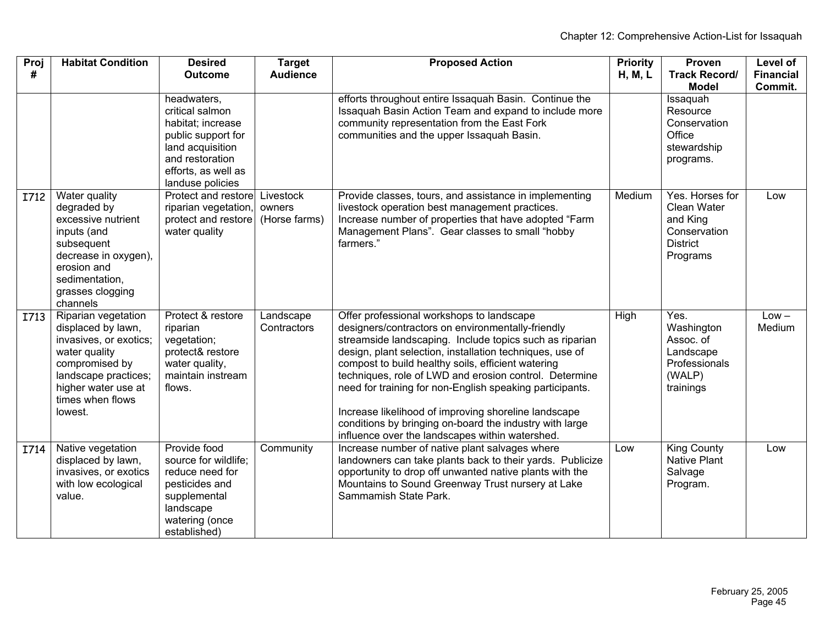| Proj<br># | <b>Habitat Condition</b>                                                                                                                                                             | <b>Desired</b><br><b>Outcome</b>                                                                                                                            | <b>Target</b><br><b>Audience</b>     | <b>Proposed Action</b>                                                                                                                                                                                                                                                                                                                                                                                                                                                                                                                                                  | <b>Priority</b><br><b>H, M, L</b> | <b>Proven</b><br><b>Track Record/</b>                                                     | Level of<br><b>Financial</b> |
|-----------|--------------------------------------------------------------------------------------------------------------------------------------------------------------------------------------|-------------------------------------------------------------------------------------------------------------------------------------------------------------|--------------------------------------|-------------------------------------------------------------------------------------------------------------------------------------------------------------------------------------------------------------------------------------------------------------------------------------------------------------------------------------------------------------------------------------------------------------------------------------------------------------------------------------------------------------------------------------------------------------------------|-----------------------------------|-------------------------------------------------------------------------------------------|------------------------------|
|           |                                                                                                                                                                                      |                                                                                                                                                             |                                      |                                                                                                                                                                                                                                                                                                                                                                                                                                                                                                                                                                         |                                   | <b>Model</b>                                                                              | Commit.                      |
|           |                                                                                                                                                                                      | headwaters,<br>critical salmon<br>habitat; increase<br>public support for<br>land acquisition<br>and restoration<br>efforts, as well as<br>landuse policies |                                      | efforts throughout entire Issaquah Basin. Continue the<br>Issaquah Basin Action Team and expand to include more<br>community representation from the East Fork<br>communities and the upper Issaquah Basin.                                                                                                                                                                                                                                                                                                                                                             |                                   | Issaquah<br>Resource<br>Conservation<br>Office<br>stewardship<br>programs.                |                              |
| I712      | Water quality<br>degraded by<br>excessive nutrient<br>inputs (and<br>subsequent<br>decrease in oxygen),<br>erosion and<br>sedimentation,<br>grasses clogging<br>channels             | Protect and restore<br>riparian vegetation,<br>protect and restore<br>water quality                                                                         | Livestock<br>owners<br>(Horse farms) | Provide classes, tours, and assistance in implementing<br>livestock operation best management practices.<br>Increase number of properties that have adopted "Farm<br>Management Plans". Gear classes to small "hobby<br>farmers."                                                                                                                                                                                                                                                                                                                                       | Medium                            | Yes. Horses for<br>Clean Water<br>and King<br>Conservation<br><b>District</b><br>Programs | Low                          |
| I713      | Riparian vegetation<br>displaced by lawn,<br>invasives, or exotics;<br>water quality<br>compromised by<br>landscape practices;<br>higher water use at<br>times when flows<br>lowest. | Protect & restore<br>riparian<br>vegetation;<br>protect& restore<br>water quality,<br>maintain instream<br>flows.                                           | Landscape<br>Contractors             | Offer professional workshops to landscape<br>designers/contractors on environmentally-friendly<br>streamside landscaping. Include topics such as riparian<br>design, plant selection, installation techniques, use of<br>compost to build healthy soils, efficient watering<br>techniques, role of LWD and erosion control. Determine<br>need for training for non-English speaking participants.<br>Increase likelihood of improving shoreline landscape<br>conditions by bringing on-board the industry with large<br>influence over the landscapes within watershed. | High                              | Yes.<br>Washington<br>Assoc. of<br>Landscape<br>Professionals<br>(WALP)<br>trainings      | $Low -$<br>Medium            |
| I714      | Native vegetation<br>displaced by lawn,<br>invasives, or exotics<br>with low ecological<br>value.                                                                                    | Provide food<br>source for wildlife;<br>reduce need for<br>pesticides and<br>supplemental<br>landscape<br>watering (once<br>established)                    | Community                            | Increase number of native plant salvages where<br>landowners can take plants back to their yards. Publicize<br>opportunity to drop off unwanted native plants with the<br>Mountains to Sound Greenway Trust nursery at Lake<br>Sammamish State Park.                                                                                                                                                                                                                                                                                                                    | Low                               | <b>King County</b><br><b>Native Plant</b><br>Salvage<br>Program.                          | Low                          |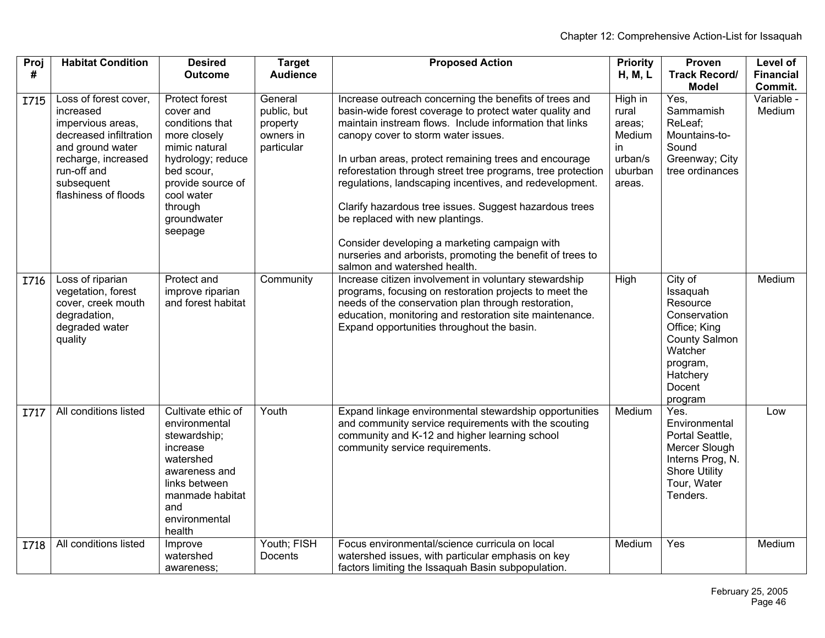| Proj | <b>Habitat Condition</b>                                                                                                                                                          | <b>Desired</b>                                                                                                                                                                             | <b>Target</b>                                                 | <b>Proposed Action</b>                                                                                                                                                                                                                                                                                                                                                                                                                                                                                                                                                                                                                             | <b>Priority</b>                                                            | Proven                                                                                                                                   | Level of                    |
|------|-----------------------------------------------------------------------------------------------------------------------------------------------------------------------------------|--------------------------------------------------------------------------------------------------------------------------------------------------------------------------------------------|---------------------------------------------------------------|----------------------------------------------------------------------------------------------------------------------------------------------------------------------------------------------------------------------------------------------------------------------------------------------------------------------------------------------------------------------------------------------------------------------------------------------------------------------------------------------------------------------------------------------------------------------------------------------------------------------------------------------------|----------------------------------------------------------------------------|------------------------------------------------------------------------------------------------------------------------------------------|-----------------------------|
| #    |                                                                                                                                                                                   | <b>Outcome</b>                                                                                                                                                                             | <b>Audience</b>                                               |                                                                                                                                                                                                                                                                                                                                                                                                                                                                                                                                                                                                                                                    | <b>H, M, L</b>                                                             | <b>Track Record/</b><br><b>Model</b>                                                                                                     | <b>Financial</b><br>Commit. |
| I715 | Loss of forest cover,<br>increased<br>impervious areas,<br>decreased infiltration<br>and ground water<br>recharge, increased<br>run-off and<br>subsequent<br>flashiness of floods | Protect forest<br>cover and<br>conditions that<br>more closely<br>mimic natural<br>hydrology; reduce<br>bed scour,<br>provide source of<br>cool water<br>through<br>groundwater<br>seepage | General<br>public, but<br>property<br>owners in<br>particular | Increase outreach concerning the benefits of trees and<br>basin-wide forest coverage to protect water quality and<br>maintain instream flows. Include information that links<br>canopy cover to storm water issues.<br>In urban areas, protect remaining trees and encourage<br>reforestation through street tree programs, tree protection<br>regulations, landscaping incentives, and redevelopment.<br>Clarify hazardous tree issues. Suggest hazardous trees<br>be replaced with new plantings.<br>Consider developing a marketing campaign with<br>nurseries and arborists, promoting the benefit of trees to<br>salmon and watershed health. | High in<br>rural<br>areas;<br>Medium<br>in<br>urban/s<br>uburban<br>areas. | Yes,<br>Sammamish<br>ReLeaf:<br>Mountains-to-<br>Sound<br>Greenway; City<br>tree ordinances                                              | Variable -<br>Medium        |
| I716 | Loss of riparian<br>vegetation, forest<br>cover, creek mouth<br>degradation,<br>degraded water<br>quality                                                                         | Protect and<br>improve riparian<br>and forest habitat                                                                                                                                      | Community                                                     | Increase citizen involvement in voluntary stewardship<br>programs, focusing on restoration projects to meet the<br>needs of the conservation plan through restoration,<br>education, monitoring and restoration site maintenance.<br>Expand opportunities throughout the basin.                                                                                                                                                                                                                                                                                                                                                                    | High                                                                       | City of<br>Issaquah<br>Resource<br>Conservation<br>Office; King<br>County Salmon<br>Watcher<br>program,<br>Hatchery<br>Docent<br>program | Medium                      |
| I717 | All conditions listed                                                                                                                                                             | Cultivate ethic of<br>environmental<br>stewardship;<br>increase<br>watershed<br>awareness and<br>links between<br>manmade habitat<br>and<br>environmental<br>health                        | Youth                                                         | Expand linkage environmental stewardship opportunities<br>and community service requirements with the scouting<br>community and K-12 and higher learning school<br>community service requirements.                                                                                                                                                                                                                                                                                                                                                                                                                                                 | Medium                                                                     | Yes.<br>Environmental<br>Portal Seattle,<br>Mercer Slough<br>Interns Prog, N.<br><b>Shore Utility</b><br>Tour, Water<br>Tenders.         | Low                         |
| I718 | All conditions listed                                                                                                                                                             | Improve<br>watershed<br>awareness:                                                                                                                                                         | Youth; FISH<br>Docents                                        | Focus environmental/science curricula on local<br>watershed issues, with particular emphasis on key<br>factors limiting the Issaquah Basin subpopulation.                                                                                                                                                                                                                                                                                                                                                                                                                                                                                          | Medium                                                                     | Yes                                                                                                                                      | Medium                      |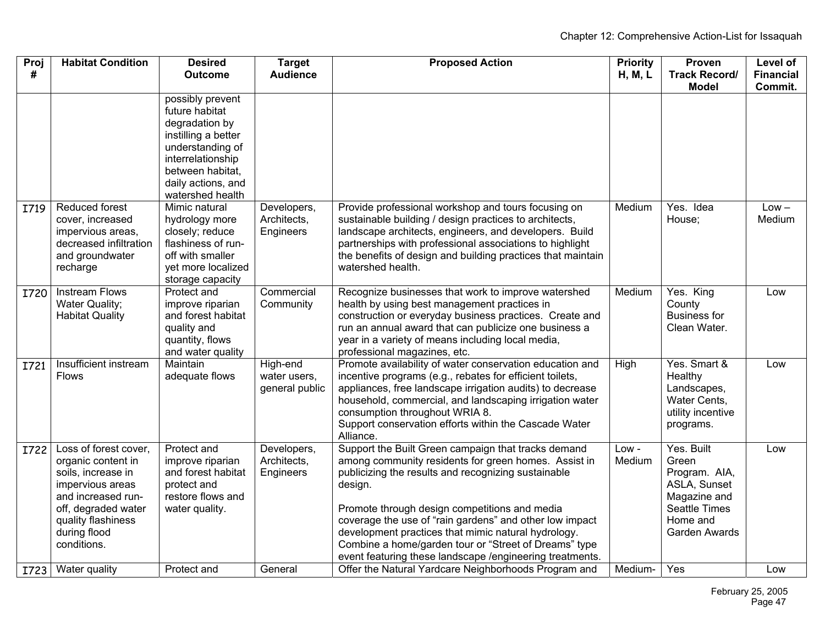| Proj<br># | <b>Habitat Condition</b>                                                                                                                                                                | <b>Desired</b><br><b>Outcome</b>                                                                                                                                                   | <b>Target</b><br><b>Audience</b>           | <b>Proposed Action</b>                                                                                                                                                                                                                                                                                                                                                                                                                                                | <b>Priority</b><br>H, M, L | Proven<br><b>Track Record/</b><br><b>Model</b>                                                                            | Level of<br><b>Financial</b><br>Commit. |
|-----------|-----------------------------------------------------------------------------------------------------------------------------------------------------------------------------------------|------------------------------------------------------------------------------------------------------------------------------------------------------------------------------------|--------------------------------------------|-----------------------------------------------------------------------------------------------------------------------------------------------------------------------------------------------------------------------------------------------------------------------------------------------------------------------------------------------------------------------------------------------------------------------------------------------------------------------|----------------------------|---------------------------------------------------------------------------------------------------------------------------|-----------------------------------------|
|           |                                                                                                                                                                                         | possibly prevent<br>future habitat<br>degradation by<br>instilling a better<br>understanding of<br>interrelationship<br>between habitat,<br>daily actions, and<br>watershed health |                                            |                                                                                                                                                                                                                                                                                                                                                                                                                                                                       |                            |                                                                                                                           |                                         |
| I719      | Reduced forest<br>cover, increased<br>impervious areas,<br>decreased infiltration<br>and groundwater<br>recharge                                                                        | Mimic natural<br>hydrology more<br>closely; reduce<br>flashiness of run-<br>off with smaller<br>yet more localized<br>storage capacity                                             | Developers,<br>Architects,<br>Engineers    | Provide professional workshop and tours focusing on<br>sustainable building / design practices to architects,<br>landscape architects, engineers, and developers. Build<br>partnerships with professional associations to highlight<br>the benefits of design and building practices that maintain<br>watershed health.                                                                                                                                               | Medium                     | Yes. Idea<br>House;                                                                                                       | $Low -$<br>Medium                       |
| I720      | <b>Instream Flows</b><br>Water Quality;<br><b>Habitat Quality</b>                                                                                                                       | Protect and<br>improve riparian<br>and forest habitat<br>quality and<br>quantity, flows<br>and water quality                                                                       | Commercial<br>Community                    | Recognize businesses that work to improve watershed<br>health by using best management practices in<br>construction or everyday business practices. Create and<br>run an annual award that can publicize one business a<br>year in a variety of means including local media,<br>professional magazines, etc.                                                                                                                                                          | Medium                     | Yes. King<br>County<br><b>Business for</b><br>Clean Water.                                                                | Low                                     |
| I721      | Insufficient instream<br><b>Flows</b>                                                                                                                                                   | Maintain<br>adequate flows                                                                                                                                                         | High-end<br>water users,<br>general public | Promote availability of water conservation education and<br>incentive programs (e.g., rebates for efficient toilets,<br>appliances, free landscape irrigation audits) to decrease<br>household, commercial, and landscaping irrigation water<br>consumption throughout WRIA 8.<br>Support conservation efforts within the Cascade Water<br>Alliance.                                                                                                                  | High                       | Yes. Smart &<br>Healthy<br>Landscapes,<br>Water Cents,<br>utility incentive<br>programs.                                  | Low                                     |
| I722      | Loss of forest cover,<br>organic content in<br>soils, increase in<br>impervious areas<br>and increased run-<br>off, degraded water<br>quality flashiness<br>during flood<br>conditions. | Protect and<br>improve riparian<br>and forest habitat<br>protect and<br>restore flows and<br>water quality.                                                                        | Developers,<br>Architects,<br>Engineers    | Support the Built Green campaign that tracks demand<br>among community residents for green homes. Assist in<br>publicizing the results and recognizing sustainable<br>design.<br>Promote through design competitions and media<br>coverage the use of "rain gardens" and other low impact<br>development practices that mimic natural hydrology.<br>Combine a home/garden tour or "Street of Dreams" type<br>event featuring these landscape /engineering treatments. | Low -<br>Medium            | Yes. Built<br>Green<br>Program. AIA,<br>ASLA, Sunset<br>Magazine and<br><b>Seattle Times</b><br>Home and<br>Garden Awards | Low                                     |
|           | I723   Water quality                                                                                                                                                                    | Protect and                                                                                                                                                                        | General                                    | Offer the Natural Yardcare Neighborhoods Program and                                                                                                                                                                                                                                                                                                                                                                                                                  | Medium-                    | Yes                                                                                                                       | Low                                     |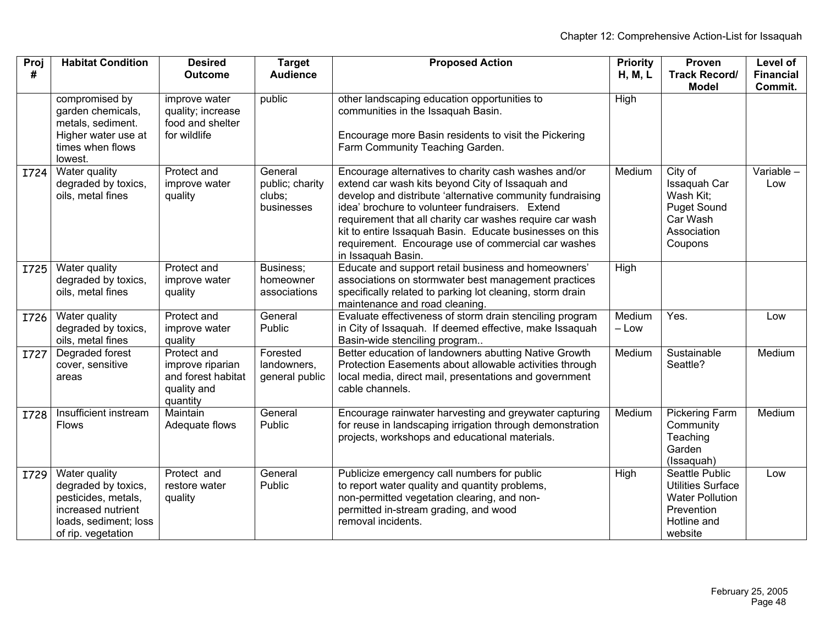| Proj<br># | <b>Habitat Condition</b>                                                                                                         | <b>Desired</b><br><b>Outcome</b>                                                 | <b>Target</b><br><b>Audience</b>                   | <b>Proposed Action</b>                                                                                                                                                                                                                                                                                                                                                                                                        | <b>Priority</b><br>H, M, L | Proven<br><b>Track Record/</b>                                                                               | Level of<br><b>Financial</b> |
|-----------|----------------------------------------------------------------------------------------------------------------------------------|----------------------------------------------------------------------------------|----------------------------------------------------|-------------------------------------------------------------------------------------------------------------------------------------------------------------------------------------------------------------------------------------------------------------------------------------------------------------------------------------------------------------------------------------------------------------------------------|----------------------------|--------------------------------------------------------------------------------------------------------------|------------------------------|
|           |                                                                                                                                  |                                                                                  |                                                    |                                                                                                                                                                                                                                                                                                                                                                                                                               |                            | <b>Model</b>                                                                                                 | Commit.                      |
|           | compromised by<br>garden chemicals,<br>metals, sediment.<br>Higher water use at<br>times when flows<br>lowest.                   | improve water<br>quality; increase<br>food and shelter<br>for wildlife           | public                                             | other landscaping education opportunities to<br>communities in the Issaquah Basin.<br>Encourage more Basin residents to visit the Pickering<br>Farm Community Teaching Garden.                                                                                                                                                                                                                                                | High                       |                                                                                                              |                              |
| I724      | Water quality<br>degraded by toxics,<br>oils, metal fines                                                                        | Protect and<br>improve water<br>quality                                          | General<br>public; charity<br>clubs:<br>businesses | Encourage alternatives to charity cash washes and/or<br>extend car wash kits beyond City of Issaquah and<br>develop and distribute 'alternative community fundraising<br>idea' brochure to volunteer fundraisers. Extend<br>requirement that all charity car washes require car wash<br>kit to entire Issaquah Basin. Educate businesses on this<br>requirement. Encourage use of commercial car washes<br>in Issaquah Basin. | Medium                     | City of<br>Issaquah Car<br>Wash Kit:<br><b>Puget Sound</b><br>Car Wash<br>Association<br>Coupons             | Variable -<br>Low            |
| I725      | Water quality<br>degraded by toxics,<br>oils, metal fines                                                                        | <b>Protect and</b><br>improve water<br>quality                                   | Business;<br>homeowner<br>associations             | Educate and support retail business and homeowners'<br>associations on stormwater best management practices<br>specifically related to parking lot cleaning, storm drain<br>maintenance and road cleaning.                                                                                                                                                                                                                    | High                       |                                                                                                              |                              |
| I726      | Water quality<br>degraded by toxics,<br>oils, metal fines                                                                        | Protect and<br>improve water<br>quality                                          | General<br>Public                                  | Evaluate effectiveness of storm drain stenciling program<br>in City of Issaquah. If deemed effective, make Issaquah<br>Basin-wide stenciling program                                                                                                                                                                                                                                                                          | Medium<br>$-$ Low          | Yes.                                                                                                         | Low                          |
| I727      | Degraded forest<br>cover, sensitive<br>areas                                                                                     | Protect and<br>improve riparian<br>and forest habitat<br>quality and<br>quantity | Forested<br>landowners,<br>general public          | Better education of landowners abutting Native Growth<br>Protection Easements about allowable activities through<br>local media, direct mail, presentations and government<br>cable channels.                                                                                                                                                                                                                                 | Medium                     | Sustainable<br>Seattle?                                                                                      | Medium                       |
| I728      | Insufficient instream<br><b>Flows</b>                                                                                            | Maintain<br>Adequate flows                                                       | General<br>Public                                  | Encourage rainwater harvesting and greywater capturing<br>for reuse in landscaping irrigation through demonstration<br>projects, workshops and educational materials.                                                                                                                                                                                                                                                         | Medium                     | <b>Pickering Farm</b><br>Community<br>Teaching<br>Garden<br>(Issaquah)                                       | Medium                       |
| I729      | Water quality<br>degraded by toxics,<br>pesticides, metals,<br>increased nutrient<br>loads, sediment; loss<br>of rip. vegetation | Protect and<br>restore water<br>quality                                          | General<br>Public                                  | Publicize emergency call numbers for public<br>to report water quality and quantity problems,<br>non-permitted vegetation clearing, and non-<br>permitted in-stream grading, and wood<br>removal incidents.                                                                                                                                                                                                                   | High                       | Seattle Public<br><b>Utilities Surface</b><br><b>Water Pollution</b><br>Prevention<br>Hotline and<br>website | Low                          |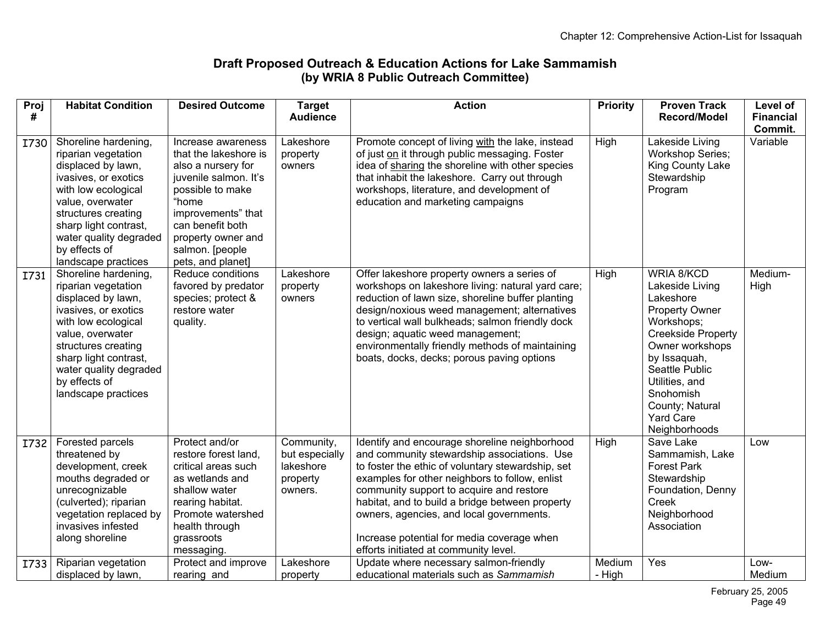## **Draft Proposed Outreach & Education Actions for Lake Sammamish (by WRIA 8 Public Outreach Committee)**

| Proj<br># | <b>Habitat Condition</b>                                                                                                                                                                                                                               | <b>Desired Outcome</b>                                                                                                                                                                                                          | <b>Target</b><br><b>Audience</b>                                 | <b>Action</b>                                                                                                                                                                                                                                                                                                                                                                                                                         | <b>Priority</b>  | <b>Proven Track</b><br>Record/Model                                                                                                                                                                                                                        | Level of<br><b>Financial</b> |
|-----------|--------------------------------------------------------------------------------------------------------------------------------------------------------------------------------------------------------------------------------------------------------|---------------------------------------------------------------------------------------------------------------------------------------------------------------------------------------------------------------------------------|------------------------------------------------------------------|---------------------------------------------------------------------------------------------------------------------------------------------------------------------------------------------------------------------------------------------------------------------------------------------------------------------------------------------------------------------------------------------------------------------------------------|------------------|------------------------------------------------------------------------------------------------------------------------------------------------------------------------------------------------------------------------------------------------------------|------------------------------|
| I730      | Shoreline hardening,<br>riparian vegetation<br>displaced by lawn,<br>ivasives, or exotics<br>with low ecological<br>value, overwater<br>structures creating<br>sharp light contrast,<br>water quality degraded<br>by effects of<br>landscape practices | Increase awareness<br>that the lakeshore is<br>also a nursery for<br>juvenile salmon. It's<br>possible to make<br>"home<br>improvements" that<br>can benefit both<br>property owner and<br>salmon. [people<br>pets, and planet] | Lakeshore<br>property<br>owners                                  | Promote concept of living with the lake, instead<br>of just on it through public messaging. Foster<br>idea of sharing the shoreline with other species<br>that inhabit the lakeshore. Carry out through<br>workshops, literature, and development of<br>education and marketing campaigns                                                                                                                                             | High             | Lakeside Living<br><b>Workshop Series;</b><br>King County Lake<br>Stewardship<br>Program                                                                                                                                                                   | Commit.<br>Variable          |
| I731      | Shoreline hardening,<br>riparian vegetation<br>displaced by lawn,<br>ivasives, or exotics<br>with low ecological<br>value, overwater<br>structures creating<br>sharp light contrast,<br>water quality degraded<br>by effects of<br>landscape practices | Reduce conditions<br>favored by predator<br>species; protect &<br>restore water<br>quality.                                                                                                                                     | Lakeshore<br>property<br>owners                                  | Offer lakeshore property owners a series of<br>workshops on lakeshore living: natural yard care;<br>reduction of lawn size, shoreline buffer planting<br>design/noxious weed management; alternatives<br>to vertical wall bulkheads; salmon friendly dock<br>design; aquatic weed management;<br>environmentally friendly methods of maintaining<br>boats, docks, decks; porous paving options                                        | High             | WRIA 8/KCD<br>Lakeside Living<br>Lakeshore<br><b>Property Owner</b><br>Workshops;<br><b>Creekside Property</b><br>Owner workshops<br>by Issaquah,<br>Seattle Public<br>Utilities, and<br>Snohomish<br>County; Natural<br><b>Yard Care</b><br>Neighborhoods | Medium-<br>High              |
| I732      | Forested parcels<br>threatened by<br>development, creek<br>mouths degraded or<br>unrecognizable<br>(culverted); riparian<br>vegetation replaced by<br>invasives infested<br>along shoreline                                                            | Protect and/or<br>restore forest land,<br>critical areas such<br>as wetlands and<br>shallow water<br>rearing habitat.<br>Promote watershed<br>health through<br>grassroots<br>messaging.                                        | Community,<br>but especially<br>lakeshore<br>property<br>owners. | Identify and encourage shoreline neighborhood<br>and community stewardship associations. Use<br>to foster the ethic of voluntary stewardship, set<br>examples for other neighbors to follow, enlist<br>community support to acquire and restore<br>habitat, and to build a bridge between property<br>owners, agencies, and local governments.<br>Increase potential for media coverage when<br>efforts initiated at community level. | High             | Save Lake<br>Sammamish, Lake<br><b>Forest Park</b><br>Stewardship<br>Foundation, Denny<br>Creek<br>Neighborhood<br>Association                                                                                                                             | Low                          |
| I733      | Riparian vegetation<br>displaced by lawn,                                                                                                                                                                                                              | Protect and improve<br>rearing and                                                                                                                                                                                              | Lakeshore<br>property                                            | Update where necessary salmon-friendly<br>educational materials such as Sammamish                                                                                                                                                                                                                                                                                                                                                     | Medium<br>- High | Yes                                                                                                                                                                                                                                                        | Low-<br>Medium               |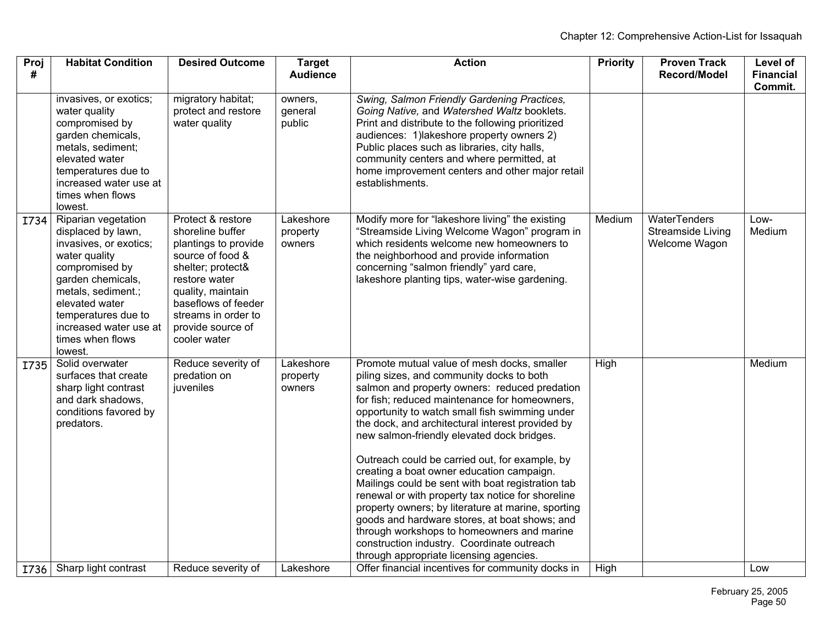| Proj<br># | <b>Habitat Condition</b>                                                                                                                                                                                                                            | <b>Desired Outcome</b>                                                                                                                                                                                                          | <b>Target</b><br><b>Audience</b> | <b>Action</b>                                                                                                                                                                                                                                                                                                                                                                                                                                                                                                                                                                                                                                                                                                                                                                                         | <b>Priority</b> | <b>Proven Track</b><br>Record/Model                | Level of<br><b>Financial</b><br>Commit. |
|-----------|-----------------------------------------------------------------------------------------------------------------------------------------------------------------------------------------------------------------------------------------------------|---------------------------------------------------------------------------------------------------------------------------------------------------------------------------------------------------------------------------------|----------------------------------|-------------------------------------------------------------------------------------------------------------------------------------------------------------------------------------------------------------------------------------------------------------------------------------------------------------------------------------------------------------------------------------------------------------------------------------------------------------------------------------------------------------------------------------------------------------------------------------------------------------------------------------------------------------------------------------------------------------------------------------------------------------------------------------------------------|-----------------|----------------------------------------------------|-----------------------------------------|
|           | invasives, or exotics;<br>water quality<br>compromised by<br>garden chemicals,<br>metals, sediment;<br>elevated water<br>temperatures due to<br>increased water use at<br>times when flows<br>lowest.                                               | migratory habitat;<br>protect and restore<br>water quality                                                                                                                                                                      | owners,<br>general<br>public     | Swing, Salmon Friendly Gardening Practices,<br>Going Native, and Watershed Waltz booklets.<br>Print and distribute to the following prioritized<br>audiences: 1) lakeshore property owners 2)<br>Public places such as libraries, city halls,<br>community centers and where permitted, at<br>home improvement centers and other major retail<br>establishments.                                                                                                                                                                                                                                                                                                                                                                                                                                      |                 |                                                    |                                         |
| I734      | Riparian vegetation<br>displaced by lawn,<br>invasives, or exotics;<br>water quality<br>compromised by<br>garden chemicals,<br>metals, sediment.;<br>elevated water<br>temperatures due to<br>increased water use at<br>times when flows<br>lowest. | Protect & restore<br>shoreline buffer<br>plantings to provide<br>source of food &<br>shelter; protect&<br>restore water<br>quality, maintain<br>baseflows of feeder<br>streams in order to<br>provide source of<br>cooler water | Lakeshore<br>property<br>owners  | Modify more for "lakeshore living" the existing<br>"Streamside Living Welcome Wagon" program in<br>which residents welcome new homeowners to<br>the neighborhood and provide information<br>concerning "salmon friendly" yard care,<br>lakeshore planting tips, water-wise gardening.                                                                                                                                                                                                                                                                                                                                                                                                                                                                                                                 | Medium          | WaterTenders<br>Streamside Living<br>Welcome Wagon | Low-<br>Medium                          |
| I735      | Solid overwater<br>surfaces that create<br>sharp light contrast<br>and dark shadows,<br>conditions favored by<br>predators.                                                                                                                         | Reduce severity of<br>predation on<br>juveniles                                                                                                                                                                                 | Lakeshore<br>property<br>owners  | Promote mutual value of mesh docks, smaller<br>piling sizes, and community docks to both<br>salmon and property owners: reduced predation<br>for fish; reduced maintenance for homeowners,<br>opportunity to watch small fish swimming under<br>the dock, and architectural interest provided by<br>new salmon-friendly elevated dock bridges.<br>Outreach could be carried out, for example, by<br>creating a boat owner education campaign.<br>Mailings could be sent with boat registration tab<br>renewal or with property tax notice for shoreline<br>property owners; by literature at marine, sporting<br>goods and hardware stores, at boat shows; and<br>through workshops to homeowners and marine<br>construction industry. Coordinate outreach<br>through appropriate licensing agencies. | High            |                                                    | Medium                                  |
|           | I736   Sharp light contrast                                                                                                                                                                                                                         | Reduce severity of                                                                                                                                                                                                              | Lakeshore                        | Offer financial incentives for community docks in                                                                                                                                                                                                                                                                                                                                                                                                                                                                                                                                                                                                                                                                                                                                                     | High            |                                                    | Low                                     |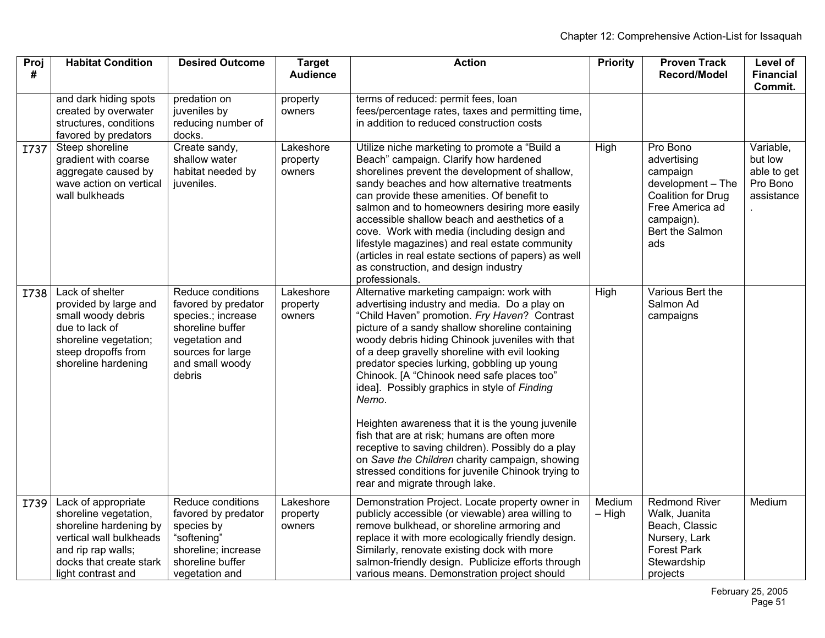| Proj<br># | <b>Habitat Condition</b>                                                                                                                                                 | <b>Desired Outcome</b>                                                                                                                                 | <b>Target</b><br><b>Audience</b> | <b>Action</b>                                                                                                                                                                                                                                                                                                                                                                                                                                                                                                                                                                                                                                                                                                                                              | <b>Priority</b>    | <b>Proven Track</b><br>Record/Model                                                                                                       | Level of<br><b>Financial</b><br>Commit.                       |
|-----------|--------------------------------------------------------------------------------------------------------------------------------------------------------------------------|--------------------------------------------------------------------------------------------------------------------------------------------------------|----------------------------------|------------------------------------------------------------------------------------------------------------------------------------------------------------------------------------------------------------------------------------------------------------------------------------------------------------------------------------------------------------------------------------------------------------------------------------------------------------------------------------------------------------------------------------------------------------------------------------------------------------------------------------------------------------------------------------------------------------------------------------------------------------|--------------------|-------------------------------------------------------------------------------------------------------------------------------------------|---------------------------------------------------------------|
|           | and dark hiding spots<br>created by overwater<br>structures, conditions<br>favored by predators                                                                          | predation on<br>juveniles by<br>reducing number of<br>docks.                                                                                           | property<br>owners               | terms of reduced: permit fees, loan<br>fees/percentage rates, taxes and permitting time,<br>in addition to reduced construction costs                                                                                                                                                                                                                                                                                                                                                                                                                                                                                                                                                                                                                      |                    |                                                                                                                                           |                                                               |
| I737      | Steep shoreline<br>gradient with coarse<br>aggregate caused by<br>wave action on vertical<br>wall bulkheads                                                              | Create sandy,<br>shallow water<br>habitat needed by<br>juveniles.                                                                                      | Lakeshore<br>property<br>owners  | Utilize niche marketing to promote a "Build a<br>Beach" campaign. Clarify how hardened<br>shorelines prevent the development of shallow,<br>sandy beaches and how alternative treatments<br>can provide these amenities. Of benefit to<br>salmon and to homeowners desiring more easily<br>accessible shallow beach and aesthetics of a<br>cove. Work with media (including design and<br>lifestyle magazines) and real estate community<br>(articles in real estate sections of papers) as well<br>as construction, and design industry<br>professionals.                                                                                                                                                                                                 | High               | Pro Bono<br>advertising<br>campaign<br>development - The<br>Coalition for Drug<br>Free America ad<br>campaign).<br>Bert the Salmon<br>ads | Variable,<br>but low<br>able to get<br>Pro Bono<br>assistance |
| I738      | Lack of shelter<br>provided by large and<br>small woody debris<br>due to lack of<br>shoreline vegetation;<br>steep dropoffs from<br>shoreline hardening                  | Reduce conditions<br>favored by predator<br>species.; increase<br>shoreline buffer<br>vegetation and<br>sources for large<br>and small woody<br>debris | Lakeshore<br>property<br>owners  | Alternative marketing campaign: work with<br>advertising industry and media. Do a play on<br>"Child Haven" promotion. Fry Haven? Contrast<br>picture of a sandy shallow shoreline containing<br>woody debris hiding Chinook juveniles with that<br>of a deep gravelly shoreline with evil looking<br>predator species lurking, gobbling up young<br>Chinook. [A "Chinook need safe places too"<br>idea]. Possibly graphics in style of Finding<br>Nemo.<br>Heighten awareness that it is the young juvenile<br>fish that are at risk; humans are often more<br>receptive to saving children). Possibly do a play<br>on Save the Children charity campaign, showing<br>stressed conditions for juvenile Chinook trying to<br>rear and migrate through lake. | High               | Various Bert the<br>Salmon Ad<br>campaigns                                                                                                |                                                               |
| I739      | Lack of appropriate<br>shoreline vegetation,<br>shoreline hardening by<br>vertical wall bulkheads<br>and rip rap walls;<br>docks that create stark<br>light contrast and | Reduce conditions<br>favored by predator<br>species by<br>"softening"<br>shoreline; increase<br>shoreline buffer<br>vegetation and                     | Lakeshore<br>property<br>owners  | Demonstration Project. Locate property owner in<br>publicly accessible (or viewable) area willing to<br>remove bulkhead, or shoreline armoring and<br>replace it with more ecologically friendly design.<br>Similarly, renovate existing dock with more<br>salmon-friendly design. Publicize efforts through<br>various means. Demonstration project should                                                                                                                                                                                                                                                                                                                                                                                                | Medium<br>$-$ High | <b>Redmond River</b><br>Walk, Juanita<br>Beach, Classic<br>Nursery, Lark<br><b>Forest Park</b><br>Stewardship<br>projects                 | Medium                                                        |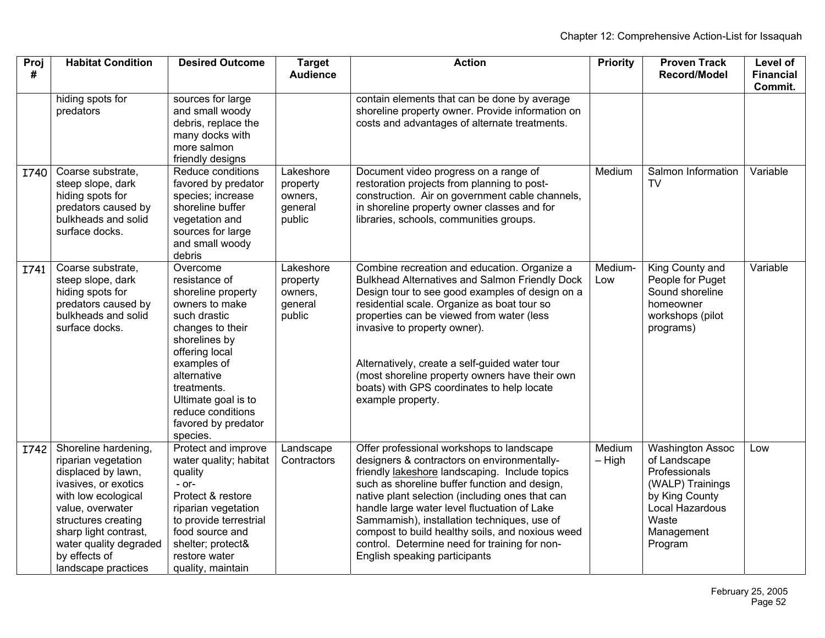| Proj<br># | <b>Habitat Condition</b>                                                                                                                                                                                                                               | <b>Desired Outcome</b>                                                                                                                                                                                                                                               | <b>Target</b><br><b>Audience</b>                      | <b>Action</b>                                                                                                                                                                                                                                                                                                                                                                                                                                                                       | <b>Priority</b>    | <b>Proven Track</b><br>Record/Model                                                                                                                 | <b>Level of</b><br><b>Financial</b><br>Commit. |
|-----------|--------------------------------------------------------------------------------------------------------------------------------------------------------------------------------------------------------------------------------------------------------|----------------------------------------------------------------------------------------------------------------------------------------------------------------------------------------------------------------------------------------------------------------------|-------------------------------------------------------|-------------------------------------------------------------------------------------------------------------------------------------------------------------------------------------------------------------------------------------------------------------------------------------------------------------------------------------------------------------------------------------------------------------------------------------------------------------------------------------|--------------------|-----------------------------------------------------------------------------------------------------------------------------------------------------|------------------------------------------------|
|           | hiding spots for<br>predators                                                                                                                                                                                                                          | sources for large<br>and small woody<br>debris, replace the<br>many docks with<br>more salmon<br>friendly designs                                                                                                                                                    |                                                       | contain elements that can be done by average<br>shoreline property owner. Provide information on<br>costs and advantages of alternate treatments.                                                                                                                                                                                                                                                                                                                                   |                    |                                                                                                                                                     |                                                |
| I740      | Coarse substrate,<br>steep slope, dark<br>hiding spots for<br>predators caused by<br>bulkheads and solid<br>surface docks.                                                                                                                             | Reduce conditions<br>favored by predator<br>species; increase<br>shoreline buffer<br>vegetation and<br>sources for large<br>and small woody<br>debris                                                                                                                | Lakeshore<br>property<br>owners,<br>general<br>public | Document video progress on a range of<br>restoration projects from planning to post-<br>construction. Air on government cable channels,<br>in shoreline property owner classes and for<br>libraries, schools, communities groups.                                                                                                                                                                                                                                                   | Medium             | Salmon Information<br><b>TV</b>                                                                                                                     | Variable                                       |
| I741      | Coarse substrate,<br>steep slope, dark<br>hiding spots for<br>predators caused by<br>bulkheads and solid<br>surface docks.                                                                                                                             | Overcome<br>resistance of<br>shoreline property<br>owners to make<br>such drastic<br>changes to their<br>shorelines by<br>offering local<br>examples of<br>alternative<br>treatments.<br>Ultimate goal is to<br>reduce conditions<br>favored by predator<br>species. | Lakeshore<br>property<br>owners,<br>general<br>public | Combine recreation and education. Organize a<br>Bulkhead Alternatives and Salmon Friendly Dock<br>Design tour to see good examples of design on a<br>residential scale. Organize as boat tour so<br>properties can be viewed from water (less<br>invasive to property owner).<br>Alternatively, create a self-guided water tour<br>(most shoreline property owners have their own<br>boats) with GPS coordinates to help locate<br>example property.                                | Medium-<br>Low     | King County and<br>People for Puget<br>Sound shoreline<br>homeowner<br>workshops (pilot<br>programs)                                                | Variable                                       |
| I742      | Shoreline hardening,<br>riparian vegetation<br>displaced by lawn,<br>ivasives, or exotics<br>with low ecological<br>value, overwater<br>structures creating<br>sharp light contrast,<br>water quality degraded<br>by effects of<br>landscape practices | Protect and improve<br>water quality; habitat<br>quality<br>$-$ or $-$<br>Protect & restore<br>riparian vegetation<br>to provide terrestrial<br>food source and<br>shelter; protect&<br>restore water<br>quality, maintain                                           | Landscape<br>Contractors                              | Offer professional workshops to landscape<br>designers & contractors on environmentally-<br>friendly lakeshore landscaping. Include topics<br>such as shoreline buffer function and design,<br>native plant selection (including ones that can<br>handle large water level fluctuation of Lake<br>Sammamish), installation techniques, use of<br>compost to build healthy soils, and noxious weed<br>control. Determine need for training for non-<br>English speaking participants | Medium<br>$-$ High | <b>Washington Assoc</b><br>of Landscape<br>Professionals<br>(WALP) Trainings<br>by King County<br>Local Hazardous<br>Waste<br>Management<br>Program | Low                                            |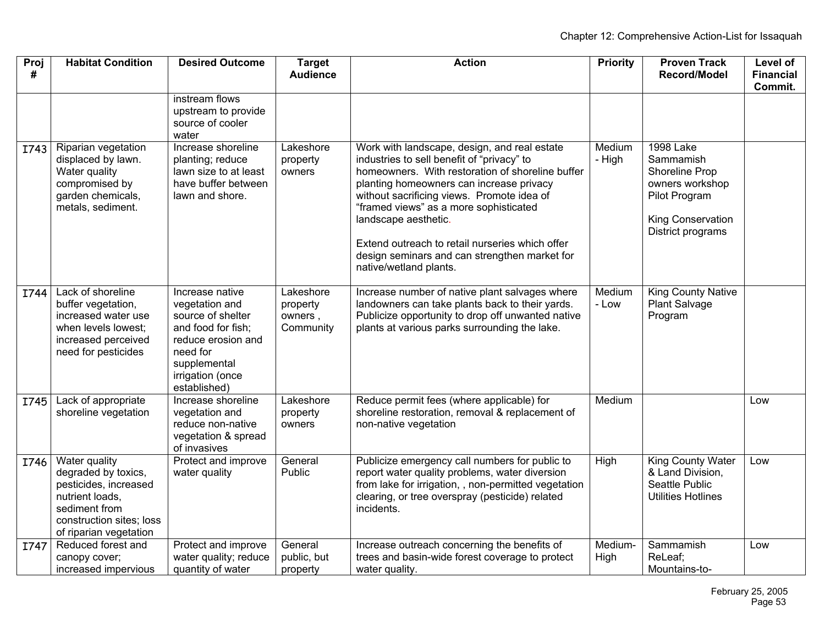| $P$ roj<br># | <b>Habitat Condition</b>                                                                                                                                | <b>Desired Outcome</b>                                                                                                                                             | <b>Target</b><br><b>Audience</b>              | <b>Action</b>                                                                                                                                                                                                                                                                                                                                                                                                                            | <b>Priority</b>  | <b>Proven Track</b><br>Record/Model                                                                                           | Level of<br><b>Financial</b><br>Commit. |
|--------------|---------------------------------------------------------------------------------------------------------------------------------------------------------|--------------------------------------------------------------------------------------------------------------------------------------------------------------------|-----------------------------------------------|------------------------------------------------------------------------------------------------------------------------------------------------------------------------------------------------------------------------------------------------------------------------------------------------------------------------------------------------------------------------------------------------------------------------------------------|------------------|-------------------------------------------------------------------------------------------------------------------------------|-----------------------------------------|
|              |                                                                                                                                                         | instream flows<br>upstream to provide<br>source of cooler<br>water                                                                                                 |                                               |                                                                                                                                                                                                                                                                                                                                                                                                                                          |                  |                                                                                                                               |                                         |
| I743         | Riparian vegetation<br>displaced by lawn.<br>Water quality<br>compromised by<br>garden chemicals,<br>metals, sediment.                                  | Increase shoreline<br>planting; reduce<br>lawn size to at least<br>have buffer between<br>lawn and shore.                                                          | Lakeshore<br>property<br>owners               | Work with landscape, design, and real estate<br>industries to sell benefit of "privacy" to<br>homeowners. With restoration of shoreline buffer<br>planting homeowners can increase privacy<br>without sacrificing views. Promote idea of<br>"framed views" as a more sophisticated<br>landscape aesthetic.<br>Extend outreach to retail nurseries which offer<br>design seminars and can strengthen market for<br>native/wetland plants. | Medium<br>- High | 1998 Lake<br>Sammamish<br><b>Shoreline Prop</b><br>owners workshop<br>Pilot Program<br>King Conservation<br>District programs |                                         |
| I744         | Lack of shoreline<br>buffer vegetation,<br>increased water use<br>when levels lowest;<br>increased perceived<br>need for pesticides                     | Increase native<br>vegetation and<br>source of shelter<br>and food for fish;<br>reduce erosion and<br>need for<br>supplemental<br>irrigation (once<br>established) | Lakeshore<br>property<br>owners,<br>Community | Increase number of native plant salvages where<br>landowners can take plants back to their yards.<br>Publicize opportunity to drop off unwanted native<br>plants at various parks surrounding the lake.                                                                                                                                                                                                                                  | Medium<br>- Low  | <b>King County Native</b><br><b>Plant Salvage</b><br>Program                                                                  |                                         |
| I745         | Lack of appropriate<br>shoreline vegetation                                                                                                             | Increase shoreline<br>vegetation and<br>reduce non-native<br>vegetation & spread<br>of invasives                                                                   | Lakeshore<br>property<br>owners               | Reduce permit fees (where applicable) for<br>shoreline restoration, removal & replacement of<br>non-native vegetation                                                                                                                                                                                                                                                                                                                    | Medium           |                                                                                                                               | Low                                     |
| I746         | Water quality<br>degraded by toxics,<br>pesticides, increased<br>nutrient loads,<br>sediment from<br>construction sites; loss<br>of riparian vegetation | Protect and improve<br>water quality                                                                                                                               | General<br>Public                             | Publicize emergency call numbers for public to<br>report water quality problems, water diversion<br>from lake for irrigation, , non-permitted vegetation<br>clearing, or tree overspray (pesticide) related<br>incidents.                                                                                                                                                                                                                | High             | <b>King County Water</b><br>& Land Division,<br><b>Seattle Public</b><br><b>Utilities Hotlines</b>                            | Low                                     |
| I747         | Reduced forest and<br>canopy cover;<br>increased impervious                                                                                             | Protect and improve<br>water quality; reduce<br>quantity of water                                                                                                  | General<br>public, but<br>property            | Increase outreach concerning the benefits of<br>trees and basin-wide forest coverage to protect<br>water quality.                                                                                                                                                                                                                                                                                                                        | Medium-<br>High  | Sammamish<br>ReLeaf;<br>Mountains-to-                                                                                         | Low                                     |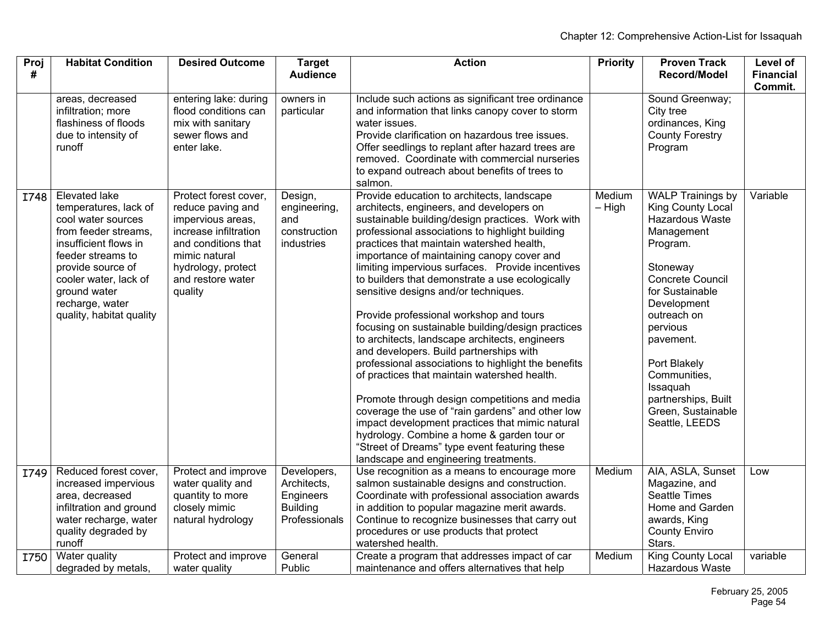| Proj<br># | <b>Habitat Condition</b>                                                                                                                                                                                                                        | <b>Desired Outcome</b>                                                                                                                                                                 | <b>Target</b><br><b>Audience</b>                                            | <b>Action</b>                                                                                                                                                                                                                                                                                                                                                                                                                                                                                                                                                                                                                                                                                                                                                                                                                                                                                                                                                                                                                               | <b>Priority</b>  | <b>Proven Track</b><br>Record/Model                                                                                                                                                                                                                                                                             | Level of<br><b>Financial</b><br>Commit. |
|-----------|-------------------------------------------------------------------------------------------------------------------------------------------------------------------------------------------------------------------------------------------------|----------------------------------------------------------------------------------------------------------------------------------------------------------------------------------------|-----------------------------------------------------------------------------|---------------------------------------------------------------------------------------------------------------------------------------------------------------------------------------------------------------------------------------------------------------------------------------------------------------------------------------------------------------------------------------------------------------------------------------------------------------------------------------------------------------------------------------------------------------------------------------------------------------------------------------------------------------------------------------------------------------------------------------------------------------------------------------------------------------------------------------------------------------------------------------------------------------------------------------------------------------------------------------------------------------------------------------------|------------------|-----------------------------------------------------------------------------------------------------------------------------------------------------------------------------------------------------------------------------------------------------------------------------------------------------------------|-----------------------------------------|
|           | areas, decreased<br>infiltration; more<br>flashiness of floods<br>due to intensity of<br>runoff                                                                                                                                                 | entering lake: during<br>flood conditions can<br>mix with sanitary<br>sewer flows and<br>enter lake.                                                                                   | owners in<br>particular                                                     | Include such actions as significant tree ordinance<br>and information that links canopy cover to storm<br>water issues.<br>Provide clarification on hazardous tree issues.<br>Offer seedlings to replant after hazard trees are<br>removed. Coordinate with commercial nurseries<br>to expand outreach about benefits of trees to<br>salmon.                                                                                                                                                                                                                                                                                                                                                                                                                                                                                                                                                                                                                                                                                                |                  | Sound Greenway;<br>City tree<br>ordinances, King<br><b>County Forestry</b><br>Program                                                                                                                                                                                                                           |                                         |
| I748      | Elevated lake<br>temperatures, lack of<br>cool water sources<br>from feeder streams,<br>insufficient flows in<br>feeder streams to<br>provide source of<br>cooler water, lack of<br>ground water<br>recharge, water<br>quality, habitat quality | Protect forest cover,<br>reduce paving and<br>impervious areas,<br>increase infiltration<br>and conditions that<br>mimic natural<br>hydrology, protect<br>and restore water<br>quality | Design,<br>engineering,<br>and<br>construction<br>industries                | Provide education to architects, landscape<br>architects, engineers, and developers on<br>sustainable building/design practices. Work with<br>professional associations to highlight building<br>practices that maintain watershed health,<br>importance of maintaining canopy cover and<br>limiting impervious surfaces. Provide incentives<br>to builders that demonstrate a use ecologically<br>sensitive designs and/or techniques.<br>Provide professional workshop and tours<br>focusing on sustainable building/design practices<br>to architects, landscape architects, engineers<br>and developers. Build partnerships with<br>professional associations to highlight the benefits<br>of practices that maintain watershed health.<br>Promote through design competitions and media<br>coverage the use of "rain gardens" and other low<br>impact development practices that mimic natural<br>hydrology. Combine a home & garden tour or<br>"Street of Dreams" type event featuring these<br>landscape and engineering treatments. | Medium<br>– High | <b>WALP Trainings by</b><br>King County Local<br>Hazardous Waste<br>Management<br>Program.<br>Stoneway<br>Concrete Council<br>for Sustainable<br>Development<br>outreach on<br>pervious<br>pavement.<br>Port Blakely<br>Communities,<br>Issaquah<br>partnerships, Built<br>Green, Sustainable<br>Seattle, LEEDS | Variable                                |
| I749      | Reduced forest cover,<br>increased impervious<br>area, decreased<br>infiltration and ground<br>water recharge, water<br>quality degraded by<br>runoff                                                                                           | Protect and improve<br>water quality and<br>quantity to more<br>closely mimic<br>natural hydrology                                                                                     | Developers,<br>Architects,<br>Engineers<br><b>Building</b><br>Professionals | Use recognition as a means to encourage more<br>salmon sustainable designs and construction.<br>Coordinate with professional association awards<br>in addition to popular magazine merit awards.<br>Continue to recognize businesses that carry out<br>procedures or use products that protect<br>watershed health.                                                                                                                                                                                                                                                                                                                                                                                                                                                                                                                                                                                                                                                                                                                         | Medium           | AIA, ASLA, Sunset<br>Magazine, and<br>Seattle Times<br>Home and Garden<br>awards, King<br><b>County Enviro</b><br>Stars.                                                                                                                                                                                        | Low                                     |
| I750      | Water quality<br>degraded by metals,                                                                                                                                                                                                            | Protect and improve<br>water quality                                                                                                                                                   | General<br>Public                                                           | Create a program that addresses impact of car<br>maintenance and offers alternatives that help                                                                                                                                                                                                                                                                                                                                                                                                                                                                                                                                                                                                                                                                                                                                                                                                                                                                                                                                              | Medium           | <b>King County Local</b><br>Hazardous Waste                                                                                                                                                                                                                                                                     | variable                                |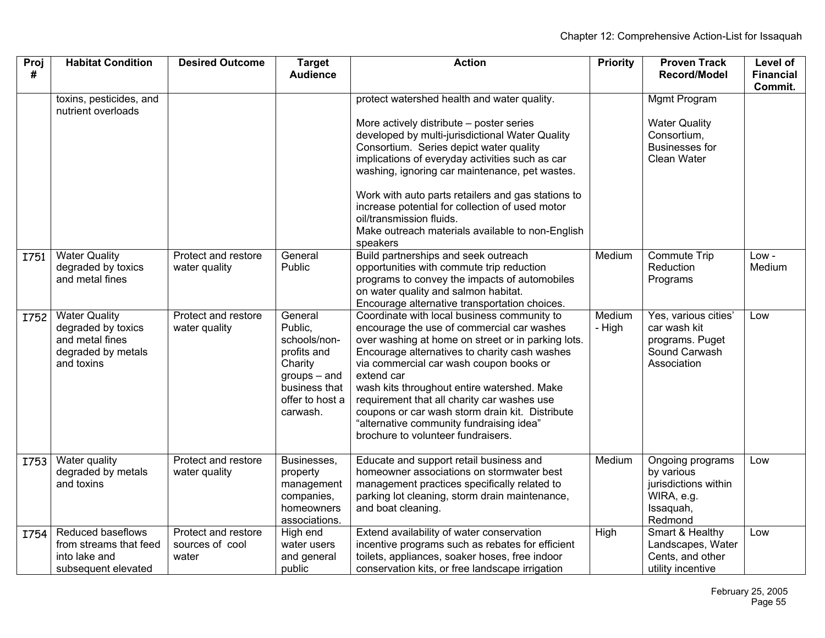| Proj<br># | <b>Habitat Condition</b>                                                                          | <b>Desired Outcome</b>                          | <b>Target</b><br><b>Audience</b>                                                                                               | <b>Action</b>                                                                                                                                                                                                                                                                                                                                                                                                                                                                                   | <b>Priority</b>  | <b>Proven Track</b><br>Record/Model                                                          | Level of<br><b>Financial</b><br>Commit. |
|-----------|---------------------------------------------------------------------------------------------------|-------------------------------------------------|--------------------------------------------------------------------------------------------------------------------------------|-------------------------------------------------------------------------------------------------------------------------------------------------------------------------------------------------------------------------------------------------------------------------------------------------------------------------------------------------------------------------------------------------------------------------------------------------------------------------------------------------|------------------|----------------------------------------------------------------------------------------------|-----------------------------------------|
|           | toxins, pesticides, and<br>nutrient overloads                                                     |                                                 |                                                                                                                                | protect watershed health and water quality.<br>More actively distribute - poster series<br>developed by multi-jurisdictional Water Quality<br>Consortium. Series depict water quality<br>implications of everyday activities such as car<br>washing, ignoring car maintenance, pet wastes.<br>Work with auto parts retailers and gas stations to<br>increase potential for collection of used motor<br>oil/transmission fluids.<br>Make outreach materials available to non-English<br>speakers |                  | Mgmt Program<br><b>Water Quality</b><br>Consortium,<br><b>Businesses for</b><br>Clean Water  |                                         |
| I751      | <b>Water Quality</b><br>degraded by toxics<br>and metal fines                                     | Protect and restore<br>water quality            | General<br>Public                                                                                                              | Build partnerships and seek outreach<br>opportunities with commute trip reduction<br>programs to convey the impacts of automobiles<br>on water quality and salmon habitat.<br>Encourage alternative transportation choices.                                                                                                                                                                                                                                                                     | Medium           | <b>Commute Trip</b><br>Reduction<br>Programs                                                 | Low -<br>Medium                         |
| I752      | <b>Water Quality</b><br>degraded by toxics<br>and metal fines<br>degraded by metals<br>and toxins | Protect and restore<br>water quality            | General<br>Public,<br>schools/non-<br>profits and<br>Charity<br>$groups - and$<br>business that<br>offer to host a<br>carwash. | Coordinate with local business community to<br>encourage the use of commercial car washes<br>over washing at home on street or in parking lots.<br>Encourage alternatives to charity cash washes<br>via commercial car wash coupon books or<br>extend car<br>wash kits throughout entire watershed. Make<br>requirement that all charity car washes use<br>coupons or car wash storm drain kit. Distribute<br>"alternative community fundraising idea"<br>brochure to volunteer fundraisers.    | Medium<br>- High | Yes, various cities'<br>car wash kit<br>programs. Puget<br>Sound Carwash<br>Association      | Low                                     |
| I753      | Water quality<br>degraded by metals<br>and toxins                                                 | Protect and restore<br>water quality            | Businesses,<br>property<br>management<br>companies,<br>homeowners<br>associations.                                             | Educate and support retail business and<br>homeowner associations on stormwater best<br>management practices specifically related to<br>parking lot cleaning, storm drain maintenance,<br>and boat cleaning.                                                                                                                                                                                                                                                                                    | Medium           | Ongoing programs<br>by various<br>jurisdictions within<br>WIRA, e.g.<br>Issaquah,<br>Redmond | Low                                     |
| I754      | Reduced baseflows<br>from streams that feed<br>into lake and<br>subsequent elevated               | Protect and restore<br>sources of cool<br>water | High end<br>water users<br>and general<br>public                                                                               | Extend availability of water conservation<br>incentive programs such as rebates for efficient<br>toilets, appliances, soaker hoses, free indoor<br>conservation kits, or free landscape irrigation                                                                                                                                                                                                                                                                                              | High             | Smart & Healthy<br>Landscapes, Water<br>Cents, and other<br>utility incentive                | Low                                     |